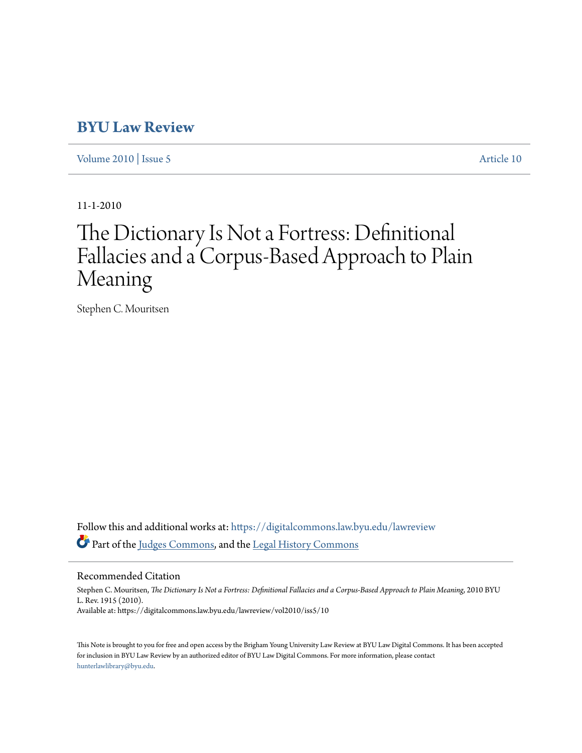# **[BYU Law Review](https://digitalcommons.law.byu.edu/lawreview?utm_source=digitalcommons.law.byu.edu%2Flawreview%2Fvol2010%2Fiss5%2F10&utm_medium=PDF&utm_campaign=PDFCoverPages)**

[Volume 2010](https://digitalcommons.law.byu.edu/lawreview/vol2010?utm_source=digitalcommons.law.byu.edu%2Flawreview%2Fvol2010%2Fiss5%2F10&utm_medium=PDF&utm_campaign=PDFCoverPages) | [Issue 5](https://digitalcommons.law.byu.edu/lawreview/vol2010/iss5?utm_source=digitalcommons.law.byu.edu%2Flawreview%2Fvol2010%2Fiss5%2F10&utm_medium=PDF&utm_campaign=PDFCoverPages) [Article 10](https://digitalcommons.law.byu.edu/lawreview/vol2010/iss5/10?utm_source=digitalcommons.law.byu.edu%2Flawreview%2Fvol2010%2Fiss5%2F10&utm_medium=PDF&utm_campaign=PDFCoverPages)

11-1-2010

# The Dictionary Is Not a Fortress: Definitional Fallacies and a Corpus-Based Approach to Plain Meaning

Stephen C. Mouritsen

Follow this and additional works at: [https://digitalcommons.law.byu.edu/lawreview](https://digitalcommons.law.byu.edu/lawreview?utm_source=digitalcommons.law.byu.edu%2Flawreview%2Fvol2010%2Fiss5%2F10&utm_medium=PDF&utm_campaign=PDFCoverPages) Part of the [Judges Commons](http://network.bepress.com/hgg/discipline/849?utm_source=digitalcommons.law.byu.edu%2Flawreview%2Fvol2010%2Fiss5%2F10&utm_medium=PDF&utm_campaign=PDFCoverPages), and the [Legal History Commons](http://network.bepress.com/hgg/discipline/904?utm_source=digitalcommons.law.byu.edu%2Flawreview%2Fvol2010%2Fiss5%2F10&utm_medium=PDF&utm_campaign=PDFCoverPages)

Recommended Citation

Stephen C. Mouritsen, *The Dictionary Is Not a Fortress: Definitional Fallacies and a Corpus-Based Approach to Plain Meaning*, 2010 BYU L. Rev. 1915 (2010). Available at: https://digitalcommons.law.byu.edu/lawreview/vol2010/iss5/10

This Note is brought to you for free and open access by the Brigham Young University Law Review at BYU Law Digital Commons. It has been accepted for inclusion in BYU Law Review by an authorized editor of BYU Law Digital Commons. For more information, please contact [hunterlawlibrary@byu.edu.](mailto:hunterlawlibrary@byu.edu)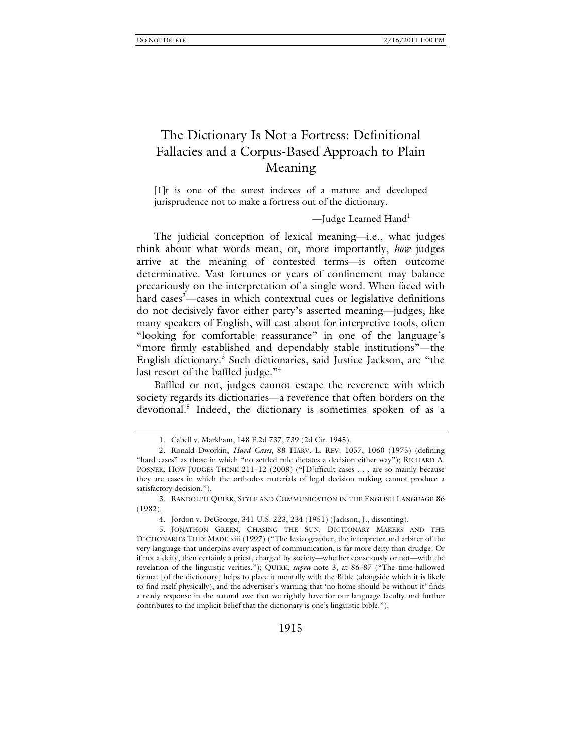# The Dictionary Is Not a Fortress: Definitional Fallacies and a Corpus-Based Approach to Plain Meaning

[I]t is one of the surest indexes of a mature and developed jurisprudence not to make a fortress out of the dictionary.

—Judge Learned Hand<sup>1</sup>

The judicial conception of lexical meaning—i.e., what judges think about what words mean, or, more importantly, *how* judges arrive at the meaning of contested terms—is often outcome determinative. Vast fortunes or years of confinement may balance precariously on the interpretation of a single word. When faced with hard cases<sup>2</sup>—cases in which contextual cues or legislative definitions do not decisively favor either party's asserted meaning—judges, like many speakers of English, will cast about for interpretive tools, often "looking for comfortable reassurance" in one of the language's "more firmly established and dependably stable institutions"—the English dictionary.<sup>3</sup> Such dictionaries, said Justice Jackson, are "the last resort of the baffled judge."<sup>4</sup>

Baffled or not, judges cannot escape the reverence with which society regards its dictionaries—a reverence that often borders on the devotional.<sup>5</sup> Indeed, the dictionary is sometimes spoken of as a

 3. RANDOLPH QUIRK, STYLE AND COMMUNICATION IN THE ENGLISH LANGUAGE 86 (1982).

 <sup>1.</sup> Cabell v. Markham, 148 F.2d 737, 739 (2d Cir. 1945).

 <sup>2.</sup> Ronald Dworkin, *Hard Cases*, 88 HARV. L. REV. 1057, 1060 (1975) (defining "hard cases" as those in which "no settled rule dictates a decision either way"); RICHARD A. POSNER, HOW JUDGES THINK 211–12 (2008) ("[D]ifficult cases . . . are so mainly because they are cases in which the orthodox materials of legal decision making cannot produce a satisfactory decision.").

 <sup>4.</sup> Jordon v. DeGeorge, 341 U.S. 223, 234 (1951) (Jackson, J., dissenting).

 <sup>5.</sup> JONATHON GREEN, CHASING THE SUN: DICTIONARY MAKERS AND THE DICTIONARIES THEY MADE xiii (1997) ("The lexicographer, the interpreter and arbiter of the very language that underpins every aspect of communication, is far more deity than drudge. Or if not a deity, then certainly a priest, charged by society—whether consciously or not—with the revelation of the linguistic verities."); QUIRK, *supra* note 3, at 86–87 ("The time-hallowed format [of the dictionary] helps to place it mentally with the Bible (alongside which it is likely to find itself physically), and the advertiser's warning that 'no home should be without it' finds a ready response in the natural awe that we rightly have for our language faculty and further contributes to the implicit belief that the dictionary is one's linguistic bible.").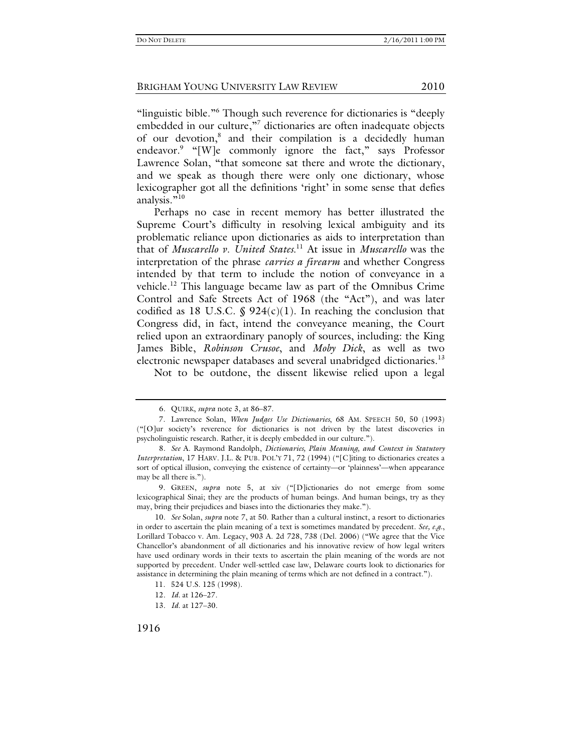"linguistic bible."<sup>6</sup> Though such reverence for dictionaries is "deeply embedded in our culture,"<sup>7</sup> dictionaries are often inadequate objects of our devotion,<sup>8</sup> and their compilation is a decidedly human endeavor.<sup>9</sup> "[W]e commonly ignore the fact," says Professor Lawrence Solan, "that someone sat there and wrote the dictionary, and we speak as though there were only one dictionary, whose lexicographer got all the definitions 'right' in some sense that defies analysis."<sup>10</sup>

Perhaps no case in recent memory has better illustrated the Supreme Court's difficulty in resolving lexical ambiguity and its problematic reliance upon dictionaries as aids to interpretation than that of *Muscarello v. United States*. 11 At issue in *Muscarello* was the interpretation of the phrase *carries a firearm* and whether Congress intended by that term to include the notion of conveyance in a vehicle.12 This language became law as part of the Omnibus Crime Control and Safe Streets Act of 1968 (the "Act"), and was later codified as 18 U.S.C.  $\oint$  924(c)(1). In reaching the conclusion that Congress did, in fact, intend the conveyance meaning, the Court relied upon an extraordinary panoply of sources, including: the King James Bible, *Robinson Crusoe*, and *Moby Dick*, as well as two electronic newspaper databases and several unabridged dictionaries.<sup>13</sup>

Not to be outdone, the dissent likewise relied upon a legal

1916

<sup>6</sup>*.* QUIRK, *supra* note 3, at 86–87.

 <sup>7.</sup> Lawrence Solan, *When Judges Use Dictionaries*, 68 AM. SPEECH 50, 50 (1993) ("[O]ur society's reverence for dictionaries is not driven by the latest discoveries in psycholinguistic research. Rather, it is deeply embedded in our culture.").

<sup>8</sup>*. See* A. Raymond Randolph, *Dictionaries, Plain Meaning, and Context in Statutory Interpretation*, 17 HARV. J.L. & PUB. POL'Y 71, 72 (1994) ("[C]iting to dictionaries creates a sort of optical illusion, conveying the existence of certainty—or 'plainness'—when appearance may be all there is.").

 <sup>9.</sup> GREEN, *supra* note 5, at xiv ("[D]ictionaries do not emerge from some lexicographical Sinai; they are the products of human beings. And human beings, try as they may, bring their prejudices and biases into the dictionaries they make.").

<sup>10</sup>*. See* Solan, *supra* note 7, at 50. Rather than a cultural instinct, a resort to dictionaries in order to ascertain the plain meaning of a text is sometimes mandated by precedent. *See, e.g.*, Lorillard Tobacco v. Am. Legacy, 903 A. 2d 728, 738 (Del. 2006) ("We agree that the Vice Chancellor's abandonment of all dictionaries and his innovative review of how legal writers have used ordinary words in their texts to ascertain the plain meaning of the words are not supported by precedent. Under well-settled case law, Delaware courts look to dictionaries for assistance in determining the plain meaning of terms which are not defined in a contract.").

 <sup>11. 524</sup> U.S. 125 (1998).

<sup>12</sup>*. Id.* at 126–27.

<sup>13</sup>*. Id*. at 127–30.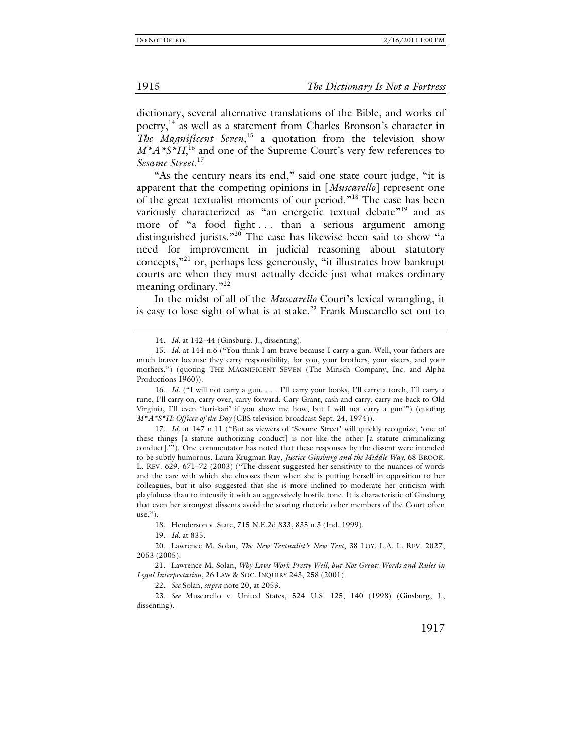dictionary, several alternative translations of the Bible, and works of poetry,<sup>14</sup> as well as a statement from Charles Bronson's character in *The Magnificent Seven*, 15 a quotation from the television show  $M^*A^*S^*H$ ,<sup>16</sup> and one of the Supreme Court's very few references to *Sesame Street*. 17

"As the century nears its end," said one state court judge, "it is apparent that the competing opinions in [*Muscarello*] represent one of the great textualist moments of our period."18 The case has been variously characterized as "an energetic textual debate"<sup>19</sup> and as more of "a food fight ... than a serious argument among distinguished jurists."<sup>20</sup> The case has likewise been said to show "a need for improvement in judicial reasoning about statutory concepts,"21 or, perhaps less generously, "it illustrates how bankrupt courts are when they must actually decide just what makes ordinary meaning ordinary."<sup>22</sup>

In the midst of all of the *Muscarello* Court's lexical wrangling, it is easy to lose sight of what is at stake.<sup>23</sup> Frank Muscarello set out to

18. Henderson v. State, 715 N.E.2d 833, 835 n.3 (Ind. 1999).

19*. Id.* at 835.

22*. See* Solan, *supra* note 20, at 2053.

23*. See* Muscarello v. United States, 524 U.S. 125, 140 (1998) (Ginsburg, J., dissenting).

<sup>14</sup>*. Id.* at 142–44 (Ginsburg, J., dissenting).

<sup>15</sup>*. Id.* at 144 n.6 ("You think I am brave because I carry a gun. Well, your fathers are much braver because they carry responsibility, for you, your brothers, your sisters, and your mothers.") (quoting THE MAGNIFICENT SEVEN (The Mirisch Company, Inc. and Alpha Productions 1960)).

<sup>16</sup>*. Id.* ("I will not carry a gun. . . . I'll carry your books, I'll carry a torch, I'll carry a tune, I'll carry on, carry over, carry forward, Cary Grant, cash and carry, carry me back to Old Virginia, I'll even 'hari-kari' if you show me how, but I will not carry a gun!") (quoting *M\*A\*S\*H: Officer of the Day* (CBS television broadcast Sept. 24, 1974)).

<sup>17</sup>*. Id.* at 147 n.11 ("But as viewers of 'Sesame Street' will quickly recognize, 'one of these things [a statute authorizing conduct] is not like the other [a statute criminalizing conduct].'"). One commentator has noted that these responses by the dissent were intended to be subtly humorous. Laura Krugman Ray, *Justice Ginsburg and the Middle Way*, 68 BROOK. L. REV. 629, 671–72 (2003) ("The dissent suggested her sensitivity to the nuances of words and the care with which she chooses them when she is putting herself in opposition to her colleagues, but it also suggested that she is more inclined to moderate her criticism with playfulness than to intensify it with an aggressively hostile tone. It is characteristic of Ginsburg that even her strongest dissents avoid the soaring rhetoric other members of the Court often  $use.$ ").

 <sup>20.</sup> Lawrence M. Solan, *The New Textualist's New Text*, 38 LOY. L.A. L. REV. 2027, 2053 (2005).

 <sup>21.</sup> Lawrence M. Solan, *Why Laws Work Pretty Well, but Not Great: Words and Rules in Legal Interpretation*, 26 LAW & SOC. INQUIRY 243, 258 (2001).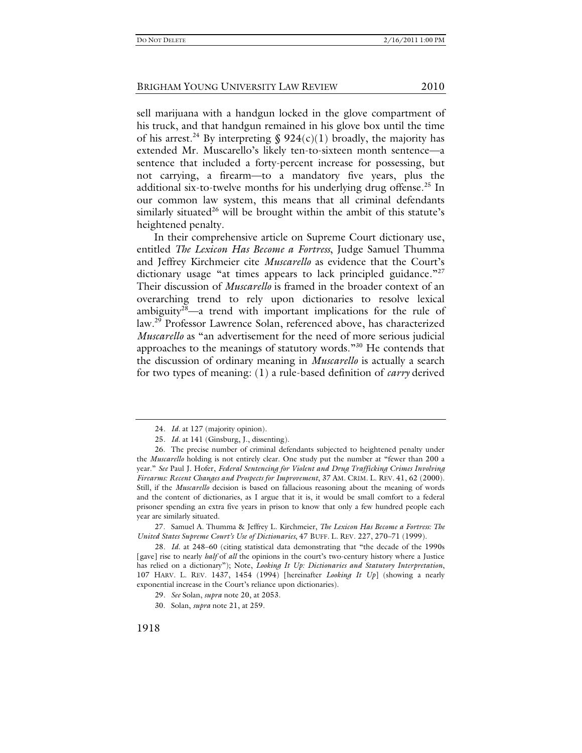sell marijuana with a handgun locked in the glove compartment of his truck, and that handgun remained in his glove box until the time of his arrest.<sup>24</sup> By interpreting § 924(c)(1) broadly, the majority has extended Mr. Muscarello's likely ten-to-sixteen month sentence—a sentence that included a forty-percent increase for possessing, but not carrying, a firearm—to a mandatory five years, plus the additional six-to-twelve months for his underlying drug offense.<sup>25</sup> In our common law system, this means that all criminal defendants similarly situated<sup>26</sup> will be brought within the ambit of this statute's heightened penalty.

In their comprehensive article on Supreme Court dictionary use, entitled *The Lexicon Has Become a Fortress*, Judge Samuel Thumma and Jeffrey Kirchmeier cite *Muscarello* as evidence that the Court's dictionary usage "at times appears to lack principled guidance."<sup>27</sup> Their discussion of *Muscarello* is framed in the broader context of an overarching trend to rely upon dictionaries to resolve lexical ambiguity<sup>28</sup>—a trend with important implications for the rule of law.29 Professor Lawrence Solan, referenced above, has characterized *Muscarello* as "an advertisement for the need of more serious judicial approaches to the meanings of statutory words."30 He contends that the discussion of ordinary meaning in *Muscarello* is actually a search for two types of meaning: (1) a rule-based definition of *carry* derived

 27. Samuel A. Thumma & Jeffrey L. Kirchmeier, *The Lexicon Has Become a Fortress: The United States Supreme Court's Use of Dictionaries*, 47 BUFF. L. REV. 227, 270–71 (1999).

28*. Id.* at 248–60 (citing statistical data demonstrating that "the decade of the 1990s [gave] rise to nearly *half* of *all* the opinions in the court's two-century history where a Justice has relied on a dictionary"); Note, *Looking It Up: Dictionaries and Statutory Interpretation*, 107 HARV. L. REV. 1437, 1454 (1994) [hereinafter *Looking It Up*] (showing a nearly exponential increase in the Court's reliance upon dictionaries).

<sup>24</sup>*. Id.* at 127 (majority opinion).

<sup>25</sup>*. Id.* at 141 (Ginsburg, J., dissenting).

 <sup>26.</sup> The precise number of criminal defendants subjected to heightened penalty under the *Muscarello* holding is not entirely clear. One study put the number at "fewer than 200 a year." *See* Paul J. Hofer, *Federal Sentencing for Violent and Drug Trafficking Crimes Involving Firearms: Recent Changes and Prospects for Improvement*, 37 AM. CRIM. L. REV. 41, 62 (2000). Still, if the *Muscarello* decision is based on fallacious reasoning about the meaning of words and the content of dictionaries, as I argue that it is, it would be small comfort to a federal prisoner spending an extra five years in prison to know that only a few hundred people each year are similarly situated.

<sup>29</sup>*. See* Solan, *supra* note 20, at 2053.

 <sup>30.</sup> Solan, *supra* note 21, at 259.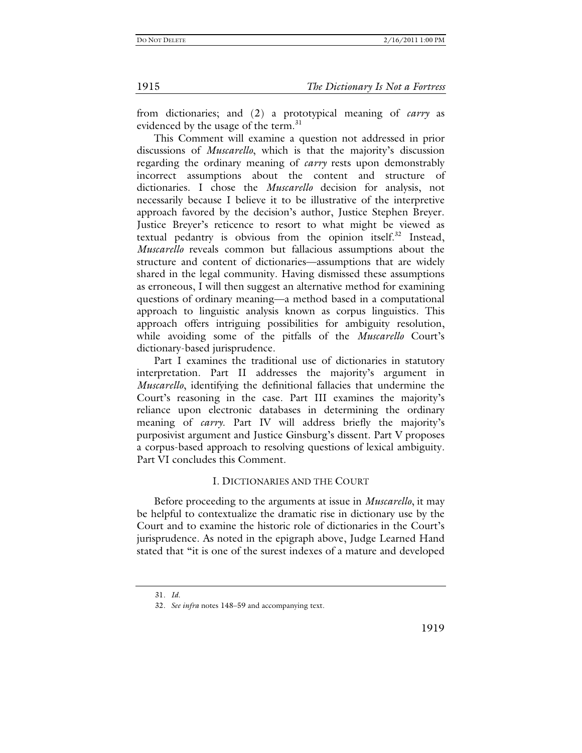1915 *The Dictionary Is Not a Fortress*

from dictionaries; and (2) a prototypical meaning of *carry* as evidenced by the usage of the term.<sup>31</sup>

This Comment will examine a question not addressed in prior discussions of *Muscarello*, which is that the majority's discussion regarding the ordinary meaning of *carry* rests upon demonstrably incorrect assumptions about the content and structure of dictionaries. I chose the *Muscarello* decision for analysis, not necessarily because I believe it to be illustrative of the interpretive approach favored by the decision's author, Justice Stephen Breyer. Justice Breyer's reticence to resort to what might be viewed as textual pedantry is obvious from the opinion itself.<sup>32</sup> Instead, *Muscarello* reveals common but fallacious assumptions about the structure and content of dictionaries—assumptions that are widely shared in the legal community. Having dismissed these assumptions as erroneous, I will then suggest an alternative method for examining questions of ordinary meaning—a method based in a computational approach to linguistic analysis known as corpus linguistics. This approach offers intriguing possibilities for ambiguity resolution, while avoiding some of the pitfalls of the *Muscarello* Court's dictionary-based jurisprudence.

Part I examines the traditional use of dictionaries in statutory interpretation. Part II addresses the majority's argument in *Muscarello*, identifying the definitional fallacies that undermine the Court's reasoning in the case. Part III examines the majority's reliance upon electronic databases in determining the ordinary meaning of *carry*. Part IV will address briefly the majority's purposivist argument and Justice Ginsburg's dissent. Part V proposes a corpus-based approach to resolving questions of lexical ambiguity. Part VI concludes this Comment.

#### I. DICTIONARIES AND THE COURT

Before proceeding to the arguments at issue in *Muscarello*, it may be helpful to contextualize the dramatic rise in dictionary use by the Court and to examine the historic role of dictionaries in the Court's jurisprudence. As noted in the epigraph above, Judge Learned Hand stated that "it is one of the surest indexes of a mature and developed

<sup>31</sup>*. Id.*

<sup>32</sup>*. See infra* notes 148–59 and accompanying text.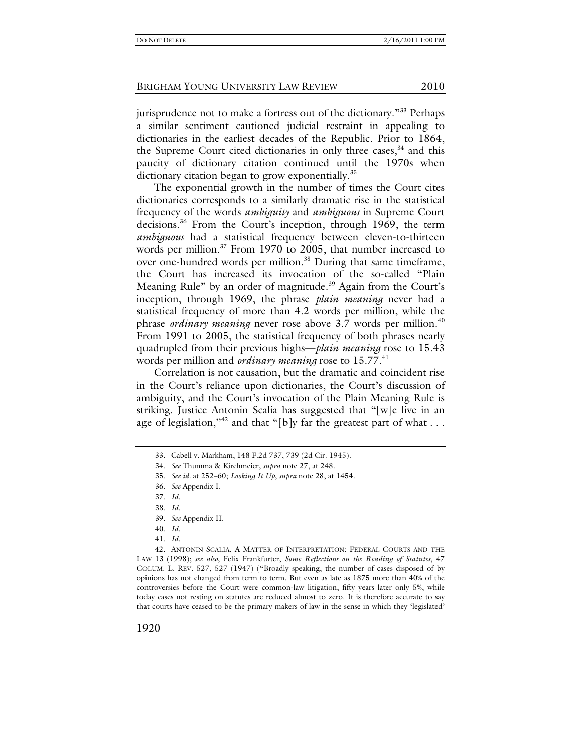jurisprudence not to make a fortress out of the dictionary."<sup>33</sup> Perhaps a similar sentiment cautioned judicial restraint in appealing to dictionaries in the earliest decades of the Republic. Prior to 1864, the Supreme Court cited dictionaries in only three cases,  $34$  and this paucity of dictionary citation continued until the 1970s when dictionary citation began to grow exponentially.<sup>35</sup>

The exponential growth in the number of times the Court cites dictionaries corresponds to a similarly dramatic rise in the statistical frequency of the words *ambiguity* and *ambiguous* in Supreme Court decisions.<sup>36</sup> From the Court's inception, through 1969, the term *ambiguous* had a statistical frequency between eleven-to-thirteen words per million.<sup>37</sup> From 1970 to 2005, that number increased to over one-hundred words per million.<sup>38</sup> During that same timeframe, the Court has increased its invocation of the so-called "Plain Meaning Rule" by an order of magnitude.<sup>39</sup> Again from the Court's inception, through 1969, the phrase *plain meaning* never had a statistical frequency of more than 4.2 words per million, while the phrase *ordinary meaning* never rose above 3.7 words per million.<sup>40</sup> From 1991 to 2005, the statistical frequency of both phrases nearly quadrupled from their previous highs—*plain meaning* rose to 15.43 words per million and *ordinary meaning* rose to 15.77.<sup>41</sup>

Correlation is not causation, but the dramatic and coincident rise in the Court's reliance upon dictionaries, the Court's discussion of ambiguity, and the Court's invocation of the Plain Meaning Rule is striking. Justice Antonin Scalia has suggested that "[w]e live in an age of legislation,"<sup>42</sup> and that "[b]y far the greatest part of what ...

41*. Id.*

 42. ANTONIN SCALIA, A MATTER OF INTERPRETATION: FEDERAL COURTS AND THE LAW 13 (1998); *see also*, Felix Frankfurter, *Some Reflections on the Reading of Statutes*, 47 COLUM. L. REV. 527, 527 (1947) ("Broadly speaking, the number of cases disposed of by opinions has not changed from term to term. But even as late as 1875 more than 40% of the controversies before the Court were common-law litigation, fifty years later only 5%, while today cases not resting on statutes are reduced almost to zero. It is therefore accurate to say that courts have ceased to be the primary makers of law in the sense in which they 'legislated'

1920

 <sup>33.</sup> Cabell v. Markham, 148 F.2d 737, 739 (2d Cir. 1945).

<sup>34</sup>*. See* Thumma & Kirchmeier, *supra* note 27, at 248.

<sup>35</sup>*. See id.* at 252–60; *Looking It Up*, *supra* note 28, at 1454.

<sup>36</sup>*. See* Appendix I.

<sup>37</sup>*. Id.*

<sup>38</sup>*. Id.*

<sup>39</sup>*. See* Appendix II.

<sup>40</sup>*. Id.*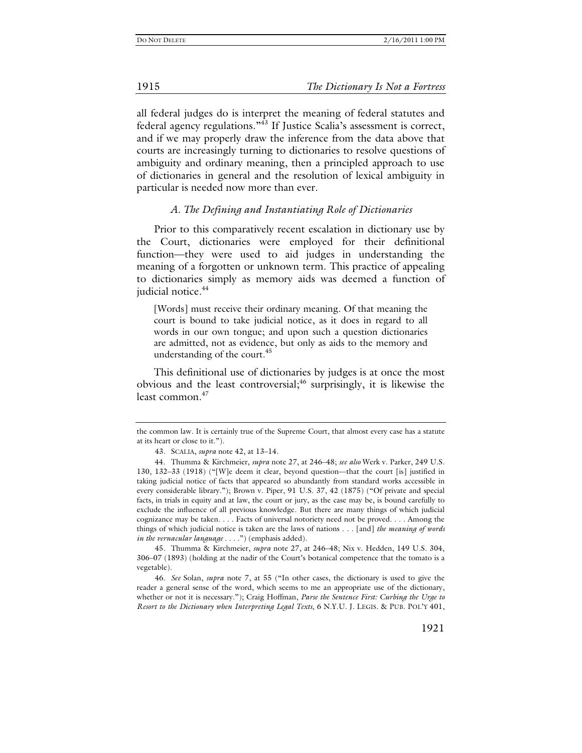all federal judges do is interpret the meaning of federal statutes and federal agency regulations."43 If Justice Scalia's assessment is correct, and if we may properly draw the inference from the data above that courts are increasingly turning to dictionaries to resolve questions of ambiguity and ordinary meaning, then a principled approach to use of dictionaries in general and the resolution of lexical ambiguity in particular is needed now more than ever.

#### *A. The Defining and Instantiating Role of Dictionaries*

Prior to this comparatively recent escalation in dictionary use by the Court, dictionaries were employed for their definitional function—they were used to aid judges in understanding the meaning of a forgotten or unknown term. This practice of appealing to dictionaries simply as memory aids was deemed a function of judicial notice.<sup>44</sup>

[Words] must receive their ordinary meaning. Of that meaning the court is bound to take judicial notice, as it does in regard to all words in our own tongue; and upon such a question dictionaries are admitted, not as evidence, but only as aids to the memory and understanding of the court.<sup>45</sup>

This definitional use of dictionaries by judges is at once the most obvious and the least controversial;  $46$  surprisingly, it is likewise the least common.<sup>47</sup>

45*.* Thumma & Kirchmeier, *supra* note 27, at 246–48; Nix v. Hedden, 149 U.S. 304, 306–07 (1893) (holding at the nadir of the Court's botanical competence that the tomato is a vegetable).

46*. See* Solan, *supra* note 7, at 55 ("In other cases, the dictionary is used to give the reader a general sense of the word, which seems to me an appropriate use of the dictionary, whether or not it is necessary."); Craig Hoffman, *Parse the Sentence First: Curbing the Urge to Resort to the Dictionary when Interpreting Legal Texts*, 6 N.Y.U. J. LEGIS. & PUB. POL'Y 401,

the common law. It is certainly true of the Supreme Court, that almost every case has a statute at its heart or close to it.").

<sup>43</sup>*.* SCALIA, *supra* note 42, at 13–14.

 <sup>44.</sup> Thumma & Kirchmeier, *supra* note 27, at 246–48; *see also* Werk v. Parker, 249 U.S. 130, 132–33 (1918) ("[W]e deem it clear, beyond question—that the court [is] justified in taking judicial notice of facts that appeared so abundantly from standard works accessible in every considerable library."); Brown v. Piper, 91 U.S. 37, 42 (1875) ("Of private and special facts, in trials in equity and at law, the court or jury, as the case may be, is bound carefully to exclude the influence of all previous knowledge. But there are many things of which judicial cognizance may be taken. . . . Facts of universal notoriety need not be proved. . . . Among the things of which judicial notice is taken are the laws of nations . . . [and] *the meaning of words in the vernacular language* . . . .") (emphasis added).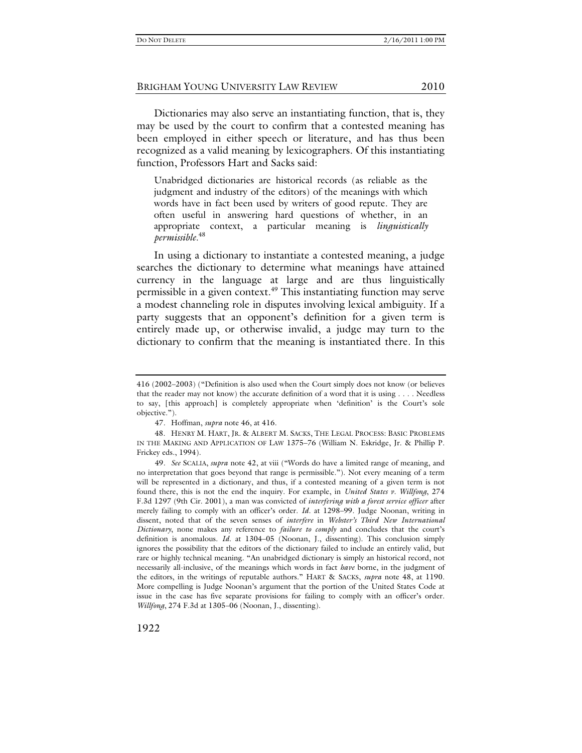Dictionaries may also serve an instantiating function, that is, they may be used by the court to confirm that a contested meaning has been employed in either speech or literature, and has thus been recognized as a valid meaning by lexicographers. Of this instantiating function, Professors Hart and Sacks said:

Unabridged dictionaries are historical records (as reliable as the judgment and industry of the editors) of the meanings with which words have in fact been used by writers of good repute. They are often useful in answering hard questions of whether, in an appropriate context, a particular meaning is *linguistically permissible*. 48

In using a dictionary to instantiate a contested meaning, a judge searches the dictionary to determine what meanings have attained currency in the language at large and are thus linguistically permissible in a given context.<sup>49</sup> This instantiating function may serve a modest channeling role in disputes involving lexical ambiguity. If a party suggests that an opponent's definition for a given term is entirely made up, or otherwise invalid, a judge may turn to the dictionary to confirm that the meaning is instantiated there. In this

<sup>416 (2002–2003) (&</sup>quot;Definition is also used when the Court simply does not know (or believes that the reader may not know) the accurate definition of a word that it is using . . . . Needless to say, [this approach] is completely appropriate when 'definition' is the Court's sole objective.").

<sup>47</sup>*.* Hoffman, *supra* note 46, at 416.

 <sup>48.</sup> HENRY M. HART, JR. & ALBERT M. SACKS, THE LEGAL PROCESS: BASIC PROBLEMS IN THE MAKING AND APPLICATION OF LAW 1375–76 (William N. Eskridge, Jr. & Phillip P. Frickey eds., 1994).

<sup>49</sup>*. See* SCALIA, *supra* note 42, at viii ("Words do have a limited range of meaning, and no interpretation that goes beyond that range is permissible."). Not every meaning of a term will be represented in a dictionary, and thus, if a contested meaning of a given term is not found there, this is not the end the inquiry. For example, in *United States v. Willfong*, 274 F.3d 1297 (9th Cir. 2001), a man was convicted of *interfering with a forest service officer* after merely failing to comply with an officer's order. *Id.* at 1298–99. Judge Noonan, writing in dissent, noted that of the seven senses of *interfere* in *Webster's Third New International Dictionary*, none makes any reference to *failure to comply* and concludes that the court's definition is anomalous. *Id.* at 1304–05 (Noonan, J., dissenting). This conclusion simply ignores the possibility that the editors of the dictionary failed to include an entirely valid, but rare or highly technical meaning. "An unabridged dictionary is simply an historical record, not necessarily all-inclusive, of the meanings which words in fact *have* borne, in the judgment of the editors, in the writings of reputable authors." HART & SACKS, *supra* note 48, at 1190. More compelling is Judge Noonan's argument that the portion of the United States Code at issue in the case has five separate provisions for failing to comply with an officer's order. *Willfong*, 274 F.3d at 1305–06 (Noonan, J., dissenting).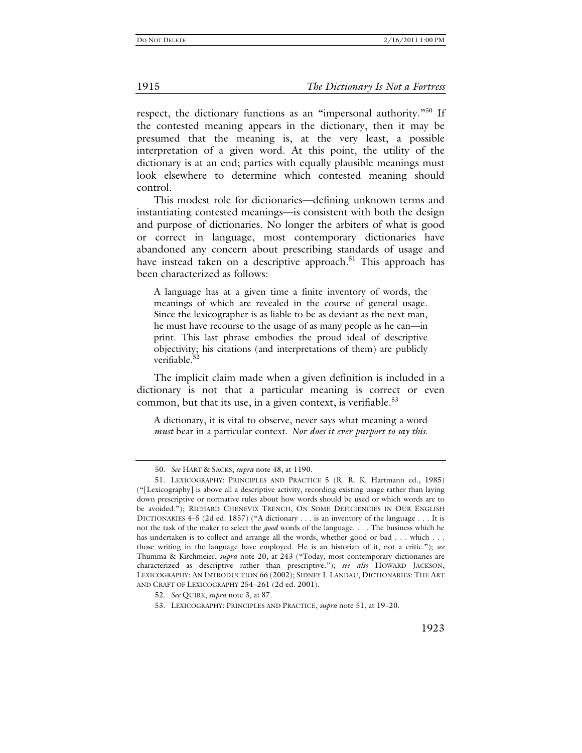respect, the dictionary functions as an "impersonal authority."<sup>50</sup> If the contested meaning appears in the dictionary, then it may be presumed that the meaning is, at the very least, a possible interpretation of a given word. At this point, the utility of the dictionary is at an end; parties with equally plausible meanings must look elsewhere to determine which contested meaning should control.

This modest role for dictionaries—defining unknown terms and instantiating contested meanings—is consistent with both the design and purpose of dictionaries. No longer the arbiters of what is good or correct in language, most contemporary dictionaries have abandoned any concern about prescribing standards of usage and have instead taken on a descriptive approach.<sup>51</sup> This approach has been characterized as follows:

A language has at a given time a finite inventory of words, the meanings of which are revealed in the course of general usage. Since the lexicographer is as liable to be as deviant as the next man, he must have recourse to the usage of as many people as he can—in print. This last phrase embodies the proud ideal of descriptive objectivity; his citations (and interpretations of them) are publicly verifiable.<sup>52</sup>

The implicit claim made when a given definition is included in a dictionary is not that a particular meaning is correct or even common, but that its use, in a given context, is verifiable.<sup>53</sup>

A dictionary, it is vital to observe, never says what meaning a word *must* bear in a particular context. *Nor does it ever purport to say this.*

<sup>50</sup>*. See* HART & SACKS, *supra* note 48, at 1190.

 <sup>51.</sup> LEXICOGRAPHY: PRINCIPLES AND PRACTICE 5 (R. R. K. Hartmann ed., 1985) ("[Lexicography] is above all a descriptive activity, recording existing usage rather than laying down prescriptive or normative rules about how words should be used or which words are to be avoided."); RICHARD CHENEVIX TRENCH, ON SOME DEFICIENCIES IN OUR ENGLISH DICTIONARIES 4–5 (2d ed. 1857) ("A dictionary . . . is an inventory of the language . . . It is not the task of the maker to select the *good* words of the language. . . . The business which he has undertaken is to collect and arrange all the words, whether good or bad . . . which . . . those writing in the language have employed. He is an historian of it, not a critic."); *see*  Thumma & Kirchmeier, *supra* note 20, at 243 ("Today, most contemporary dictionaries are characterized as descriptive rather than prescriptive."); *see also* HOWARD JACKSON, LEXICOGRAPHY: AN INTRODUCTION 66 (2002); SIDNEY I. LANDAU, DICTIONARIES: THE ART AND CRAFT OF LEXICOGRAPHY 254–261 (2d ed. 2001).

<sup>52</sup>*. See* QUIRK, *supra* note 3, at 87.

 <sup>53.</sup> LEXICOGRAPHY: PRINCIPLES AND PRACTICE, *supra* note 51, at 19–20.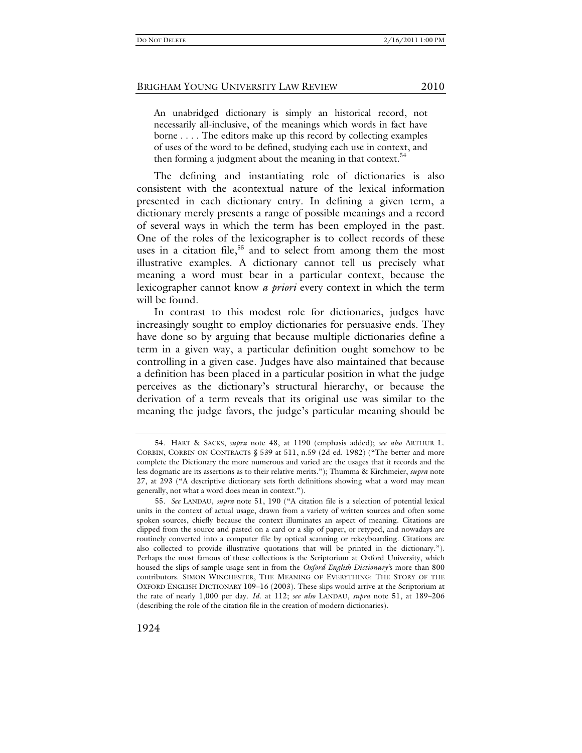An unabridged dictionary is simply an historical record, not necessarily all-inclusive, of the meanings which words in fact have borne . . . . The editors make up this record by collecting examples of uses of the word to be defined, studying each use in context, and then forming a judgment about the meaning in that context. $54$ 

The defining and instantiating role of dictionaries is also consistent with the acontextual nature of the lexical information presented in each dictionary entry. In defining a given term, a dictionary merely presents a range of possible meanings and a record of several ways in which the term has been employed in the past. One of the roles of the lexicographer is to collect records of these uses in a citation file,<sup>55</sup> and to select from among them the most illustrative examples. A dictionary cannot tell us precisely what meaning a word must bear in a particular context, because the lexicographer cannot know *a priori* every context in which the term will be found.

In contrast to this modest role for dictionaries, judges have increasingly sought to employ dictionaries for persuasive ends. They have done so by arguing that because multiple dictionaries define a term in a given way, a particular definition ought somehow to be controlling in a given case. Judges have also maintained that because a definition has been placed in a particular position in what the judge perceives as the dictionary's structural hierarchy, or because the derivation of a term reveals that its original use was similar to the meaning the judge favors, the judge's particular meaning should be

 <sup>54.</sup> HART & SACKS, *supra* note 48, at 1190 (emphasis added); *see also* ARTHUR L. CORBIN, CORBIN ON CONTRACTS § 539 at 511, n.59 (2d ed. 1982) ("The better and more complete the Dictionary the more numerous and varied are the usages that it records and the less dogmatic are its assertions as to their relative merits."); Thumma & Kirchmeier, *supra* note 27, at 293 ("A descriptive dictionary sets forth definitions showing what a word may mean generally, not what a word does mean in context.").

<sup>55</sup>*. See* LANDAU, *supra* note 51, 190 ("A citation file is a selection of potential lexical units in the context of actual usage, drawn from a variety of written sources and often some spoken sources, chiefly because the context illuminates an aspect of meaning. Citations are clipped from the source and pasted on a card or a slip of paper, or retyped, and nowadays are routinely converted into a computer file by optical scanning or rekeyboarding. Citations are also collected to provide illustrative quotations that will be printed in the dictionary."). Perhaps the most famous of these collections is the Scriptorium at Oxford University, which housed the slips of sample usage sent in from the *Oxford English Dictionary'*s more than 800 contributors. SIMON WINCHESTER, THE MEANING OF EVERYTHING: THE STORY OF THE OXFORD ENGLISH DICTIONARY 109–16 (2003). These slips would arrive at the Scriptorium at the rate of nearly 1,000 per day. *Id*. at 112; *see also* LANDAU, *supra* note 51, at 189–206 (describing the role of the citation file in the creation of modern dictionaries).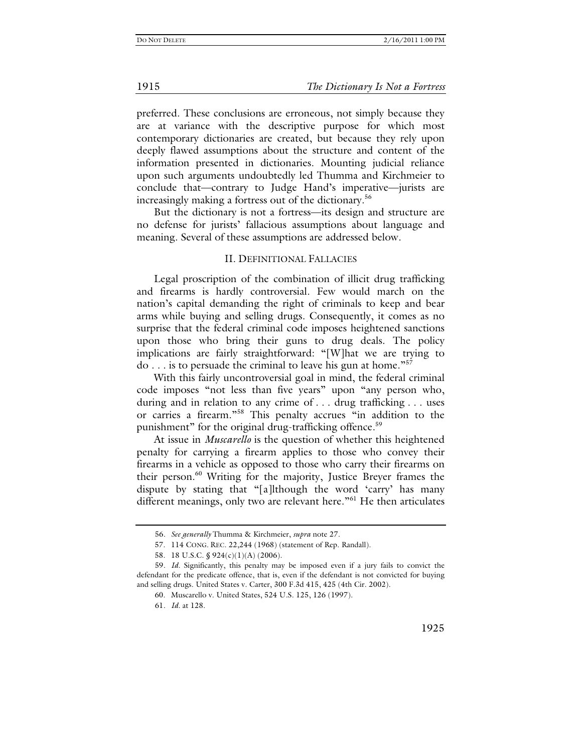preferred. These conclusions are erroneous, not simply because they are at variance with the descriptive purpose for which most contemporary dictionaries are created, but because they rely upon deeply flawed assumptions about the structure and content of the information presented in dictionaries. Mounting judicial reliance upon such arguments undoubtedly led Thumma and Kirchmeier to conclude that—contrary to Judge Hand's imperative—jurists are increasingly making a fortress out of the dictionary.<sup>56</sup>

But the dictionary is not a fortress—its design and structure are no defense for jurists' fallacious assumptions about language and meaning. Several of these assumptions are addressed below.

#### II. DEFINITIONAL FALLACIES

Legal proscription of the combination of illicit drug trafficking and firearms is hardly controversial. Few would march on the nation's capital demanding the right of criminals to keep and bear arms while buying and selling drugs. Consequently, it comes as no surprise that the federal criminal code imposes heightened sanctions upon those who bring their guns to drug deals. The policy implications are fairly straightforward: "[W]hat we are trying to do . . . is to persuade the criminal to leave his gun at home."57

With this fairly uncontroversial goal in mind, the federal criminal code imposes "not less than five years" upon "any person who, during and in relation to any crime of . . . drug trafficking . . . uses or carries a firearm."58 This penalty accrues "in addition to the punishment" for the original drug-trafficking offence.<sup>59</sup>

At issue in *Muscarello* is the question of whether this heightened penalty for carrying a firearm applies to those who convey their firearms in a vehicle as opposed to those who carry their firearms on their person.<sup>60</sup> Writing for the majority, Justice Breyer frames the dispute by stating that "[a]lthough the word 'carry' has many different meanings, only two are relevant here."<sup>61</sup> He then articulates

<sup>56</sup>*. See generally* Thumma & Kirchmeier, *supra* note 27.

 <sup>57. 114</sup> CONG. REC. 22,244 (1968) (statement of Rep. Randall).

 <sup>58. 18</sup> U.S.C. § 924(c)(1)(A) (2006).

<sup>59</sup>*. Id.* Significantly, this penalty may be imposed even if a jury fails to convict the defendant for the predicate offence, that is, even if the defendant is not convicted for buying and selling drugs. United States v. Carter, 300 F.3d 415, 425 (4th Cir. 2002).

 <sup>60.</sup> Muscarello v. United States, 524 U.S. 125, 126 (1997).

<sup>61</sup>*. Id.* at 128.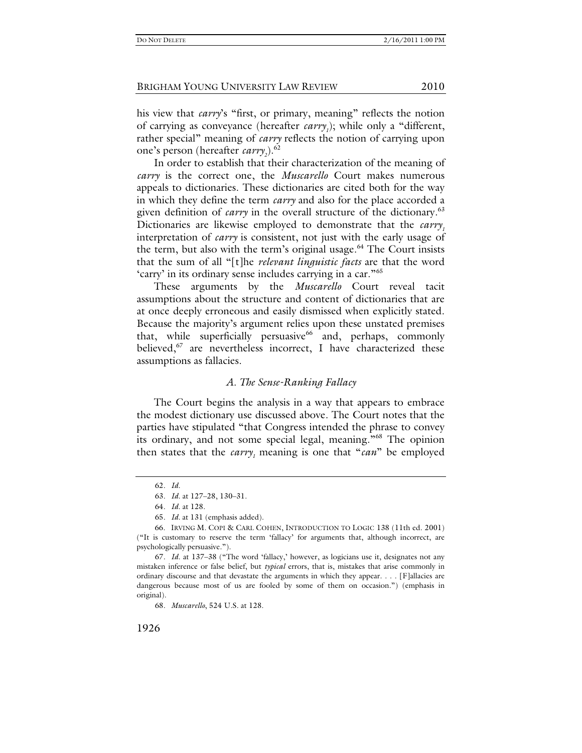his view that *carry*'s "first, or primary, meaning" reflects the notion of carrying as conveyance (hereafter *carry<sub>1</sub>*); while only a "different, rather special" meaning of *carry* reflects the notion of carrying upon one's person (hereafter *carry*<sub>2</sub>).<sup>62</sup>

In order to establish that their characterization of the meaning of *carry* is the correct one, the *Muscarello* Court makes numerous appeals to dictionaries. These dictionaries are cited both for the way in which they define the term *carry* and also for the place accorded a given definition of *carry* in the overall structure of the dictionary.<sup>63</sup> Dictionaries are likewise employed to demonstrate that the *carry*, interpretation of *carry* is consistent, not just with the early usage of the term, but also with the term's original usage.<sup>64</sup> The Court insists that the sum of all "[t]he *relevant linguistic facts* are that the word 'carry' in its ordinary sense includes carrying in a car."65

These arguments by the *Muscarello* Court reveal tacit assumptions about the structure and content of dictionaries that are at once deeply erroneous and easily dismissed when explicitly stated. Because the majority's argument relies upon these unstated premises that, while superficially persuasive $^{66}$  and, perhaps, commonly believed,<sup>67</sup> are nevertheless incorrect, I have characterized these assumptions as fallacies.

#### *A. The Sense-Ranking Fallacy*

The Court begins the analysis in a way that appears to embrace the modest dictionary use discussed above. The Court notes that the parties have stipulated "that Congress intended the phrase to convey its ordinary, and not some special legal, meaning."68 The opinion then states that the *carry*, meaning is one that "*can*" be employed

<sup>62</sup>*. Id.*

<sup>63</sup>*. Id.* at 127–28, 130–31.

<sup>64</sup>*. Id.* at 128.

<sup>65</sup>*. Id.* at 131 (emphasis added).

 <sup>66.</sup> IRVING M. COPI & CARL COHEN, INTRODUCTION TO LOGIC 138 (11th ed. 2001) ("It is customary to reserve the term 'fallacy' for arguments that, although incorrect, are psychologically persuasive.").

<sup>67</sup>*. Id.* at 137–38 ("The word 'fallacy,' however, as logicians use it, designates not any mistaken inference or false belief, but *typical* errors, that is, mistakes that arise commonly in ordinary discourse and that devastate the arguments in which they appear. . . . [F]allacies are dangerous because most of us are fooled by some of them on occasion.") (emphasis in original).

<sup>68</sup>*. Muscarello*, 524 U.S. at 128.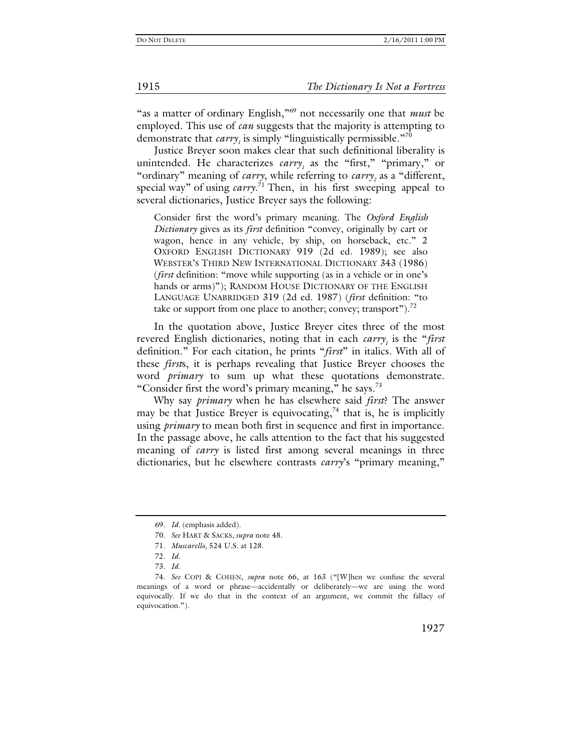"as a matter of ordinary English,"69 not necessarily one that *must* be employed. This use of *can* suggests that the majority is attempting to demonstrate that  $\textit{carry}_1$  is simply "linguistically permissible."<sup>70</sup>

Justice Breyer soon makes clear that such definitional liberality is unintended. He characterizes *carry*<sub>1</sub> as the "first," "primary," or "ordinary" meaning of *carry*, while referring to *carry*<sub>2</sub> as a "different, special way" of using *carry*. 71 Then, in his first sweeping appeal to several dictionaries, Justice Breyer says the following:

Consider first the word's primary meaning. The *Oxford English Dictionary* gives as its *first* definition "convey, originally by cart or wagon, hence in any vehicle, by ship, on horseback, etc." 2 OXFORD ENGLISH DICTIONARY 919 (2d ed. 1989); see also WEBSTER'S THIRD NEW INTERNATIONAL DICTIONARY 343 (1986) (*first* definition: "move while supporting (as in a vehicle or in one's hands or arms)"); RANDOM HOUSE DICTIONARY OF THE ENGLISH LANGUAGE UNABRIDGED 319 (2d ed. 1987) (*first* definition: "to take or support from one place to another; convey; transport"). $^{72}$ 

In the quotation above, Justice Breyer cites three of the most revered English dictionaries, noting that in each *carry<sub>1</sub>* is the "*first* definition." For each citation, he prints "*first*" in italics. With all of these *first*s, it is perhaps revealing that Justice Breyer chooses the word *primary* to sum up what these quotations demonstrate. "Consider first the word's primary meaning," he says.<sup>73</sup>

Why say *primary* when he has elsewhere said *first*? The answer may be that Justice Breyer is equivocating,<sup>74</sup> that is, he is implicitly using *primary* to mean both first in sequence and first in importance. In the passage above, he calls attention to the fact that his suggested meaning of *carry* is listed first among several meanings in three dictionaries, but he elsewhere contrasts *carry*'s "primary meaning,"

1915 *The Dictionary Is Not a Fortress*

<sup>69</sup>*. Id.* (emphasis added).

<sup>70</sup>*. See* HART & SACKS, *supra* note 48.

<sup>71</sup>*. Muscarello*, 524 U.S. at 128.

<sup>72</sup>*. Id.*

<sup>73</sup>*. Id.*

<sup>74</sup>*. See* COPI & COHEN, *supra* note 66, at 163 ("[W]hen we confuse the several meanings of a word or phrase—accidentally or deliberately—we are using the word equivocally. If we do that in the context of an argument, we commit the fallacy of equivocation.").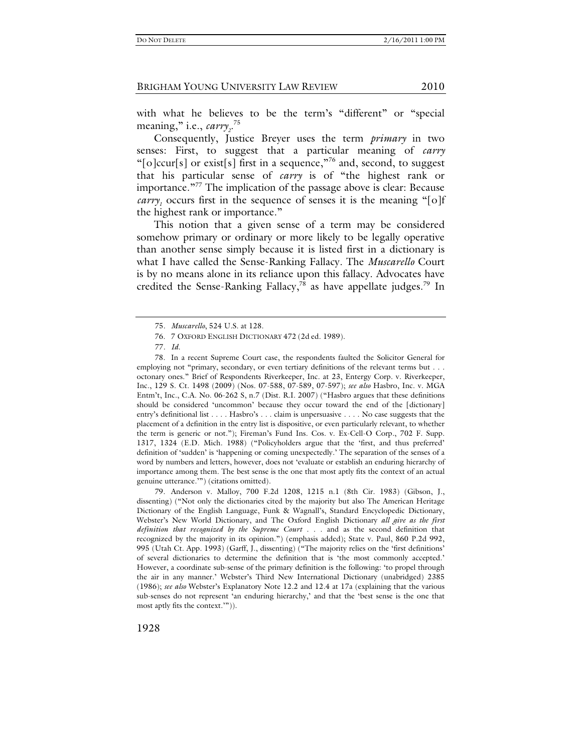with what he believes to be the term's "different" or "special meaning," i.e., *carry*<sub>2</sub>.<sup>75</sup>

Consequently, Justice Breyer uses the term *primary* in two senses: First, to suggest that a particular meaning of *carry*  "[o]ccur[s] or exist[s] first in a sequence,"<sup>76</sup> and, second, to suggest that his particular sense of *carry* is of "the highest rank or importance."<sup>77</sup> The implication of the passage above is clear: Because *carry<sub>1</sub>* occurs first in the sequence of senses it is the meaning "[o]f the highest rank or importance."

This notion that a given sense of a term may be considered somehow primary or ordinary or more likely to be legally operative than another sense simply because it is listed first in a dictionary is what I have called the Sense-Ranking Fallacy. The *Muscarello* Court is by no means alone in its reliance upon this fallacy. Advocates have credited the Sense-Ranking Fallacy,<sup>78</sup> as have appellate judges.<sup>79</sup> In

<sup>75</sup>*. Muscarello*, 524 U.S. at 128*.* 

 <sup>76. 7</sup> OXFORD ENGLISH DICTIONARY 472 (2d ed. 1989).

<sup>77</sup>*. Id.*

 <sup>78.</sup> In a recent Supreme Court case, the respondents faulted the Solicitor General for employing not "primary, secondary, or even tertiary definitions of the relevant terms but . . . octonary ones." Brief of Respondents Riverkeeper, Inc. at 23, Entergy Corp. v. Riverkeeper, Inc., 129 S. Ct. 1498 (2009) (Nos. 07-588, 07-589, 07-597); *see also* Hasbro, Inc. v. MGA Entm't, Inc., C.A. No. 06-262 S, n.7 (Dist. R.I. 2007) ("Hasbro argues that these definitions should be considered 'uncommon' because they occur toward the end of the [dictionary] entry's definitional list . . . . Hasbro's . . . claim is unpersuasive . . . . No case suggests that the placement of a definition in the entry list is dispositive, or even particularly relevant, to whether the term is generic or not."); Fireman's Fund Ins. Cos. v. Ex-Cell-O Corp., 702 F. Supp. 1317, 1324 (E.D. Mich. 1988) ("Policyholders argue that the 'first, and thus preferred' definition of 'sudden' is 'happening or coming unexpectedly.' The separation of the senses of a word by numbers and letters, however, does not 'evaluate or establish an enduring hierarchy of importance among them. The best sense is the one that most aptly fits the context of an actual genuine utterance.'") (citations omitted).

 <sup>79.</sup> Anderson v. Malloy, 700 F.2d 1208, 1215 n.1 (8th Cir. 1983) (Gibson, J., dissenting) ("Not only the dictionaries cited by the majority but also The American Heritage Dictionary of the English Language, Funk & Wagnall's, Standard Encyclopedic Dictionary, Webster's New World Dictionary, and The Oxford English Dictionary *all give as the first definition that recognized by the Supreme Court* . . . and as the second definition that recognized by the majority in its opinion.") (emphasis added); State v. Paul, 860 P.2d 992, 995 (Utah Ct. App. 1993) (Garff, J., dissenting) ("The majority relies on the 'first definitions' of several dictionaries to determine the definition that is 'the most commonly accepted.' However, a coordinate sub-sense of the primary definition is the following: 'to propel through the air in any manner.' Webster's Third New International Dictionary (unabridged) 2385 (1986); *see also* Webster's Explanatory Note 12.2 and 12.4 at 17a (explaining that the various sub-senses do not represent 'an enduring hierarchy,' and that the 'best sense is the one that most aptly fits the context.'")).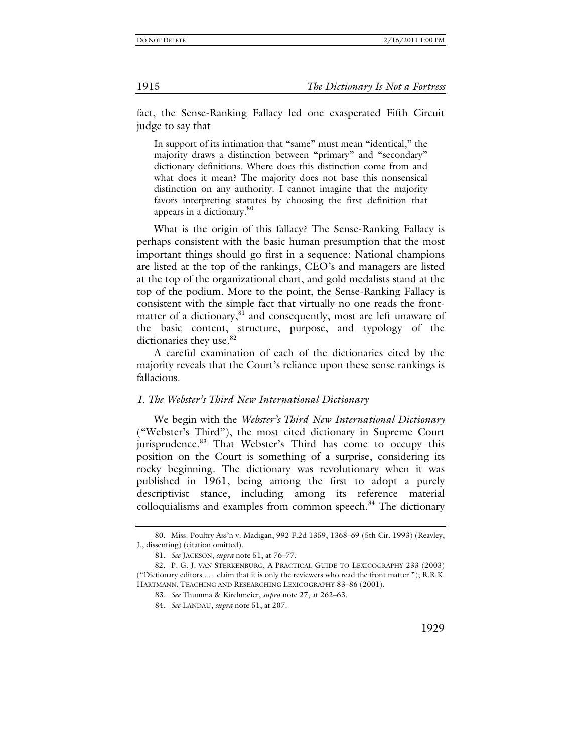fact, the Sense-Ranking Fallacy led one exasperated Fifth Circuit judge to say that

In support of its intimation that "same" must mean "identical," the majority draws a distinction between "primary" and "secondary" dictionary definitions. Where does this distinction come from and what does it mean? The majority does not base this nonsensical distinction on any authority. I cannot imagine that the majority favors interpreting statutes by choosing the first definition that appears in a dictionary.<sup>80</sup>

What is the origin of this fallacy? The Sense-Ranking Fallacy is perhaps consistent with the basic human presumption that the most important things should go first in a sequence: National champions are listed at the top of the rankings, CEO's and managers are listed at the top of the organizational chart, and gold medalists stand at the top of the podium. More to the point, the Sense-Ranking Fallacy is consistent with the simple fact that virtually no one reads the frontmatter of a dictionary, $81$  and consequently, most are left unaware of the basic content, structure, purpose, and typology of the dictionaries they use.<sup>82</sup>

A careful examination of each of the dictionaries cited by the majority reveals that the Court's reliance upon these sense rankings is fallacious.

#### *1. The Webster's Third New International Dictionary*

We begin with the *Webster's Third New International Dictionary* ("Webster's Third"), the most cited dictionary in Supreme Court jurisprudence.<sup>83</sup> That Webster's Third has come to occupy this position on the Court is something of a surprise, considering its rocky beginning. The dictionary was revolutionary when it was published in 1961, being among the first to adopt a purely descriptivist stance, including among its reference material colloquialisms and examples from common speech.<sup>84</sup> The dictionary

 <sup>80.</sup> Miss. Poultry Ass'n v. Madigan, 992 F.2d 1359, 1368–69 (5th Cir. 1993) (Reavley, J., dissenting) (citation omitted).

<sup>81</sup>*. See* JACKSON, *supra* note 51, at 76–77.

 <sup>82.</sup> P. G. J. VAN STERKENBURG, A PRACTICAL GUIDE TO LEXICOGRAPHY 233 (2003) ("Dictionary editors . . . claim that it is only the reviewers who read the front matter."); R.R.K. HARTMANN, TEACHING AND RESEARCHING LEXICOGRAPHY 83–86 (2001).

<sup>83</sup>*. See* Thumma & Kirchmeier, *supra* note 27, at 262–63.

<sup>84</sup>*. See* LANDAU, *supra* note 51, at 207.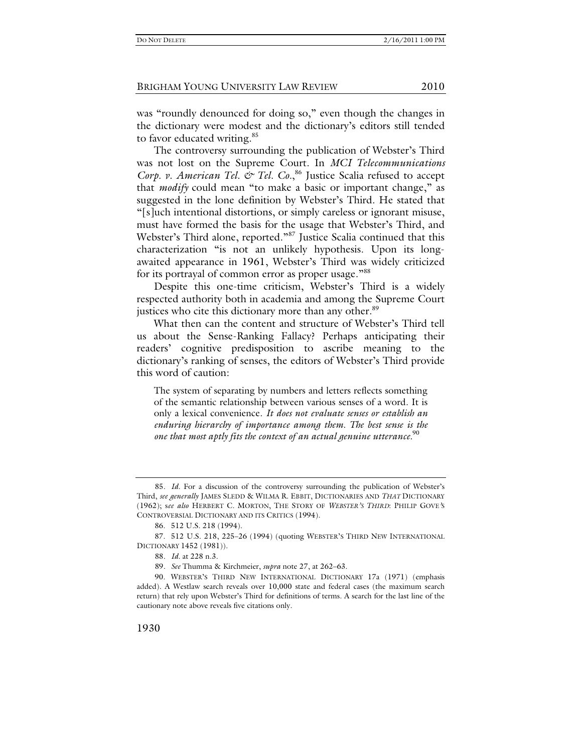was "roundly denounced for doing so," even though the changes in the dictionary were modest and the dictionary's editors still tended to favor educated writing.<sup>85</sup>

The controversy surrounding the publication of Webster's Third was not lost on the Supreme Court. In *MCI Telecommunications*  Corp. v. American Tel. & Tel. Co.,<sup>86</sup> Justice Scalia refused to accept that *modify* could mean "to make a basic or important change," as suggested in the lone definition by Webster's Third. He stated that "[s]uch intentional distortions, or simply careless or ignorant misuse, must have formed the basis for the usage that Webster's Third, and Webster's Third alone, reported."<sup>87</sup> Justice Scalia continued that this characterization "is not an unlikely hypothesis. Upon its longawaited appearance in 1961, Webster's Third was widely criticized for its portrayal of common error as proper usage."<sup>88</sup>

Despite this one-time criticism, Webster's Third is a widely respected authority both in academia and among the Supreme Court justices who cite this dictionary more than any other.<sup>89</sup>

What then can the content and structure of Webster's Third tell us about the Sense-Ranking Fallacy? Perhaps anticipating their readers' cognitive predisposition to ascribe meaning to the dictionary's ranking of senses, the editors of Webster's Third provide this word of caution:

The system of separating by numbers and letters reflects something of the semantic relationship between various senses of a word. It is only a lexical convenience. *It does not evaluate senses or establish an enduring hierarchy of importance among them. The best sense is the one that most aptly fits the context of an actual genuine utterance.* <sup>90</sup>

<sup>85</sup>*. Id.* For a discussion of the controversy surrounding the publication of Webster's Third, *see generally* JAMES SLEDD & WILMA R. EBBIT, DICTIONARIES AND *THAT* DICTIONARY (1962); s*ee also* HERBERT C. MORTON, THE STORY OF *WEBSTER'S THIRD*: PHILIP GOVE*'*S CONTROVERSIAL DICTIONARY AND ITS CRITICS (1994).

 <sup>86. 512</sup> U.S. 218 (1994).

 <sup>87. 512</sup> U.S. 218, 225–26 (1994) (quoting WEBSTER'S THIRD NEW INTERNATIONAL DICTIONARY 1452 (1981)).

<sup>88</sup>*. Id.* at 228 n.3.

<sup>89</sup>*. See* Thumma & Kirchmeier, *supra* note 27, at 262–63.

 <sup>90.</sup> WEBSTER'S THIRD NEW INTERNATIONAL DICTIONARY 17a (1971) (emphasis added). A Westlaw search reveals over 10,000 state and federal cases (the maximum search return) that rely upon Webster's Third for definitions of terms. A search for the last line of the cautionary note above reveals five citations only.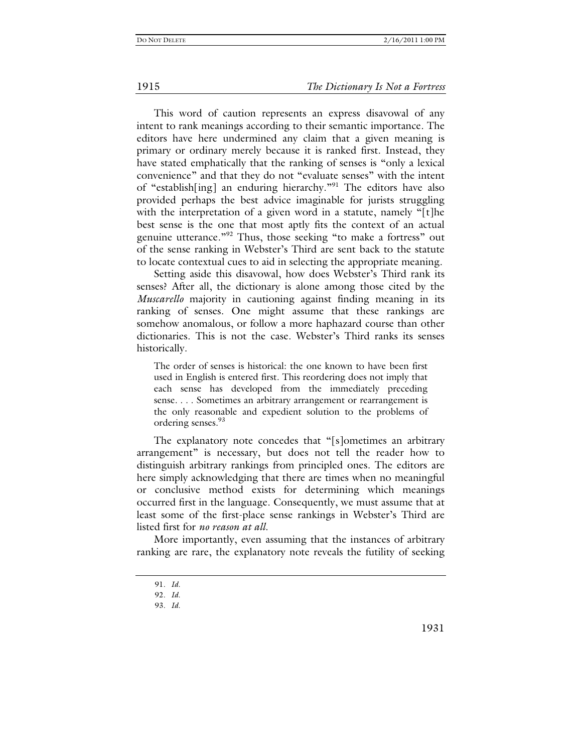#### 1915 *The Dictionary Is Not a Fortress*

This word of caution represents an express disavowal of any intent to rank meanings according to their semantic importance. The editors have here undermined any claim that a given meaning is primary or ordinary merely because it is ranked first. Instead, they have stated emphatically that the ranking of senses is "only a lexical convenience" and that they do not "evaluate senses" with the intent of "establish[ing] an enduring hierarchy."91 The editors have also provided perhaps the best advice imaginable for jurists struggling with the interpretation of a given word in a statute, namely "[t]he best sense is the one that most aptly fits the context of an actual genuine utterance."92 Thus, those seeking "to make a fortress" out of the sense ranking in Webster's Third are sent back to the statute to locate contextual cues to aid in selecting the appropriate meaning.

Setting aside this disavowal, how does Webster's Third rank its senses? After all, the dictionary is alone among those cited by the *Muscarello* majority in cautioning against finding meaning in its ranking of senses. One might assume that these rankings are somehow anomalous, or follow a more haphazard course than other dictionaries. This is not the case. Webster's Third ranks its senses historically.

The order of senses is historical: the one known to have been first used in English is entered first. This reordering does not imply that each sense has developed from the immediately preceding sense. . . . Sometimes an arbitrary arrangement or rearrangement is the only reasonable and expedient solution to the problems of ordering senses.<sup>93</sup>

The explanatory note concedes that "[s]ometimes an arbitrary arrangement" is necessary, but does not tell the reader how to distinguish arbitrary rankings from principled ones. The editors are here simply acknowledging that there are times when no meaningful or conclusive method exists for determining which meanings occurred first in the language. Consequently, we must assume that at least some of the first-place sense rankings in Webster's Third are listed first for *no reason at all.*

More importantly, even assuming that the instances of arbitrary ranking are rare, the explanatory note reveals the futility of seeking

1931

<sup>91</sup>*. Id.*

<sup>92</sup>*. Id.*

<sup>93</sup>*. Id.*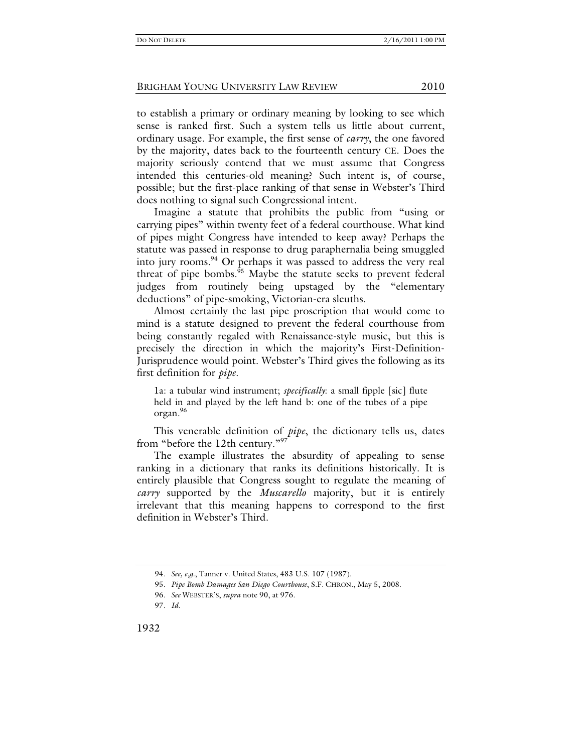to establish a primary or ordinary meaning by looking to see which sense is ranked first. Such a system tells us little about current, ordinary usage. For example, the first sense of *carry*, the one favored by the majority, dates back to the fourteenth century CE. Does the majority seriously contend that we must assume that Congress intended this centuries-old meaning? Such intent is, of course, possible; but the first-place ranking of that sense in Webster's Third does nothing to signal such Congressional intent.

Imagine a statute that prohibits the public from "using or carrying pipes" within twenty feet of a federal courthouse. What kind of pipes might Congress have intended to keep away? Perhaps the statute was passed in response to drug paraphernalia being smuggled into jury rooms.<sup>94</sup> Or perhaps it was passed to address the very real threat of pipe bombs.<sup>95</sup> Maybe the statute seeks to prevent federal judges from routinely being upstaged by the "elementary deductions" of pipe-smoking, Victorian-era sleuths.

Almost certainly the last pipe proscription that would come to mind is a statute designed to prevent the federal courthouse from being constantly regaled with Renaissance-style music, but this is precisely the direction in which the majority's First-Definition-Jurisprudence would point. Webster's Third gives the following as its first definition for *pipe*.

1a: a tubular wind instrument; *specifically*: a small fipple [sic] flute held in and played by the left hand b: one of the tubes of a pipe organ.96

This venerable definition of *pipe*, the dictionary tells us, dates from "before the 12th century."<sup>97</sup>

The example illustrates the absurdity of appealing to sense ranking in a dictionary that ranks its definitions historically. It is entirely plausible that Congress sought to regulate the meaning of *carry* supported by the *Muscarello* majority, but it is entirely irrelevant that this meaning happens to correspond to the first definition in Webster's Third.

<sup>94</sup>*. See, e.g.*, Tanner v. United States, 483 U.S. 107 (1987).

<sup>95</sup>*. Pipe Bomb Damages San Diego Courthouse*, S.F. CHRON., May 5, 2008.

<sup>96</sup>*. See* WEBSTER'S, *supra* note 90, at 976.

<sup>97</sup>*. Id*.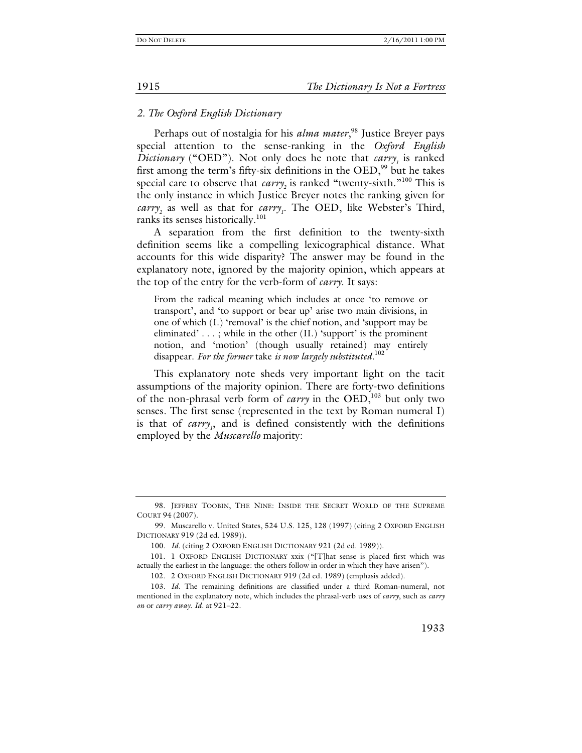# *2. The Oxford English Dictionary*

Perhaps out of nostalgia for his *alma mater*,<sup>98</sup> Justice Breyer pays special attention to the sense-ranking in the *Oxford English Dictionary* ("OED"). Not only does he note that  $carry<sub>1</sub>$  is ranked first among the term's fifty-six definitions in the  $OED$ ,  $99$  but he takes special care to observe that *carry*<sub>2</sub> is ranked "twenty-sixth."<sup>100</sup> This is the only instance in which Justice Breyer notes the ranking given for *carry*<sub>2</sub> as well as that for *carry<sub>1</sub>*. The OED, like Webster's Third, ranks its senses historically.<sup>101</sup>

A separation from the first definition to the twenty-sixth definition seems like a compelling lexicographical distance. What accounts for this wide disparity? The answer may be found in the explanatory note, ignored by the majority opinion, which appears at the top of the entry for the verb-form of *carry*. It says:

From the radical meaning which includes at once 'to remove or transport', and 'to support or bear up' arise two main divisions, in one of which (I.) 'removal' is the chief notion, and 'support may be eliminated' . . . ; while in the other (II.) 'support' is the prominent notion, and 'motion' (though usually retained) may entirely disappear. *For the former* take *is now largely substituted.*<sup>102</sup>

This explanatory note sheds very important light on the tacit assumptions of the majority opinion. There are forty-two definitions of the non-phrasal verb form of *carry* in the OED,<sup>103</sup> but only two senses. The first sense (represented in the text by Roman numeral I) is that of *carry*<sub>1</sub>, and is defined consistently with the definitions employed by the *Muscarello* majority:

 <sup>98.</sup> JEFFREY TOOBIN, THE NINE: INSIDE THE SECRET WORLD OF THE SUPREME COURT 94 (2007).

<sup>99</sup>*.* Muscarello v. United States, 524 U.S. 125, 128 (1997) (citing 2 OXFORD ENGLISH DICTIONARY 919 (2d ed. 1989)).

<sup>100</sup>*. Id.* (citing 2 OXFORD ENGLISH DICTIONARY 921 (2d ed. 1989)).

 <sup>101. 1</sup> OXFORD ENGLISH DICTIONARY xxix ("[T]hat sense is placed first which was actually the earliest in the language: the others follow in order in which they have arisen").

 <sup>102. 2</sup> OXFORD ENGLISH DICTIONARY 919 (2d ed. 1989) (emphasis added).

<sup>103</sup>*. Id*. The remaining definitions are classified under a third Roman-numeral, not mentioned in the explanatory note, which includes the phrasal-verb uses of *carry*, such as *carry on* or *carry away*. *Id.* at 921–22.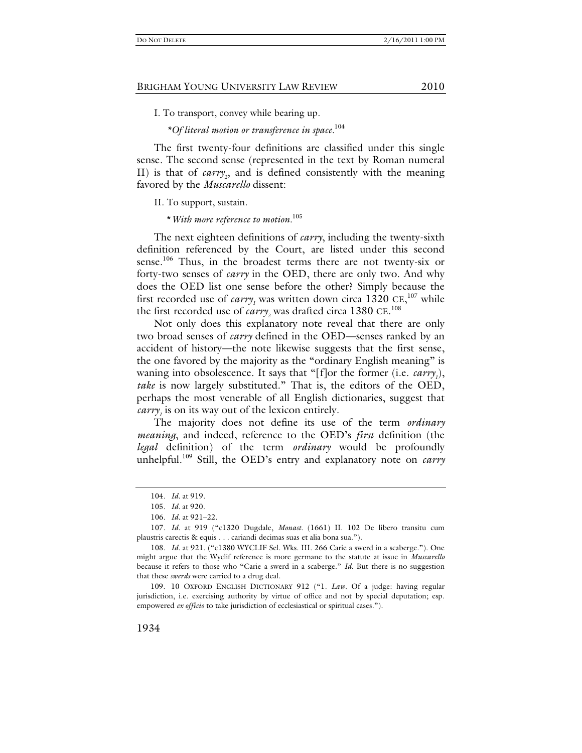I. To transport, convey while bearing up.

 *\*Of literal motion or transference in space.*104

The first twenty-four definitions are classified under this single sense. The second sense (represented in the text by Roman numeral II) is that of *carry*<sub>2</sub>, and is defined consistently with the meaning favored by the *Muscarello* dissent:

II. To support, sustain.

\**With more reference to motion.*105

The next eighteen definitions of *carry*, including the twenty-sixth definition referenced by the Court, are listed under this second sense.<sup>106</sup> Thus, in the broadest terms there are not twenty-six or forty-two senses of *carry* in the OED, there are only two. And why does the OED list one sense before the other? Simply because the first recorded use of *carry<sub>1</sub>* was written down circa  $1320 \text{ CE},^{107}$  while the first recorded use of  $\textit{carry}_2$  was drafted circa 1380 CE.<sup>108</sup>

Not only does this explanatory note reveal that there are only two broad senses of *carry* defined in the OED—senses ranked by an accident of history—the note likewise suggests that the first sense, the one favored by the majority as the "ordinary English meaning" is waning into obsolescence. It says that "[f]or the former (i.e. *carry<sub>1</sub>*), *take* is now largely substituted." That is, the editors of the OED, perhaps the most venerable of all English dictionaries, suggest that *carry<sub>1</sub>* is on its way out of the lexicon entirely.

The majority does not define its use of the term *ordinary meaning*, and indeed, reference to the OED's *first* definition (the *legal* definition) of the term *ordinary* would be profoundly unhelpful.109 Still, the OED's entry and explanatory note on *carry*

<sup>104</sup>*. Id.* at 919.

<sup>105</sup>*. Id.* at 920.

<sup>106</sup>*. Id.* at 921–22.

<sup>107</sup>*. Id.* at 919 ("c1320 Dugdale, *Monast.* (1661) II. 102 De libero transitu cum plaustris carectis & equis . . . cariandi decimas suas et alia bona sua.").

<sup>108</sup>*. Id.* at 921. ("c1380 WYCLIF Sel. Wks. III. 266 Carie a swerd in a scaberge."). One might argue that the Wyclif reference is more germane to the statute at issue in *Muscarello* because it refers to those who "Carie a swerd in a scaberge." *Id.* But there is no suggestion that these *swerds* were carried to a drug deal.

 <sup>109. 10</sup> OXFORD ENGLISH DICTIONARY 912 ("1. *Law.* Of a judge: having regular jurisdiction, i.e. exercising authority by virtue of office and not by special deputation; esp. empowered *ex officio* to take jurisdiction of ecclesiastical or spiritual cases.").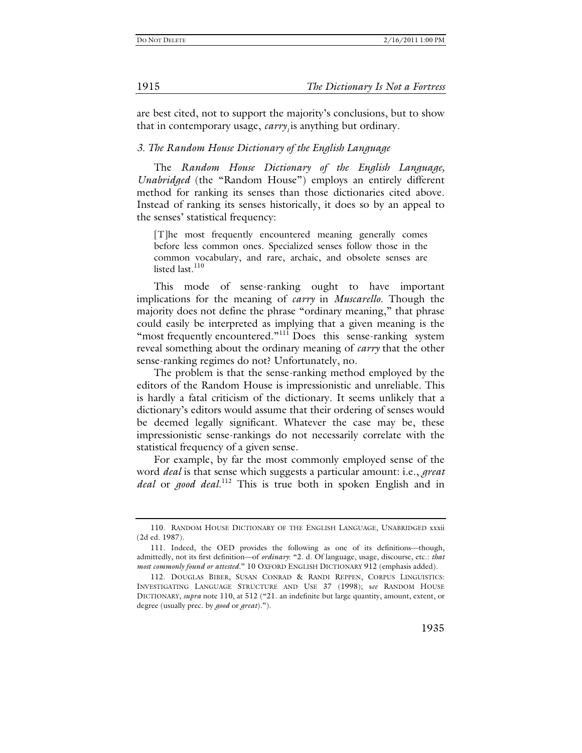are best cited, not to support the majority's conclusions, but to show that in contemporary usage, *carry*, is anything but ordinary.

#### *3. The Random House Dictionary of the English Language*

The *Random House Dictionary of the English Language, Unabridged* (the "Random House") employs an entirely different method for ranking its senses than those dictionaries cited above. Instead of ranking its senses historically, it does so by an appeal to the senses' statistical frequency:

[T]he most frequently encountered meaning generally comes before less common ones. Specialized senses follow those in the common vocabulary, and rare, archaic, and obsolete senses are listed last. $110$ 

This mode of sense-ranking ought to have important implications for the meaning of *carry* in *Muscarello*. Though the majority does not define the phrase "ordinary meaning," that phrase could easily be interpreted as implying that a given meaning is the "most frequently encountered."<sup>111</sup> Does this sense-ranking system reveal something about the ordinary meaning of *carry* that the other sense-ranking regimes do not? Unfortunately, no.

The problem is that the sense-ranking method employed by the editors of the Random House is impressionistic and unreliable. This is hardly a fatal criticism of the dictionary. It seems unlikely that a dictionary's editors would assume that their ordering of senses would be deemed legally significant. Whatever the case may be, these impressionistic sense-rankings do not necessarily correlate with the statistical frequency of a given sense.

For example, by far the most commonly employed sense of the word *deal* is that sense which suggests a particular amount: i.e., *great deal* or *good deal*. 112 This is true both in spoken English and in

<sup>110.</sup> RANDOM HOUSE DICTIONARY OF THE ENGLISH LANGUAGE, UNABRIDGED xxxii (2d ed. 1987).

 <sup>111.</sup> Indeed, the OED provides the following as one of its definitions—though, admittedly, not its first definition—of *ordinary*: "2. d. Of language, usage, discourse, etc.: *that most commonly found or attested*." 10 OXFORD ENGLISH DICTIONARY 912 (emphasis added).

 <sup>112.</sup> DOUGLAS BIBER, SUSAN CONRAD & RANDI REPPEN, CORPUS LINGUISTICS: INVESTIGATING LANGUAGE STRUCTURE AND USE 37 (1998); s*ee* RANDOM HOUSE DICTIONARY, *supra* note 110, at 512 ("21. an indefinite but large quantity, amount, extent, or degree (usually prec. by *good* or *great*).").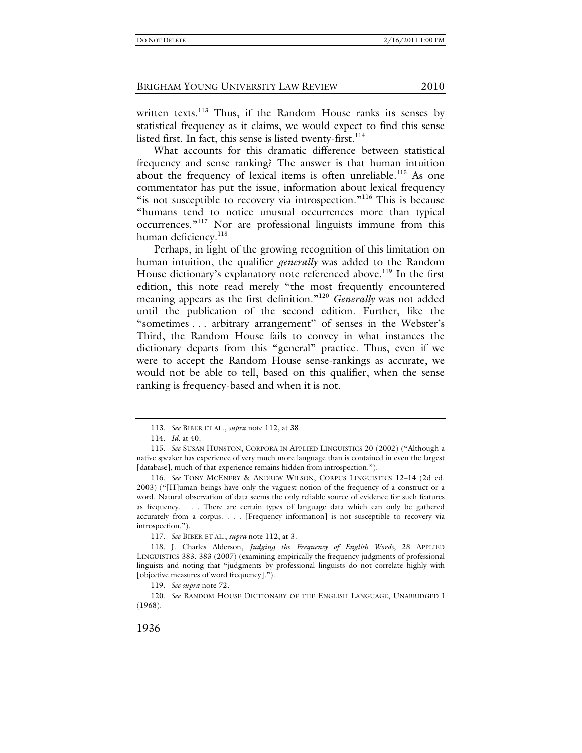written texts.<sup>113</sup> Thus, if the Random House ranks its senses by statistical frequency as it claims, we would expect to find this sense listed first. In fact, this sense is listed twenty-first.  $114$ 

What accounts for this dramatic difference between statistical frequency and sense ranking? The answer is that human intuition about the frequency of lexical items is often unreliable.<sup>115</sup> As one commentator has put the issue, information about lexical frequency "is not susceptible to recovery via introspection."<sup>116</sup> This is because "humans tend to notice unusual occurrences more than typical occurrences."117 Nor are professional linguists immune from this human deficiency.<sup>118</sup>

Perhaps, in light of the growing recognition of this limitation on human intuition, the qualifier *generally* was added to the Random House dictionary's explanatory note referenced above.<sup>119</sup> In the first edition, this note read merely "the most frequently encountered meaning appears as the first definition."<sup>120</sup> *Generally* was not added until the publication of the second edition. Further, like the "sometimes . . . arbitrary arrangement" of senses in the Webster's Third, the Random House fails to convey in what instances the dictionary departs from this "general" practice. Thus, even if we were to accept the Random House sense-rankings as accurate, we would not be able to tell, based on this qualifier, when the sense ranking is frequency-based and when it is not.

117*. See* BIBER ET AL., *supra* note 112, at 3.

119*. See supra* note 72.

120*. See* RANDOM HOUSE DICTIONARY OF THE ENGLISH LANGUAGE, UNABRIDGED I (1968).

<sup>113</sup>*. See* BIBER ET AL., *supra* note 112, at 38.

<sup>114</sup>*. Id.* at 40.

<sup>115</sup>*. See* SUSAN HUNSTON, CORPORA IN APPLIED LINGUISTICS 20 (2002) ("Although a native speaker has experience of very much more language than is contained in even the largest [database], much of that experience remains hidden from introspection.").

<sup>116</sup>*. See* TONY MCENERY & ANDREW WILSON, CORPUS LINGUISTICS 12–14 (2d ed. 2003) ("[H]uman beings have only the vaguest notion of the frequency of a construct or a word. Natural observation of data seems the only reliable source of evidence for such features as frequency. . . . There are certain types of language data which can only be gathered accurately from a corpus. . . . [Frequency information] is not susceptible to recovery via introspection.").

 <sup>118.</sup> J. Charles Alderson, *Judging the Frequency of English Words*, 28 APPLIED LINGUISTICS 383, 383 (2007) (examining empirically the frequency judgments of professional linguists and noting that "judgments by professional linguists do not correlate highly with [objective measures of word frequency].").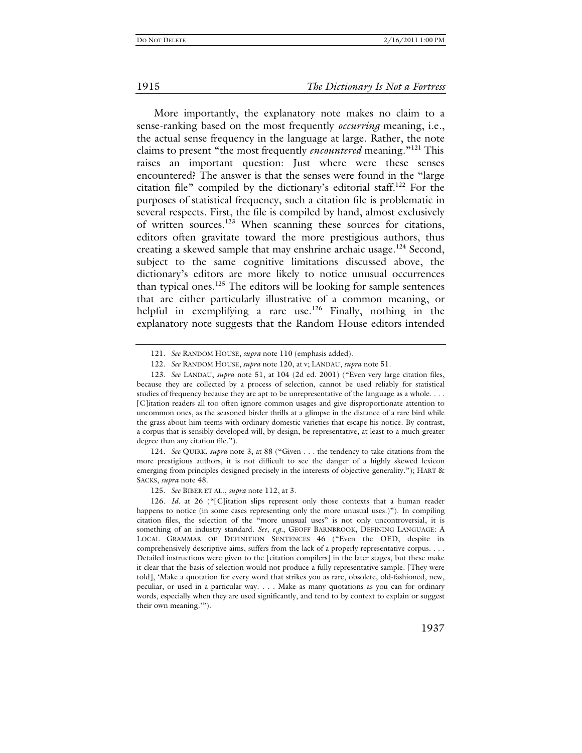#### 1915 *The Dictionary Is Not a Fortress*

More importantly, the explanatory note makes no claim to a sense-ranking based on the most frequently *occurring* meaning, i.e., the actual sense frequency in the language at large. Rather, the note claims to present "the most frequently *encountered* meaning."121 This raises an important question: Just where were these senses encountered? The answer is that the senses were found in the "large citation file" compiled by the dictionary's editorial staff.122 For the purposes of statistical frequency, such a citation file is problematic in several respects. First, the file is compiled by hand, almost exclusively of written sources.123 When scanning these sources for citations, editors often gravitate toward the more prestigious authors, thus creating a skewed sample that may enshrine archaic usage.<sup>124</sup> Second, subject to the same cognitive limitations discussed above, the dictionary's editors are more likely to notice unusual occurrences than typical ones. $125$  The editors will be looking for sample sentences that are either particularly illustrative of a common meaning, or helpful in exemplifying a rare use.<sup>126</sup> Finally, nothing in the explanatory note suggests that the Random House editors intended

124*. See* QUIRK, *supra* note 3, at 88 ("Given . . . the tendency to take citations from the more prestigious authors, it is not difficult to see the danger of a highly skewed lexicon emerging from principles designed precisely in the interests of objective generality."); HART & SACKS, *supra* note 48.

125*. See* BIBER ET AL., *supra* note 112, at 3.

<sup>121</sup>*. See* RANDOM HOUSE, *supra* note 110 (emphasis added).

<sup>122</sup>*. See* RANDOM HOUSE, *supra* note 120, at v; LANDAU, *supra* note 51.

<sup>123</sup>*. See* LANDAU, *supra* note 51, at 104 (2d ed. 2001) ("Even very large citation files, because they are collected by a process of selection, cannot be used reliably for statistical studies of frequency because they are apt to be unrepresentative of the language as a whole. . . . [C]itation readers all too often ignore common usages and give disproportionate attention to uncommon ones, as the seasoned birder thrills at a glimpse in the distance of a rare bird while the grass about him teems with ordinary domestic varieties that escape his notice. By contrast, a corpus that is sensibly developed will, by design, be representative, at least to a much greater degree than any citation file.").

<sup>126</sup>*. Id.* at 26 ("[C]itation slips represent only those contexts that a human reader happens to notice (in some cases representing only the more unusual uses.)"). In compiling citation files, the selection of the "more unusual uses" is not only uncontroversial, it is something of an industry standard. *See, e.g.*, GEOFF BARNBROOK, DEFINING LANGUAGE: A LOCAL GRAMMAR OF DEFINITION SENTENCES 46 ("Even the OED, despite its comprehensively descriptive aims, suffers from the lack of a properly representative corpus. . . . Detailed instructions were given to the [citation compilers] in the later stages, but these make it clear that the basis of selection would not produce a fully representative sample. [They were told], 'Make a quotation for every word that strikes you as rare, obsolete, old-fashioned, new, peculiar, or used in a particular way. . . . Make as many quotations as you can for ordinary words, especially when they are used significantly, and tend to by context to explain or suggest their own meaning.'").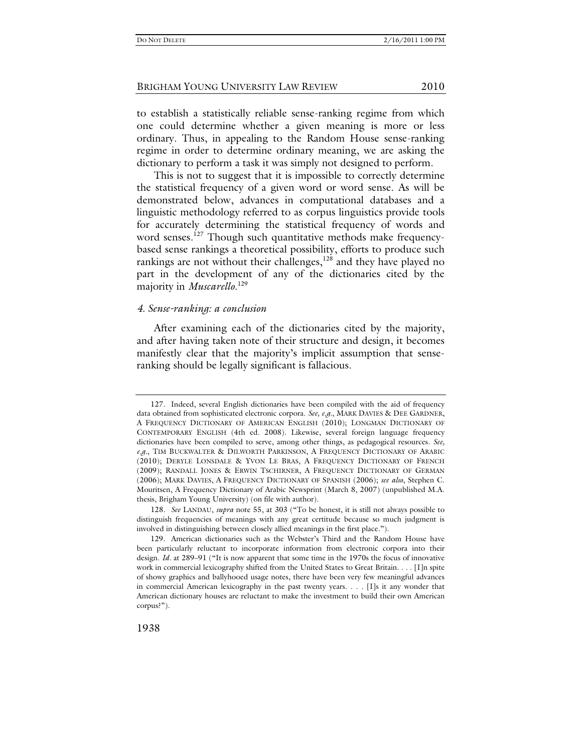to establish a statistically reliable sense-ranking regime from which one could determine whether a given meaning is more or less ordinary. Thus, in appealing to the Random House sense-ranking regime in order to determine ordinary meaning, we are asking the dictionary to perform a task it was simply not designed to perform.

This is not to suggest that it is impossible to correctly determine the statistical frequency of a given word or word sense. As will be demonstrated below, advances in computational databases and a linguistic methodology referred to as corpus linguistics provide tools for accurately determining the statistical frequency of words and word senses.<sup>127</sup> Though such quantitative methods make frequencybased sense rankings a theoretical possibility, efforts to produce such rankings are not without their challenges, $128$  and they have played no part in the development of any of the dictionaries cited by the majority in *Muscarello*. 129

### *4. Sense-ranking: a conclusion*

After examining each of the dictionaries cited by the majority, and after having taken note of their structure and design, it becomes manifestly clear that the majority's implicit assumption that senseranking should be legally significant is fallacious.

 <sup>127.</sup> Indeed, several English dictionaries have been compiled with the aid of frequency data obtained from sophisticated electronic corpora. *See, e.g.*, MARK DAVIES & DEE GARDNER, A FREQUENCY DICTIONARY OF AMERICAN ENGLISH (2010); LONGMAN DICTIONARY OF CONTEMPORARY ENGLISH (4th ed. 2008). Likewise, several foreign language frequency dictionaries have been compiled to serve, among other things, as pedagogical resources. *See, e.g.*, TIM BUCKWALTER & DILWORTH PARKINSON, A FREQUENCY DICTIONARY OF ARABIC (2010); DERYLE LONSDALE & YVON LE BRAS, A FREQUENCY DICTIONARY OF FRENCH (2009); RANDALL JONES & ERWIN TSCHIRNER, A FREQUENCY DICTIONARY OF GERMAN (2006); MARK DAVIES, A FREQUENCY DICTIONARY OF SPANISH (2006); *see also*, Stephen C. Mouritsen, A Frequency Dictionary of Arabic Newsprint (March 8, 2007) (unpublished M.A. thesis, Brigham Young University) (on file with author).

<sup>128</sup>*. See* LANDAU, *supra* note 55, at 303 ("To be honest, it is still not always possible to distinguish frequencies of meanings with any great certitude because so much judgment is involved in distinguishing between closely allied meanings in the first place.").

 <sup>129.</sup> American dictionaries such as the Webster's Third and the Random House have been particularly reluctant to incorporate information from electronic corpora into their design. *Id.* at 289–91 ("It is now apparent that some time in the 1970s the focus of innovative work in commercial lexicography shifted from the United States to Great Britain. . . . [I]n spite of showy graphics and ballyhooed usage notes, there have been very few meaningful advances in commercial American lexicography in the past twenty years. . . . [I]s it any wonder that American dictionary houses are reluctant to make the investment to build their own American corpus?").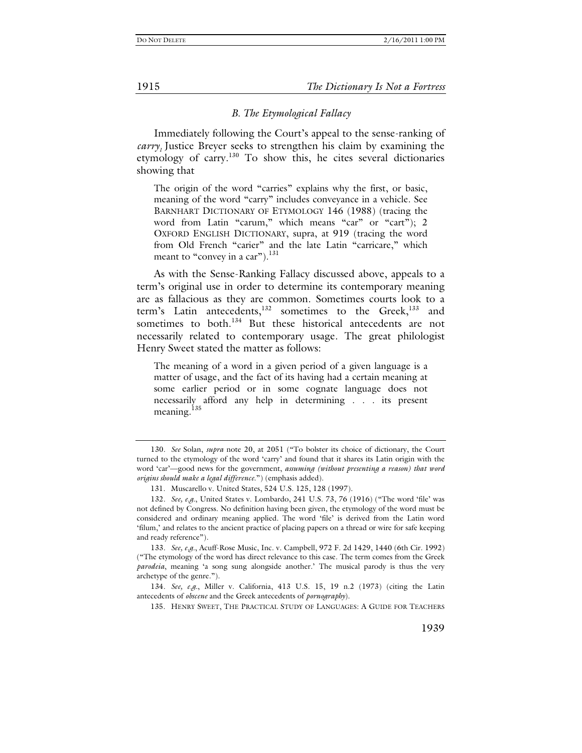#### *B. The Etymological Fallacy*

Immediately following the Court's appeal to the sense-ranking of *carry*, Justice Breyer seeks to strengthen his claim by examining the etymology of carry.130 To show this, he cites several dictionaries showing that

The origin of the word "carries" explains why the first, or basic, meaning of the word "carry" includes conveyance in a vehicle. See BARNHART DICTIONARY OF ETYMOLOGY 146 (1988) (tracing the word from Latin "carum," which means "car" or "cart"); 2 OXFORD ENGLISH DICTIONARY, supra, at 919 (tracing the word from Old French "carier" and the late Latin "carricare," which meant to "convey in a car").<sup>131</sup>

As with the Sense-Ranking Fallacy discussed above, appeals to a term's original use in order to determine its contemporary meaning are as fallacious as they are common. Sometimes courts look to a term's Latin antecedents,<sup>132</sup> sometimes to the Greek,<sup>133</sup> and sometimes to both.<sup>134</sup> But these historical antecedents are not necessarily related to contemporary usage. The great philologist Henry Sweet stated the matter as follows:

The meaning of a word in a given period of a given language is a matter of usage, and the fact of its having had a certain meaning at some earlier period or in some cognate language does not necessarily afford any help in determining . . . its present meaning.<sup>135</sup>

135. HENRY SWEET, THE PRACTICAL STUDY OF LANGUAGES: A GUIDE FOR TEACHERS

<sup>130</sup>*. See* Solan, *supra* note 20, at 2051 ("To bolster its choice of dictionary, the Court turned to the etymology of the word 'carry' and found that it shares its Latin origin with the word 'car'—good news for the government, *assuming (without presenting a reason) that word origins should make a legal difference*.") (emphasis added).

 <sup>131.</sup> Muscarello v. United States, 524 U.S. 125, 128 (1997).

<sup>132</sup>*. See, e.g.*, United States v. Lombardo, 241 U.S. 73, 76 (1916) ("The word 'file' was not defined by Congress. No definition having been given, the etymology of the word must be considered and ordinary meaning applied. The word 'file' is derived from the Latin word 'filum,' and relates to the ancient practice of placing papers on a thread or wire for safe keeping and ready reference").

<sup>133</sup>*. See, e.g.*, Acuff-Rose Music, Inc. v. Campbell, 972 F. 2d 1429, 1440 (6th Cir. 1992) ("The etymology of the word has direct relevance to this case. The term comes from the Greek *parodeia*, meaning 'a song sung alongside another.' The musical parody is thus the very archetype of the genre.").

<sup>134</sup>*. See, e.g.*, Miller v. California, 413 U.S. 15, 19 n.2 (1973) (citing the Latin antecedents of *obscene* and the Greek antecedents of *pornography*).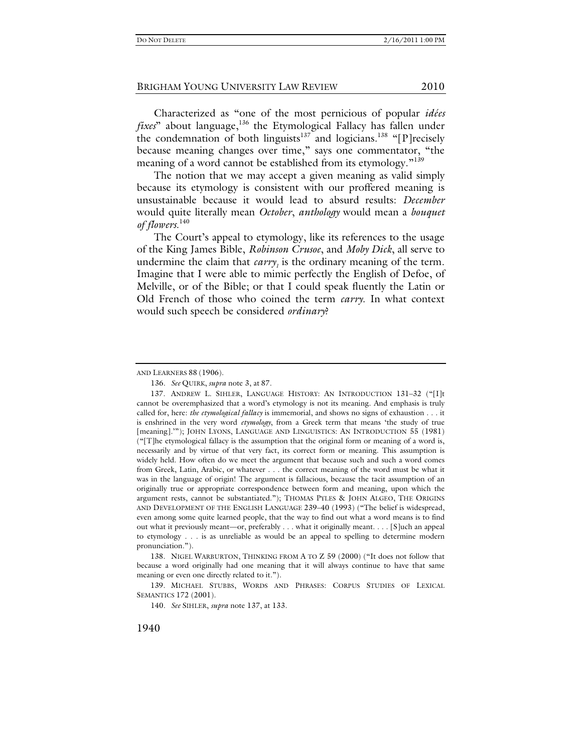Characterized as "one of the most pernicious of popular *idées fixes*" about language,<sup>136</sup> the Etymological Fallacy has fallen under the condemnation of both linguists<sup>137</sup> and logicians.<sup>138</sup> "[P]recisely because meaning changes over time," says one commentator, "the meaning of a word cannot be established from its etymology."<sup>139</sup>

The notion that we may accept a given meaning as valid simply because its etymology is consistent with our proffered meaning is unsustainable because it would lead to absurd results: *December* would quite literally mean *October*, *anthology* would mean a *bouquet of flowers*. 140

The Court's appeal to etymology, like its references to the usage of the King James Bible, *Robinson Crusoe*, and *Moby Dick*, all serve to undermine the claim that  $carry<sub>1</sub>$  is the ordinary meaning of the term. Imagine that I were able to mimic perfectly the English of Defoe, of Melville, or of the Bible; or that I could speak fluently the Latin or Old French of those who coined the term *carry*. In what context would such speech be considered *ordinary*?

 138. NIGEL WARBURTON, THINKING FROM A TO Z 59 (2000) ("It does not follow that because a word originally had one meaning that it will always continue to have that same meaning or even one directly related to it.").

 139. MICHAEL STUBBS, WORDS AND PHRASES: CORPUS STUDIES OF LEXICAL SEMANTICS 172 (2001).

140*. See* SIHLER, *supra* note 137, at 133.

AND LEARNERS 88 (1906).

<sup>136</sup>*. See* QUIRK, *supra* note 3, at 87.

 <sup>137.</sup> ANDREW L. SIHLER, LANGUAGE HISTORY: AN INTRODUCTION 131–32 ("[I]t cannot be overemphasized that a word's etymology is not its meaning. And emphasis is truly called for, here: *the etymological fallacy* is immemorial, and shows no signs of exhaustion . . . it is enshrined in the very word *etymology*, from a Greek term that means 'the study of true [meaning].'"); JOHN LYONS, LANGUAGE AND LINGUISTICS: AN INTRODUCTION 55 (1981) ("[T]he etymological fallacy is the assumption that the original form or meaning of a word is, necessarily and by virtue of that very fact, its correct form or meaning. This assumption is widely held. How often do we meet the argument that because such and such a word comes from Greek, Latin, Arabic, or whatever . . . the correct meaning of the word must be what it was in the language of origin! The argument is fallacious, because the tacit assumption of an originally true or appropriate correspondence between form and meaning, upon which the argument rests, cannot be substantiated."); THOMAS PYLES & JOHN ALGEO, THE ORIGINS AND DEVELOPMENT OF THE ENGLISH LANGUAGE 239–40 (1993) ("The belief is widespread, even among some quite learned people, that the way to find out what a word means is to find out what it previously meant—or, preferably . . . what it originally meant. . . . [S]uch an appeal to etymology . . . is as unreliable as would be an appeal to spelling to determine modern pronunciation.").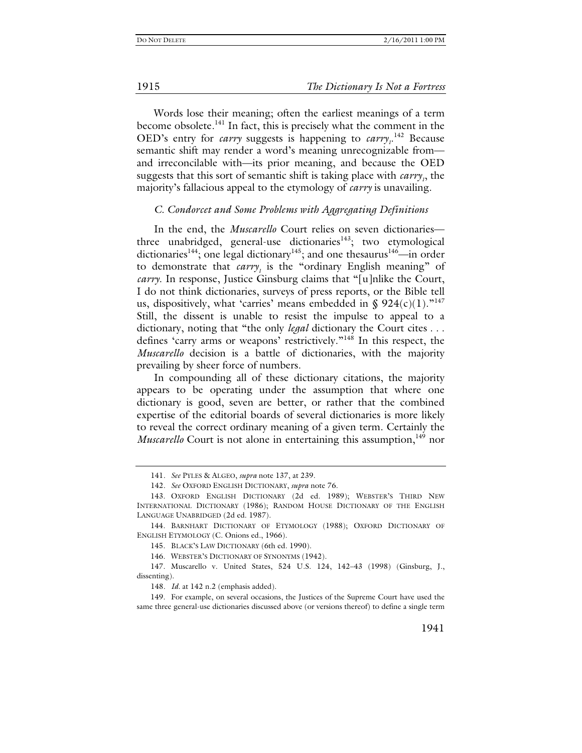1915 *The Dictionary Is Not a Fortress*

Words lose their meaning; often the earliest meanings of a term become obsolete.<sup>141</sup> In fact, this is precisely what the comment in the OED's entry for *carry* suggests is happening to  $\text{carry}_1$ .<sup>142</sup> Because semantic shift may render a word's meaning unrecognizable from and irreconcilable with—its prior meaning, and because the OED suggests that this sort of semantic shift is taking place with *carry*<sub>1</sub>, the majority's fallacious appeal to the etymology of *carry* is unavailing.

#### *C. Condorcet and Some Problems with Aggregating Definitions*

In the end, the *Muscarello* Court relies on seven dictionaries three unabridged, general-use dictionaries<sup>143</sup>; two etymological dictionaries<sup>144</sup>; one legal dictionary<sup>145</sup>; and one thesaurus<sup>146</sup>—in order to demonstrate that *carry*<sub>1</sub> is the "ordinary English meaning" of *carry*. In response, Justice Ginsburg claims that "[u]nlike the Court, I do not think dictionaries, surveys of press reports, or the Bible tell us, dispositively, what 'carries' means embedded in §  $924(c)(1)$ ."<sup>147</sup> Still, the dissent is unable to resist the impulse to appeal to a dictionary, noting that "the only *legal* dictionary the Court cites . . . defines 'carry arms or weapons' restrictively."148 In this respect, the *Muscarello* decision is a battle of dictionaries, with the majority prevailing by sheer force of numbers.

In compounding all of these dictionary citations, the majority appears to be operating under the assumption that where one dictionary is good, seven are better, or rather that the combined expertise of the editorial boards of several dictionaries is more likely to reveal the correct ordinary meaning of a given term. Certainly the *Muscarello* Court is not alone in entertaining this assumption,<sup>149</sup> nor

<sup>141</sup>*. See* PYLES & ALGEO, *supra* note 137, at 239.

<sup>142</sup>*. See* OXFORD ENGLISH DICTIONARY, *supra* note 76.

 <sup>143.</sup> OXFORD ENGLISH DICTIONARY (2d ed. 1989); WEBSTER'S THIRD NEW INTERNATIONAL DICTIONARY (1986); RANDOM HOUSE DICTIONARY OF THE ENGLISH LANGUAGE UNABRIDGED (2d ed. 1987).

 <sup>144.</sup> BARNHART DICTIONARY OF ETYMOLOGY (1988); OXFORD DICTIONARY OF ENGLISH ETYMOLOGY (C. Onions ed., 1966).

 <sup>145.</sup> BLACK'S LAW DICTIONARY (6th ed. 1990).

 <sup>146.</sup> WEBSTER'S DICTIONARY OF SYNONYMS (1942).

 <sup>147.</sup> Muscarello v. United States, 524 U.S. 124, 142–43 (1998) (Ginsburg, J., dissenting).

<sup>148</sup>*. Id.* at 142 n.2 (emphasis added).

 <sup>149.</sup> For example, on several occasions, the Justices of the Supreme Court have used the same three general-use dictionaries discussed above (or versions thereof) to define a single term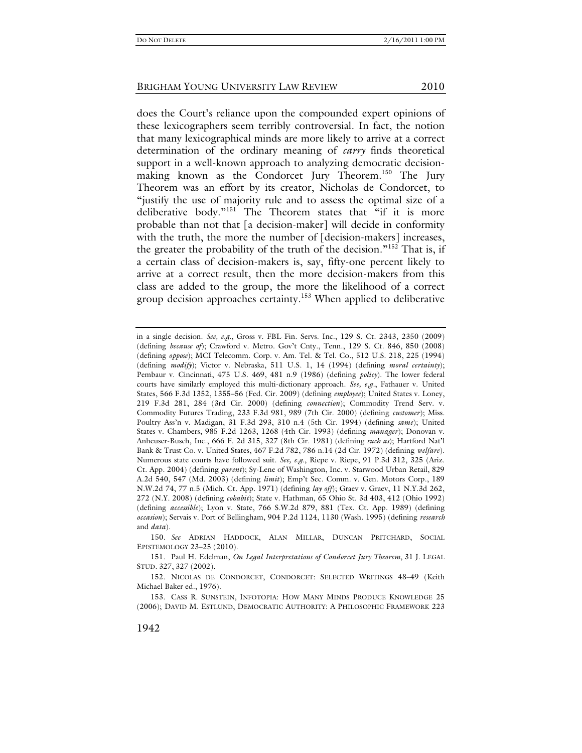does the Court's reliance upon the compounded expert opinions of these lexicographers seem terribly controversial. In fact, the notion that many lexicographical minds are more likely to arrive at a correct determination of the ordinary meaning of *carry* finds theoretical support in a well-known approach to analyzing democratic decisionmaking known as the Condorcet Jury Theorem.<sup>150</sup> The Jury Theorem was an effort by its creator, Nicholas de Condorcet, to "justify the use of majority rule and to assess the optimal size of a deliberative body."151 The Theorem states that "if it is more probable than not that [a decision-maker] will decide in conformity with the truth, the more the number of [decision-makers] increases, the greater the probability of the truth of the decision."152 That is, if a certain class of decision-makers is, say, fifty-one percent likely to arrive at a correct result, then the more decision-makers from this class are added to the group, the more the likelihood of a correct group decision approaches certainty.<sup>153</sup> When applied to deliberative

in a single decision. *See, e.g.*, Gross v. FBL Fin. Servs. Inc., 129 S. Ct. 2343, 2350 (2009) (defining *because of*); Crawford v. Metro. Gov't Cnty., Tenn., 129 S. Ct. 846, 850 (2008) (defining *oppose*); MCI Telecomm. Corp. v. Am. Tel. & Tel. Co., 512 U.S. 218, 225 (1994) (defining *modify*); Victor v. Nebraska, 511 U.S. 1, 14 (1994) (defining *moral certainty*); Pembaur v. Cincinnati, 475 U.S. 469, 481 n.9 (1986) (defining *policy*). The lower federal courts have similarly employed this multi-dictionary approach. *See, e.g.*, Fathauer v. United States, 566 F.3d 1352, 1355–56 (Fed. Cir. 2009) (defining *employee*); United States v. Loney, 219 F.3d 281, 284 (3rd Cir. 2000) (defining *connection*); Commodity Trend Serv. v. Commodity Futures Trading, 233 F.3d 981, 989 (7th Cir. 2000) (defining *customer*); Miss. Poultry Ass'n v. Madigan, 31 F.3d 293, 310 n.4 (5th Cir. 1994) (defining *same*); United States v. Chambers, 985 F.2d 1263, 1268 (4th Cir. 1993) (defining *manager*); Donovan v. Anheuser-Busch, Inc., 666 F. 2d 315, 327 (8th Cir. 1981) (defining *such as*); Hartford Nat'l Bank & Trust Co. v. United States, 467 F.2d 782, 786 n.14 (2d Cir. 1972) (defining *welfare*). Numerous state courts have followed suit. *See, e.g.*, Riepe v. Riepe, 91 P.3d 312, 325 (Ariz. Ct. App. 2004) (defining *parent*); Sy-Lene of Washington, Inc. v. Starwood Urban Retail, 829 A.2d 540, 547 (Md. 2003) (defining *limit*); Emp't Sec. Comm. v. Gen. Motors Corp., 189 N.W.2d 74, 77 n.5 (Mich. Ct. App. 1971) (defining *lay off*); Graev v. Graev, 11 N.Y.3d 262, 272 (N.Y. 2008) (defining *cohabit*); State v. Hathman, 65 Ohio St. 3d 403, 412 (Ohio 1992) (defining *accessible*); Lyon v. State, 766 S.W.2d 879, 881 (Tex. Ct. App. 1989) (defining *occasion*); Servais v. Port of Bellingham, 904 P.2d 1124, 1130 (Wash. 1995) (defining *research* and *data*).

<sup>150</sup>*. See* ADRIAN HADDOCK, ALAN MILLAR, DUNCAN PRITCHARD, SOCIAL EPISTEMOLOGY 23–25 (2010).

 <sup>151.</sup> Paul H. Edelman, *On Legal Interpretations of Condorcet Jury Theorem*, 31 J. LEGAL STUD. 327, 327 (2002).

 <sup>152.</sup> NICOLAS DE CONDORCET, CONDORCET: SELECTED WRITINGS 48–49 (Keith Michael Baker ed., 1976).

 <sup>153.</sup> CASS R. SUNSTEIN, INFOTOPIA: HOW MANY MINDS PRODUCE KNOWLEDGE 25 (2006); DAVID M. ESTLUND, DEMOCRATIC AUTHORITY: A PHILOSOPHIC FRAMEWORK 223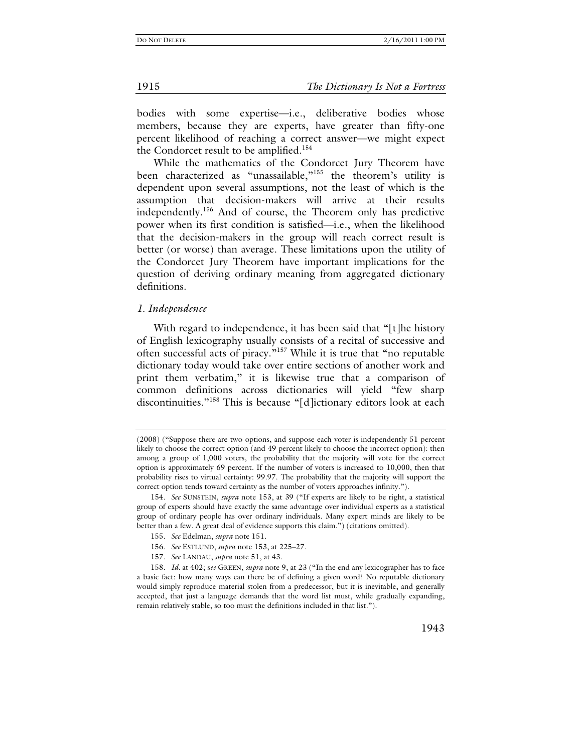1915 *The Dictionary Is Not a Fortress*

bodies with some expertise—i.e., deliberative bodies whose members, because they are experts, have greater than fifty-one percent likelihood of reaching a correct answer—we might expect the Condorcet result to be amplified.<sup>154</sup>

While the mathematics of the Condorcet Jury Theorem have been characterized as "unassailable,"<sup>155</sup> the theorem's utility is dependent upon several assumptions, not the least of which is the assumption that decision-makers will arrive at their results independently.156 And of course, the Theorem only has predictive power when its first condition is satisfied—i.e., when the likelihood that the decision-makers in the group will reach correct result is better (or worse) than average. These limitations upon the utility of the Condorcet Jury Theorem have important implications for the question of deriving ordinary meaning from aggregated dictionary definitions.

#### *1. Independence*

With regard to independence, it has been said that "[t]he history of English lexicography usually consists of a recital of successive and often successful acts of piracy."<sup>157</sup> While it is true that "no reputable dictionary today would take over entire sections of another work and print them verbatim," it is likewise true that a comparison of common definitions across dictionaries will yield "few sharp discontinuities."<sup>158</sup> This is because "[d]ictionary editors look at each

<sup>(2008) (&</sup>quot;Suppose there are two options, and suppose each voter is independently 51 percent likely to choose the correct option (and 49 percent likely to choose the incorrect option): then among a group of 1,000 voters, the probability that the majority will vote for the correct option is approximately 69 percent. If the number of voters is increased to 10,000, then that probability rises to virtual certainty: 99.97. The probability that the majority will support the correct option tends toward certainty as the number of voters approaches infinity.").

<sup>154</sup>*. See* SUNSTEIN, *supra* note 153, at 39 ("If experts are likely to be right, a statistical group of experts should have exactly the same advantage over individual experts as a statistical group of ordinary people has over ordinary individuals. Many expert minds are likely to be better than a few. A great deal of evidence supports this claim.") (citations omitted).

<sup>155</sup>*. See* Edelman, *supra* note 151.

<sup>156</sup>*. See* ESTLUND, *supra* note 153, at 225–27.

<sup>157</sup>*. See* LANDAU, *supra* note 51, at 43.

<sup>158</sup>*. Id.* at 402; s*ee* GREEN, *supra* note 9, at 23 ("In the end any lexicographer has to face a basic fact: how many ways can there be of defining a given word? No reputable dictionary would simply reproduce material stolen from a predecessor, but it is inevitable, and generally accepted, that just a language demands that the word list must, while gradually expanding, remain relatively stable, so too must the definitions included in that list.").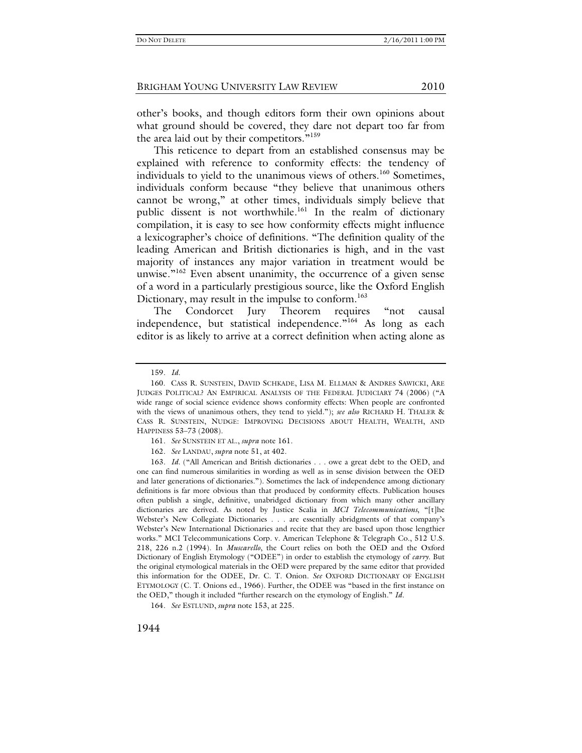other's books, and though editors form their own opinions about what ground should be covered, they dare not depart too far from the area laid out by their competitors."<sup>159</sup>

This reticence to depart from an established consensus may be explained with reference to conformity effects: the tendency of individuals to yield to the unanimous views of others.<sup>160</sup> Sometimes, individuals conform because "they believe that unanimous others cannot be wrong," at other times, individuals simply believe that public dissent is not worthwhile.<sup>161</sup> In the realm of dictionary compilation, it is easy to see how conformity effects might influence a lexicographer's choice of definitions. "The definition quality of the leading American and British dictionaries is high, and in the vast majority of instances any major variation in treatment would be unwise. $162$  Even absent unanimity, the occurrence of a given sense of a word in a particularly prestigious source, like the Oxford English Dictionary, may result in the impulse to conform.<sup>163</sup>

The Condorcet Jury Theorem requires "not causal independence, but statistical independence."<sup>164</sup> As long as each editor is as likely to arrive at a correct definition when acting alone as

162*. See* LANDAU, *supra* note 51, at 402.

163*. Id.* ("All American and British dictionaries . . . owe a great debt to the OED, and one can find numerous similarities in wording as well as in sense division between the OED and later generations of dictionaries."). Sometimes the lack of independence among dictionary definitions is far more obvious than that produced by conformity effects. Publication houses often publish a single, definitive, unabridged dictionary from which many other ancillary dictionaries are derived. As noted by Justice Scalia in *MCI Telecommunications*, "[t]he Webster's New Collegiate Dictionaries . . . are essentially abridgments of that company's Webster's New International Dictionaries and recite that they are based upon those lengthier works." MCI Telecommunications Corp. v. American Telephone & Telegraph Co., 512 U.S. 218, 226 n.2 (1994). In *Muscarello*, the Court relies on both the OED and the Oxford Dictionary of English Etymology ("ODEE") in order to establish the etymology of *carry*. But the original etymological materials in the OED were prepared by the same editor that provided this information for the ODEE, Dr. C. T. Onion. *See* OXFORD DICTIONARY OF ENGLISH ETYMOLOGY (C. T. Onions ed., 1966). Further, the ODEE was "based in the first instance on the OED," though it included "further research on the etymology of English." *Id.* 

164*. See* ESTLUND, *supra* note 153, at 225.

<sup>159</sup>*. Id.*

 <sup>160.</sup> CASS R. SUNSTEIN, DAVID SCHKADE, LISA M. ELLMAN & ANDRES SAWICKI, ARE JUDGES POLITICAL? AN EMPIRICAL ANALYSIS OF THE FEDERAL JUDICIARY 74 (2006) ("A wide range of social science evidence shows conformity effects: When people are confronted with the views of unanimous others, they tend to yield."); *see also* RICHARD H. THALER & CASS R. SUNSTEIN, NUDGE: IMPROVING DECISIONS ABOUT HEALTH, WEALTH, AND HAPPINESS 53–73 (2008).

<sup>161</sup>*. See* SUNSTEIN ET AL., *supra* note 161.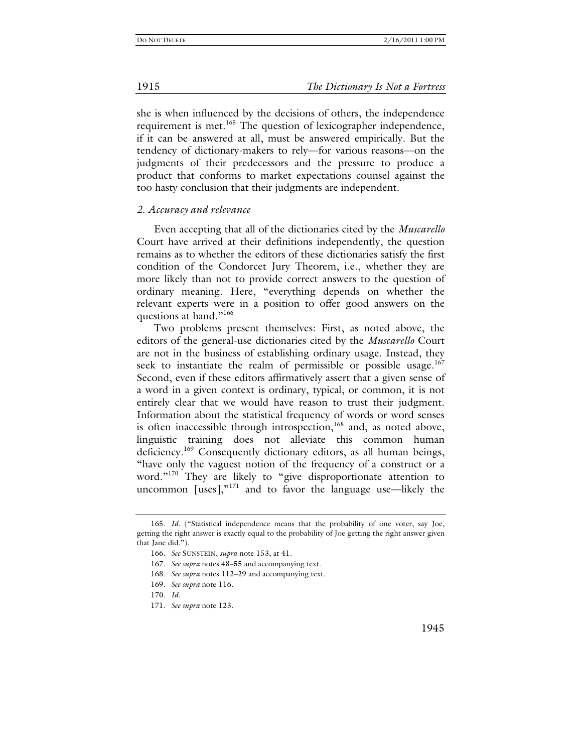she is when influenced by the decisions of others, the independence requirement is met.<sup>165</sup> The question of lexicographer independence, if it can be answered at all, must be answered empirically. But the tendency of dictionary-makers to rely—for various reasons—on the judgments of their predecessors and the pressure to produce a product that conforms to market expectations counsel against the too hasty conclusion that their judgments are independent.

#### *2. Accuracy and relevance*

Even accepting that all of the dictionaries cited by the *Muscarello*  Court have arrived at their definitions independently, the question remains as to whether the editors of these dictionaries satisfy the first condition of the Condorcet Jury Theorem, i.e., whether they are more likely than not to provide correct answers to the question of ordinary meaning. Here, "everything depends on whether the relevant experts were in a position to offer good answers on the questions at hand."<sup>166</sup>

Two problems present themselves: First, as noted above, the editors of the general-use dictionaries cited by the *Muscarello* Court are not in the business of establishing ordinary usage. Instead, they seek to instantiate the realm of permissible or possible usage.<sup>167</sup> Second, even if these editors affirmatively assert that a given sense of a word in a given context is ordinary, typical, or common, it is not entirely clear that we would have reason to trust their judgment. Information about the statistical frequency of words or word senses is often inaccessible through introspection,<sup>168</sup> and, as noted above, linguistic training does not alleviate this common human deficiency.<sup>169</sup> Consequently dictionary editors, as all human beings, "have only the vaguest notion of the frequency of a construct or a word."<sup>170</sup> They are likely to "give disproportionate attention to uncommon [uses], $v^{171}$  and to favor the language use—likely the

<sup>165</sup>*. Id.* ("Statistical independence means that the probability of one voter, say Joe, getting the right answer is exactly equal to the probability of Joe getting the right answer given that Jane did.").

<sup>166</sup>*. See* SUNSTEIN, *supra* note 153, at 41.

<sup>167</sup>*. See supra* notes 48–55 and accompanying text.

<sup>168</sup>*. See supra* notes 112–29 and accompanying text.

<sup>169</sup>*. See supra* note 116.

<sup>170</sup>*. Id.*

<sup>171</sup>*. See supra* note 123.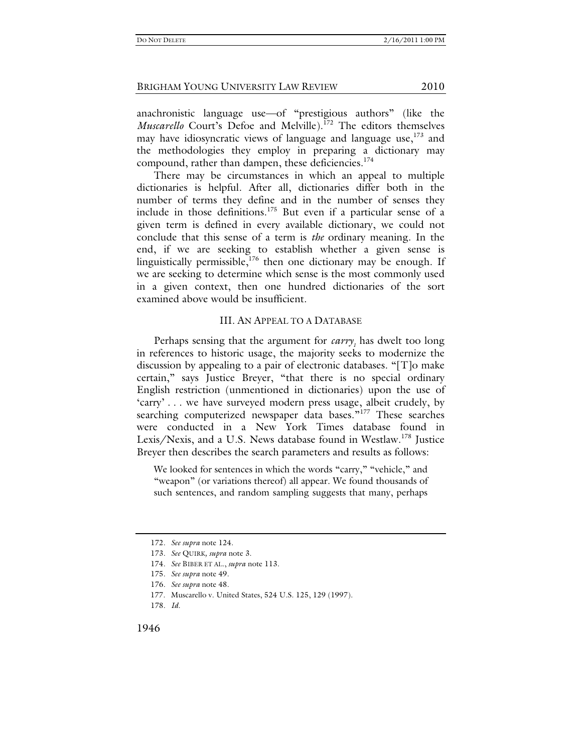anachronistic language use—of "prestigious authors" (like the *Muscarello* Court's Defoe and Melville).<sup>172</sup> The editors themselves may have idiosyncratic views of language and language use,  $173$  and the methodologies they employ in preparing a dictionary may compound, rather than dampen, these deficiencies.<sup>174</sup>

There may be circumstances in which an appeal to multiple dictionaries is helpful. After all, dictionaries differ both in the number of terms they define and in the number of senses they include in those definitions.175 But even if a particular sense of a given term is defined in every available dictionary, we could not conclude that this sense of a term is *the* ordinary meaning. In the end, if we are seeking to establish whether a given sense is linguistically permissible, $176$  then one dictionary may be enough. If we are seeking to determine which sense is the most commonly used in a given context, then one hundred dictionaries of the sort examined above would be insufficient.

#### III. AN APPEAL TO A DATABASE

Perhaps sensing that the argument for *carry<sub>1</sub>* has dwelt too long in references to historic usage, the majority seeks to modernize the discussion by appealing to a pair of electronic databases. "[T]o make certain," says Justice Breyer, "that there is no special ordinary English restriction (unmentioned in dictionaries) upon the use of 'carry' . . . we have surveyed modern press usage, albeit crudely, by searching computerized newspaper data bases."<sup>177</sup> These searches were conducted in a New York Times database found in Lexis/Nexis, and a U.S. News database found in Westlaw.<sup>178</sup> Justice Breyer then describes the search parameters and results as follows:

We looked for sentences in which the words "carry," "vehicle," and "weapon" (or variations thereof) all appear. We found thousands of such sentences, and random sampling suggests that many, perhaps

<sup>172</sup>*. See supra* note 124.

<sup>173</sup>*. See* QUIRK*, supra* note 3.

<sup>174</sup>*. See* BIBER ET AL., *supra* note 113.

<sup>175</sup>*. See supra* note 49.

<sup>176</sup>*. See supra* note 48.

 <sup>177.</sup> Muscarello v. United States, 524 U.S. 125, 129 (1997).

<sup>178</sup>*. Id.*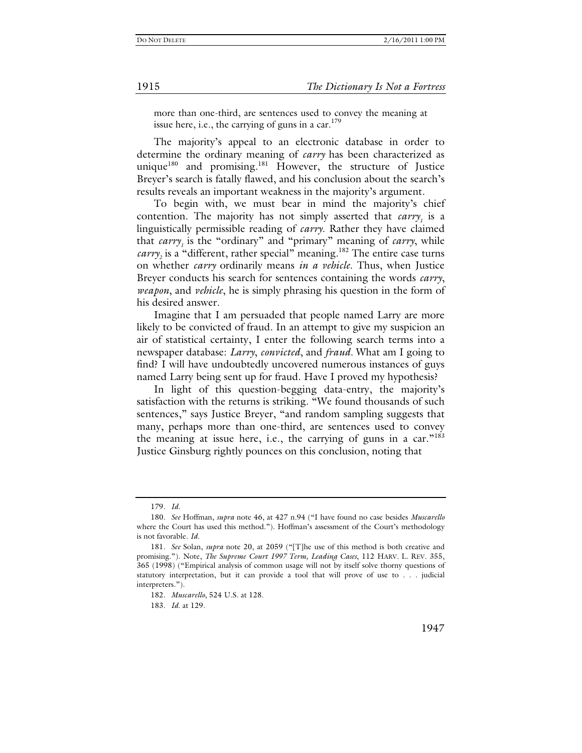more than one-third, are sentences used to convey the meaning at issue here, i.e., the carrying of guns in a car.  $179$ 

The majority's appeal to an electronic database in order to determine the ordinary meaning of *carry* has been characterized as unique<sup>180</sup> and promising.<sup>181</sup> However, the structure of Justice Breyer's search is fatally flawed, and his conclusion about the search's results reveals an important weakness in the majority's argument.

To begin with, we must bear in mind the majority's chief contention. The majority has not simply asserted that *carry<sub>1</sub>* is a linguistically permissible reading of *carry*. Rather they have claimed that *carry<sub>1</sub>* is the "ordinary" and "primary" meaning of *carry*, while *carry*<sub>2</sub> is a "different, rather special" meaning.<sup>182</sup> The entire case turns on whether *carry* ordinarily means *in a vehicle*. Thus, when Justice Breyer conducts his search for sentences containing the words *carry*, *weapon*, and *vehicle*, he is simply phrasing his question in the form of his desired answer.

Imagine that I am persuaded that people named Larry are more likely to be convicted of fraud. In an attempt to give my suspicion an air of statistical certainty, I enter the following search terms into a newspaper database: *Larry*, *convicted*, and *fraud.* What am I going to find? I will have undoubtedly uncovered numerous instances of guys named Larry being sent up for fraud. Have I proved my hypothesis?

In light of this question-begging data-entry, the majority's satisfaction with the returns is striking. "We found thousands of such sentences," says Justice Breyer, "and random sampling suggests that many, perhaps more than one-third, are sentences used to convey the meaning at issue here, i.e., the carrying of guns in a car."<sup>183</sup> Justice Ginsburg rightly pounces on this conclusion, noting that

183*. Id.* at 129.

<sup>179</sup>*. Id.*

<sup>180</sup>*. See* Hoffman, *supra* note 46, at 427 n.94 ("I have found no case besides *Muscarello* where the Court has used this method."). Hoffman's assessment of the Court's methodology is not favorable. *Id.*

<sup>181</sup>*. See* Solan, *supra* note 20, at 2059 ("[T]he use of this method is both creative and promising."). Note, *The Supreme Court 1997 Term, Leading Cases*, 112 HARV. L. REV. 355, 365 (1998) ("Empirical analysis of common usage will not by itself solve thorny questions of statutory interpretation, but it can provide a tool that will prove of use to . . . judicial interpreters.").

<sup>182</sup>*. Muscarello*, 524 U.S. at 128.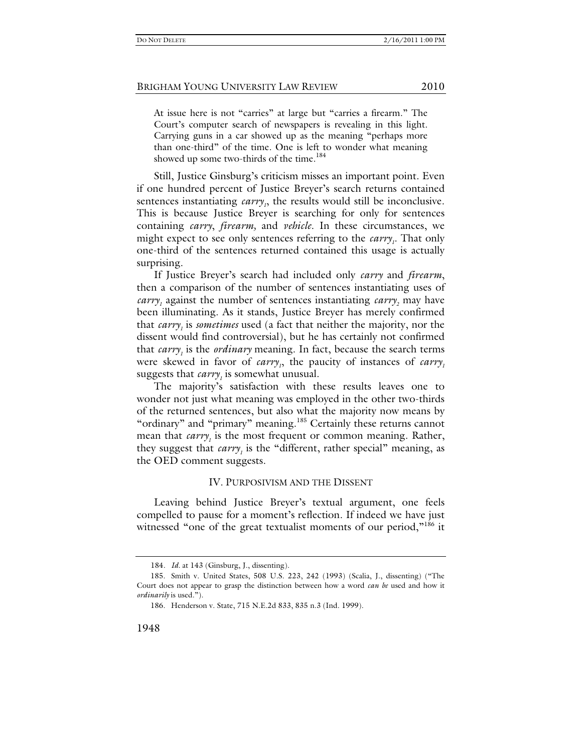At issue here is not "carries" at large but "carries a firearm." The Court's computer search of newspapers is revealing in this light. Carrying guns in a car showed up as the meaning "perhaps more than one-third" of the time. One is left to wonder what meaning showed up some two-thirds of the time.<sup>184</sup>

Still, Justice Ginsburg's criticism misses an important point. Even if one hundred percent of Justice Breyer's search returns contained sentences instantiating *carry*<sub>1</sub>, the results would still be inconclusive. This is because Justice Breyer is searching for only for sentences containing *carry*, *firearm,* and *vehicle*. In these circumstances, we might expect to see only sentences referring to the *carry*<sub>1</sub>. That only one-third of the sentences returned contained this usage is actually surprising.

If Justice Breyer's search had included only *carry* and *firearm*, then a comparison of the number of sentences instantiating uses of *carry*<sub>1</sub> against the number of sentences instantiating *carry*<sub>2</sub> may have been illuminating. As it stands, Justice Breyer has merely confirmed that *carry<sub>1</sub>* is *sometimes* used (a fact that neither the majority, nor the dissent would find controversial), but he has certainly not confirmed that *carry<sub>1</sub>* is the *ordinary* meaning. In fact, because the search terms were skewed in favor of *carry*<sub>1</sub>, the paucity of instances of *carry*<sub>1</sub> suggests that *carry<sub>1</sub>* is somewhat unusual.

The majority's satisfaction with these results leaves one to wonder not just what meaning was employed in the other two-thirds of the returned sentences, but also what the majority now means by "ordinary" and "primary" meaning.<sup>185</sup> Certainly these returns cannot mean that *carry*<sub>1</sub> is the most frequent or common meaning. Rather, they suggest that *carry<sub>1</sub>* is the "different, rather special" meaning, as the OED comment suggests.

#### IV. PURPOSIVISM AND THE DISSENT

Leaving behind Justice Breyer's textual argument, one feels compelled to pause for a moment's reflection. If indeed we have just witnessed "one of the great textualist moments of our period,"<sup>186</sup> it

<sup>184</sup>*. Id.* at 143 (Ginsburg, J., dissenting).

 <sup>185.</sup> Smith v. United States, 508 U.S. 223, 242 (1993) (Scalia, J., dissenting) ("The Court does not appear to grasp the distinction between how a word *can be* used and how it *ordinarily* is used.").

 <sup>186.</sup> Henderson v. State, 715 N.E.2d 833, 835 n.3 (Ind. 1999).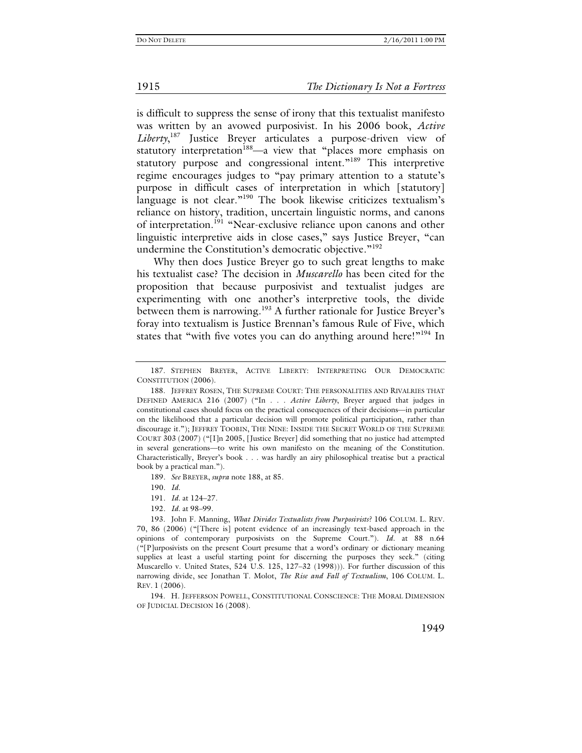#### 1915 *The Dictionary Is Not a Fortress*

is difficult to suppress the sense of irony that this textualist manifesto was written by an avowed purposivist. In his 2006 book, *Active Liberty*, 187 Justice Breyer articulates a purpose-driven view of statutory interpretation<sup>188</sup>—a view that "places more emphasis on statutory purpose and congressional intent."<sup>189</sup> This interpretive regime encourages judges to "pay primary attention to a statute's purpose in difficult cases of interpretation in which [statutory] language is not clear."<sup>190</sup> The book likewise criticizes textualism's reliance on history, tradition, uncertain linguistic norms, and canons of interpretation.<sup>191</sup> "Near-exclusive reliance upon canons and other linguistic interpretive aids in close cases," says Justice Breyer, "can undermine the Constitution's democratic objective."<sup>192</sup>

Why then does Justice Breyer go to such great lengths to make his textualist case? The decision in *Muscarello* has been cited for the proposition that because purposivist and textualist judges are experimenting with one another's interpretive tools, the divide between them is narrowing.<sup>193</sup> A further rationale for Justice Brever's foray into textualism is Justice Brennan's famous Rule of Five, which states that "with five votes you can do anything around here!"<sup>194</sup> In

189*. See* BREYER, *supra* note 188, at 85.

 194. H. JEFFERSON POWELL, CONSTITUTIONAL CONSCIENCE: THE MORAL DIMENSION OF JUDICIAL DECISION 16 (2008).

 <sup>187.</sup> STEPHEN BREYER, ACTIVE LIBERTY: INTERPRETING OUR DEMOCRATIC CONSTITUTION (2006).

 <sup>188.</sup> JEFFREY ROSEN, THE SUPREME COURT: THE PERSONALITIES AND RIVALRIES THAT DEFINED AMERICA 216 (2007) ("In . . . *Active Liberty*, Breyer argued that judges in constitutional cases should focus on the practical consequences of their decisions—in particular on the likelihood that a particular decision will promote political participation, rather than discourage it."); JEFFREY TOOBIN, THE NINE: INSIDE THE SECRET WORLD OF THE SUPREME COURT 303 (2007) ("[I]n 2005, [Justice Breyer] did something that no justice had attempted in several generations—to write his own manifesto on the meaning of the Constitution. Characteristically, Breyer's book . . . was hardly an airy philosophical treatise but a practical book by a practical man.").

<sup>190</sup>*. Id.*

<sup>191</sup>*. Id.* at 124–27.

<sup>192</sup>*. Id.* at 98–99.

 <sup>193.</sup> John F. Manning, *What Divides Textualists from Purposivists?* 106 COLUM. L. REV. 70, 86 (2006) ("[There is] potent evidence of an increasingly text-based approach in the opinions of contemporary purposivists on the Supreme Court."). *Id.* at 88 n.64 ("[P]urposivists on the present Court presume that a word's ordinary or dictionary meaning supplies at least a useful starting point for discerning the purposes they seek." (citing Muscarello v. United States, 524 U.S. 125, 127–32 (1998))). For further discussion of this narrowing divide, see Jonathan T. Molot, *The Rise and Fall of Textualism*, 106 COLUM. L. REV. 1 (2006).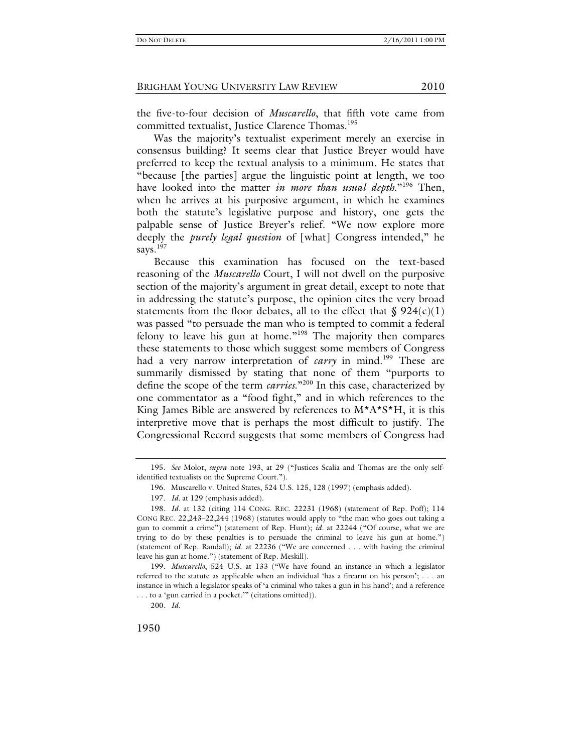the five-to-four decision of *Muscarello*, that fifth vote came from committed textualist, Justice Clarence Thomas.<sup>195</sup>

Was the majority's textualist experiment merely an exercise in consensus building? It seems clear that Justice Breyer would have preferred to keep the textual analysis to a minimum. He states that "because [the parties] argue the linguistic point at length, we too have looked into the matter *in more than usual depth*."196 Then, when he arrives at his purposive argument, in which he examines both the statute's legislative purpose and history, one gets the palpable sense of Justice Breyer's relief. "We now explore more deeply the *purely legal question* of [what] Congress intended," he says.<sup>197</sup>

Because this examination has focused on the text-based reasoning of the *Muscarello* Court, I will not dwell on the purposive section of the majority's argument in great detail, except to note that in addressing the statute's purpose, the opinion cites the very broad statements from the floor debates, all to the effect that  $\S 924(c)(1)$ was passed "to persuade the man who is tempted to commit a federal felony to leave his gun at home."198 The majority then compares these statements to those which suggest some members of Congress had a very narrow interpretation of *carry* in mind.<sup>199</sup> These are summarily dismissed by stating that none of them "purports to define the scope of the term *carries.*"200 In this case, characterized by one commentator as a "food fight," and in which references to the King James Bible are answered by references to  $M^*A^*S^*H$ , it is this interpretive move that is perhaps the most difficult to justify. The Congressional Record suggests that some members of Congress had

199*. Muscarello*, 524 U.S. at 133 ("We have found an instance in which a legislator referred to the statute as applicable when an individual 'has a firearm on his person'; . . . an instance in which a legislator speaks of 'a criminal who takes a gun in his hand'; and a reference . . . to a 'gun carried in a pocket.'" (citations omitted)).

<sup>195</sup>*. See* Molot, *supra* note 193, at 29 ("Justices Scalia and Thomas are the only selfidentified textualists on the Supreme Court.").

 <sup>196.</sup> Muscarello v. United States, 524 U.S. 125, 128 (1997) (emphasis added).

<sup>197</sup>*. Id.* at 129 (emphasis added).

<sup>198</sup>*. Id.* at 132 (citing 114 CONG. REC. 22231 (1968) (statement of Rep. Poff); 114 CONG REC. 22,243–22,244 (1968) (statutes would apply to "the man who goes out taking a gun to commit a crime") (statement of Rep. Hunt); *id.* at 22244 ("Of course, what we are trying to do by these penalties is to persuade the criminal to leave his gun at home.") (statement of Rep. Randall); *id.* at 22236 ("We are concerned . . . with having the criminal leave his gun at home.") (statement of Rep. Meskill).

<sup>200</sup>*. Id.*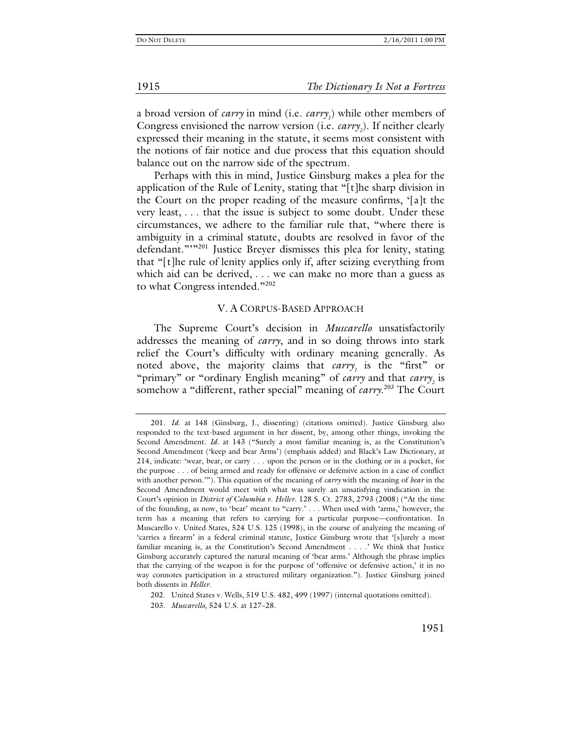a broad version of *carry* in mind (i.e. *carry<sub>1</sub>*) while other members of Congress envisioned the narrow version (i.e. *carry*<sub>2</sub>). If neither clearly expressed their meaning in the statute, it seems most consistent with the notions of fair notice and due process that this equation should balance out on the narrow side of the spectrum.

Perhaps with this in mind, Justice Ginsburg makes a plea for the application of the Rule of Lenity, stating that "[t]he sharp division in the Court on the proper reading of the measure confirms, '[a]t the very least, . . . that the issue is subject to some doubt. Under these circumstances, we adhere to the familiar rule that, "where there is ambiguity in a criminal statute, doubts are resolved in favor of the defendant.""<sup>201</sup> Justice Breyer dismisses this plea for lenity, stating that "[t]he rule of lenity applies only if, after seizing everything from which aid can be derived, . . . we can make no more than a guess as to what Congress intended."<sup>202</sup>

#### V. A CORPUS-BASED APPROACH

The Supreme Court's decision in *Muscarello* unsatisfactorily addresses the meaning of *carry*, and in so doing throws into stark relief the Court's difficulty with ordinary meaning generally. As noted above, the majority claims that *carry<sub>1</sub>* is the "first" or "primary" or "ordinary English meaning" of *carry* and that *carry*<sub>2</sub> is somehow a "different, rather special" meaning of *carry*. 203 The Court

<sup>201</sup>*. Id.* at 148 (Ginsburg, J., dissenting) (citations omitted). Justice Ginsburg also responded to the text-based argument in her dissent, by, among other things, invoking the Second Amendment. *Id*. at 143 ("Surely a most familiar meaning is, as the Constitution's Second Amendment ('keep and bear Arms') (emphasis added) and Black's Law Dictionary, at 214, indicate: 'wear, bear, or carry . . . upon the person or in the clothing or in a pocket, for the purpose . . . of being armed and ready for offensive or defensive action in a case of conflict with another person.'"). This equation of the meaning of *carry* with the meaning of *bear* in the Second Amendment would meet with what was surely an unsatisfying vindication in the Court's opinion in *District of Columbia v. Heller*. 128 S. Ct. 2783, 2793 (2008) ("At the time of the founding, as now, to 'bear' meant to "carry.' . . . When used with 'arms,' however, the term has a meaning that refers to carrying for a particular purpose—confrontation. In Muscarello v. United States, 524 U.S. 125 (1998), in the course of analyzing the meaning of 'carries a firearm' in a federal criminal statute, Justice Ginsburg wrote that '[s]urely a most familiar meaning is, as the Constitution's Second Amendment . . . .' We think that Justice Ginsburg accurately captured the natural meaning of 'bear arms.' Although the phrase implies that the carrying of the weapon is for the purpose of 'offensive or defensive action,' it in no way connotes participation in a structured military organization."). Justice Ginsburg joined both dissents in *Heller*.

 <sup>202.</sup> United States v. Wells, 519 U.S. 482, 499 (1997) (internal quotations omitted).

 <sup>203.</sup> *Muscarello*, 524 U.S. at 127–28.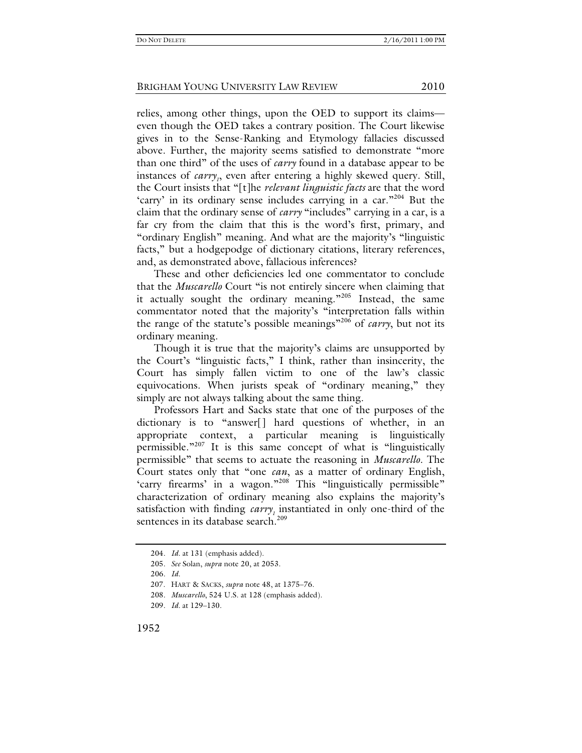relies, among other things, upon the OED to support its claims even though the OED takes a contrary position. The Court likewise gives in to the Sense-Ranking and Etymology fallacies discussed above. Further, the majority seems satisfied to demonstrate "more than one third" of the uses of *carry* found in a database appear to be instances of *carry<sub>1</sub>*, even after entering a highly skewed query. Still, the Court insists that "[t]he *relevant linguistic facts* are that the word 'carry' in its ordinary sense includes carrying in a car."<sup>204</sup> But the claim that the ordinary sense of *carry* "includes" carrying in a car, is a far cry from the claim that this is the word's first, primary, and "ordinary English" meaning. And what are the majority's "linguistic facts," but a hodgepodge of dictionary citations, literary references, and, as demonstrated above, fallacious inferences?

These and other deficiencies led one commentator to conclude that the *Muscarello* Court "is not entirely sincere when claiming that it actually sought the ordinary meaning."205 Instead, the same commentator noted that the majority's "interpretation falls within the range of the statute's possible meanings"206 of *carry*, but not its ordinary meaning.

Though it is true that the majority's claims are unsupported by the Court's "linguistic facts," I think, rather than insincerity, the Court has simply fallen victim to one of the law's classic equivocations. When jurists speak of "ordinary meaning," they simply are not always talking about the same thing.

Professors Hart and Sacks state that one of the purposes of the dictionary is to "answer[] hard questions of whether, in an appropriate context, a particular meaning is linguistically permissible."207 It is this same concept of what is "linguistically permissible" that seems to actuate the reasoning in *Muscarello*. The Court states only that "one *can*, as a matter of ordinary English, 'carry firearms' in a wagon."<sup>208</sup> This "linguistically permissible" characterization of ordinary meaning also explains the majority's satisfaction with finding *carry*, instantiated in only one-third of the sentences in its database search.<sup>209</sup>

<sup>204</sup>*. Id.* at 131 (emphasis added).

<sup>205</sup>*. See* Solan, *supra* note 20, at 2053.

<sup>206</sup>*. Id.*

 <sup>207.</sup> HART & SACKS, *supra* note 48, at 1375–76.

<sup>208</sup>*. Muscarello*, 524 U.S. at 128 (emphasis added).

<sup>209</sup>*. Id.* at 129–130.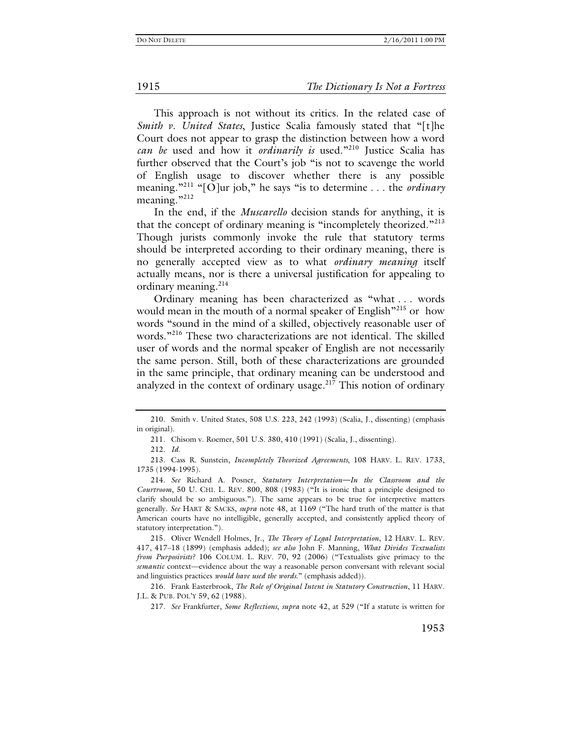This approach is not without its critics. In the related case of *Smith v. United States*, Justice Scalia famously stated that "[t]he Court does not appear to grasp the distinction between how a word *can be* used and how it *ordinarily is* used."210 Justice Scalia has further observed that the Court's job "is not to scavenge the world of English usage to discover whether there is any possible meaning."211 "[O]ur job," he says "is to determine . . . the *ordinary* meaning."<sup>212</sup>

In the end, if the *Muscarello* decision stands for anything, it is that the concept of ordinary meaning is "incompletely theorized."<sup>213</sup> Though jurists commonly invoke the rule that statutory terms should be interpreted according to their ordinary meaning, there is no generally accepted view as to what *ordinary meaning* itself actually means, nor is there a universal justification for appealing to ordinary meaning. $214$ 

Ordinary meaning has been characterized as "what . . . words would mean in the mouth of a normal speaker of English"<sup>215</sup> or how words "sound in the mind of a skilled, objectively reasonable user of words."<sup>216</sup> These two characterizations are not identical. The skilled user of words and the normal speaker of English are not necessarily the same person. Still, both of these characterizations are grounded in the same principle, that ordinary meaning can be understood and analyzed in the context of ordinary usage. $217$  This notion of ordinary

 <sup>210.</sup> Smith v. United States, 508 U.S. 223, 242 (1993) (Scalia, J., dissenting) (emphasis in original).

 <sup>211.</sup> Chisom v. Roemer, 501 U.S. 380, 410 (1991) (Scalia, J., dissenting).

<sup>212</sup>*. Id.*

 <sup>213.</sup> Cass R. Sunstein, *Incompletely Theorized Agreements*, 108 HARV. L. REV. 1733, 1735 (1994-1995).

<sup>214</sup>*. See* Richard A. Posner, *Statutory Interpretation—In the Classroom and the Courtroom*, 50 U. CHI. L. REV. 800, 808 (1983) ("It is ironic that a principle designed to clarify should be so ambiguous."). The same appears to be true for interpretive matters generally. *See* HART & SACKS, *supra* note 48, at 1169 ("The hard truth of the matter is that American courts have no intelligible, generally accepted, and consistently applied theory of statutory interpretation.").

 <sup>215.</sup> Oliver Wendell Holmes, Jr., *The Theory of Legal Interpretation*, 12 HARV. L. REV. 417, 417–18 (1899) (emphasis added); *see also* John F. Manning, *What Divides Textualists from Purposivists?* 106 COLUM. L. REV. 70, 92 (2006) ("Textualists give primacy to the *semantic* context—evidence about the way a reasonable person conversant with relevant social and linguistics practices *would have used the words*." (emphasis added)).

 <sup>216.</sup> Frank Easterbrook, *The Role of Original Intent in Statutory Construction*, 11 HARV. J.L. & PUB. POL'Y 59, 62 (1988).

<sup>217</sup>*. See* Frankfurter, *Some Reflections*, *supra* note 42, at 529 ("If a statute is written for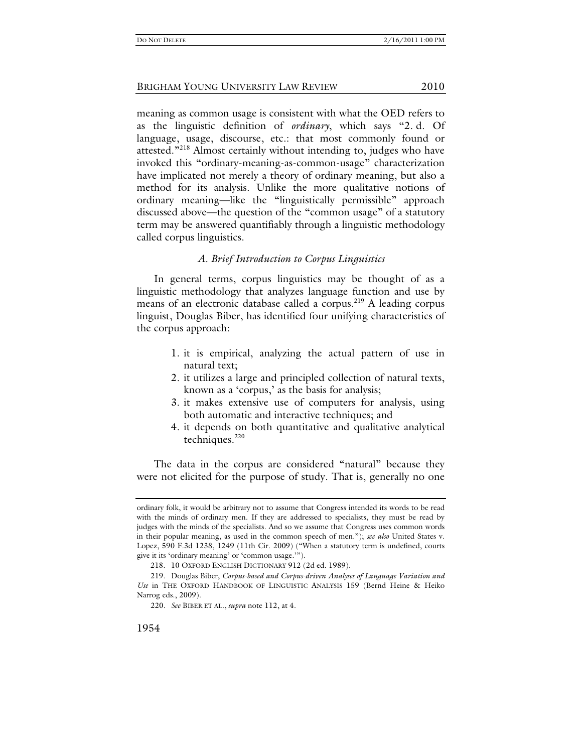meaning as common usage is consistent with what the OED refers to as the linguistic definition of *ordinary*, which says "2. d. Of language, usage, discourse, etc.: that most commonly found or attested."<sup>218</sup> Almost certainly without intending to, judges who have invoked this "ordinary-meaning-as-common-usage" characterization have implicated not merely a theory of ordinary meaning, but also a method for its analysis. Unlike the more qualitative notions of ordinary meaning—like the "linguistically permissible" approach discussed above—the question of the "common usage" of a statutory term may be answered quantifiably through a linguistic methodology called corpus linguistics.

#### *A. Brief Introduction to Corpus Linguistics*

In general terms, corpus linguistics may be thought of as a linguistic methodology that analyzes language function and use by means of an electronic database called a corpus.<sup>219</sup> A leading corpus linguist, Douglas Biber, has identified four unifying characteristics of the corpus approach:

- 1. it is empirical, analyzing the actual pattern of use in natural text;
- 2. it utilizes a large and principled collection of natural texts, known as a 'corpus,' as the basis for analysis;
- 3. it makes extensive use of computers for analysis, using both automatic and interactive techniques; and
- 4. it depends on both quantitative and qualitative analytical techniques. $220$

The data in the corpus are considered "natural" because they were not elicited for the purpose of study. That is, generally no one

ordinary folk, it would be arbitrary not to assume that Congress intended its words to be read with the minds of ordinary men. If they are addressed to specialists, they must be read by judges with the minds of the specialists. And so we assume that Congress uses common words in their popular meaning, as used in the common speech of men."); *see also* United States v. Lopez, 590 F.3d 1238, 1249 (11th Cir. 2009) ("When a statutory term is undefined, courts give it its 'ordinary meaning' or 'common usage.'").

 <sup>218. 10</sup> OXFORD ENGLISH DICTIONARY 912 (2d ed. 1989).

 <sup>219.</sup> Douglas Biber, *Corpus-based and Corpus-driven Analyses of Language Variation and Use* in THE OXFORD HANDBOOK OF LINGUISTIC ANALYSIS 159 (Bernd Heine & Heiko Narrog eds., 2009).

<sup>220</sup>*. See* BIBER ET AL., *supra* note 112, at 4.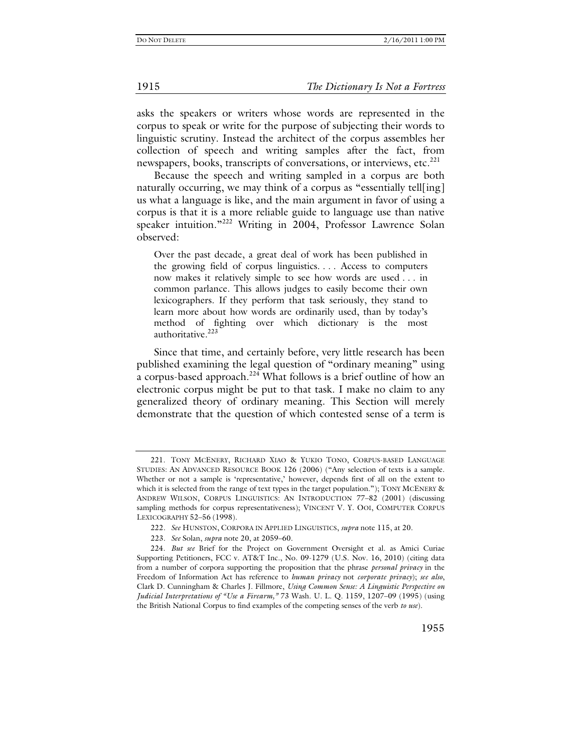asks the speakers or writers whose words are represented in the corpus to speak or write for the purpose of subjecting their words to linguistic scrutiny. Instead the architect of the corpus assembles her collection of speech and writing samples after the fact, from newspapers, books, transcripts of conversations, or interviews, etc.<sup>221</sup>

Because the speech and writing sampled in a corpus are both naturally occurring, we may think of a corpus as "essentially tell[ing] us what a language is like, and the main argument in favor of using a corpus is that it is a more reliable guide to language use than native speaker intuition."222 Writing in 2004, Professor Lawrence Solan observed:

Over the past decade, a great deal of work has been published in the growing field of corpus linguistics. . . . Access to computers now makes it relatively simple to see how words are used . . . in common parlance. This allows judges to easily become their own lexicographers. If they perform that task seriously, they stand to learn more about how words are ordinarily used, than by today's method of fighting over which dictionary is the most authoritative.<sup>223</sup>

Since that time, and certainly before, very little research has been published examining the legal question of "ordinary meaning" using a corpus-based approach.224 What follows is a brief outline of how an electronic corpus might be put to that task. I make no claim to any generalized theory of ordinary meaning. This Section will merely demonstrate that the question of which contested sense of a term is

 <sup>221.</sup> TONY MCENERY, RICHARD XIAO & YUKIO TONO, CORPUS-BASED LANGUAGE STUDIES: AN ADVANCED RESOURCE BOOK 126 (2006) ("Any selection of texts is a sample. Whether or not a sample is 'representative,' however, depends first of all on the extent to which it is selected from the range of text types in the target population."); TONY MCENERY & ANDREW WILSON, CORPUS LINGUISTICS: AN INTRODUCTION 77–82 (2001) (discussing sampling methods for corpus representativeness); VINCENT V. Y. OOI, COMPUTER CORPUS LEXICOGRAPHY 52–56 (1998).

<sup>222</sup>*. See* HUNSTON, CORPORA IN APPLIED LINGUISTICS, *supra* note 115, at 20.

<sup>223</sup>*. See* Solan, *supra* note 20, at 2059–60.

 <sup>224.</sup> *But see* Brief for the Project on Government Oversight et al. as Amici Curiae Supporting Petitioners, FCC v. AT&T Inc., No. 09-1279 (U.S. Nov. 16, 2010) (citing data from a number of corpora supporting the proposition that the phrase *personal privacy* in the Freedom of Information Act has reference to *human privacy* not *corporate privacy*); *see also*, Clark D. Cunningham & Charles J. Fillmore, *Using Common Sense: A Linguistic Perspective on Judicial Interpretations of "Use a Firearm,"* 73 Wash. U. L. Q. 1159, 1207–09 (1995) (using the British National Corpus to find examples of the competing senses of the verb *to use*).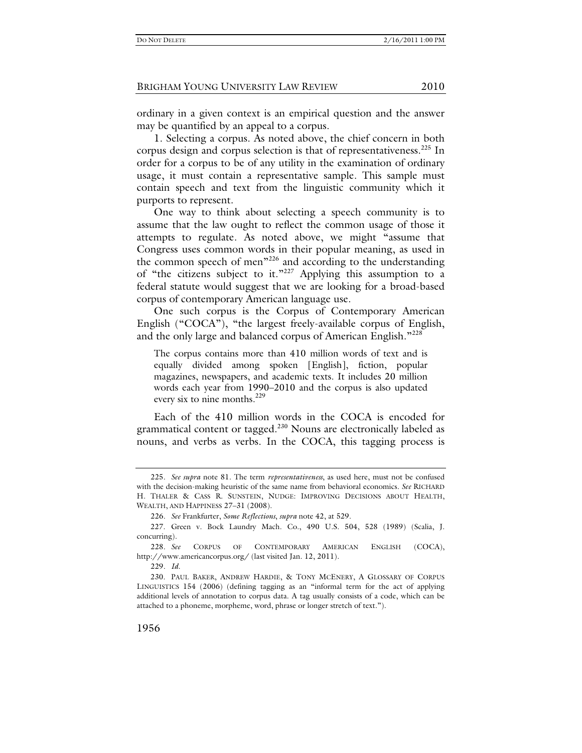ordinary in a given context is an empirical question and the answer may be quantified by an appeal to a corpus.

1. Selecting a corpus. As noted above, the chief concern in both corpus design and corpus selection is that of representativeness.<sup>225</sup> In order for a corpus to be of any utility in the examination of ordinary usage, it must contain a representative sample. This sample must contain speech and text from the linguistic community which it purports to represent.

One way to think about selecting a speech community is to assume that the law ought to reflect the common usage of those it attempts to regulate. As noted above, we might "assume that Congress uses common words in their popular meaning, as used in the common speech of men<sup>"226</sup> and according to the understanding of "the citizens subject to it."227 Applying this assumption to a federal statute would suggest that we are looking for a broad-based corpus of contemporary American language use.

One such corpus is the Corpus of Contemporary American English ("COCA"), "the largest freely-available corpus of English, and the only large and balanced corpus of American English."<sup>228</sup>

The corpus contains more than 410 million words of text and is equally divided among spoken [English], fiction, popular magazines, newspapers, and academic texts. It includes 20 million words each year from 1990–2010 and the corpus is also updated every six to nine months. $^{229}$ 

Each of the 410 million words in the COCA is encoded for grammatical content or tagged.<sup>230</sup> Nouns are electronically labeled as nouns, and verbs as verbs. In the COCA, this tagging process is

<sup>225</sup>*. See supra* note 81. The term *representativeness*, as used here, must not be confused with the decision-making heuristic of the same name from behavioral economics. *See* RICHARD H. THALER & CASS R. SUNSTEIN, NUDGE: IMPROVING DECISIONS ABOUT HEALTH, WEALTH, AND HAPPINESS 27–31 (2008).

<sup>226</sup>*. See* Frankfurter, *Some Reflections*, *supra* note 42, at 529.

 <sup>227.</sup> Green v. Bock Laundry Mach. Co., 490 U.S. 504, 528 (1989) (Scalia, J. concurring).

<sup>228</sup>*. See* CORPUS OF CONTEMPORARY AMERICAN ENGLISH (COCA), http://www.americancorpus.org/ (last visited Jan. 12, 2011).

<sup>229</sup>*. Id.*

 <sup>230.</sup> PAUL BAKER, ANDREW HARDIE, & TONY MCENERY, A GLOSSARY OF CORPUS LINGUISTICS 154 (2006) (defining tagging as an "informal term for the act of applying additional levels of annotation to corpus data. A tag usually consists of a code, which can be attached to a phoneme, morpheme, word, phrase or longer stretch of text.").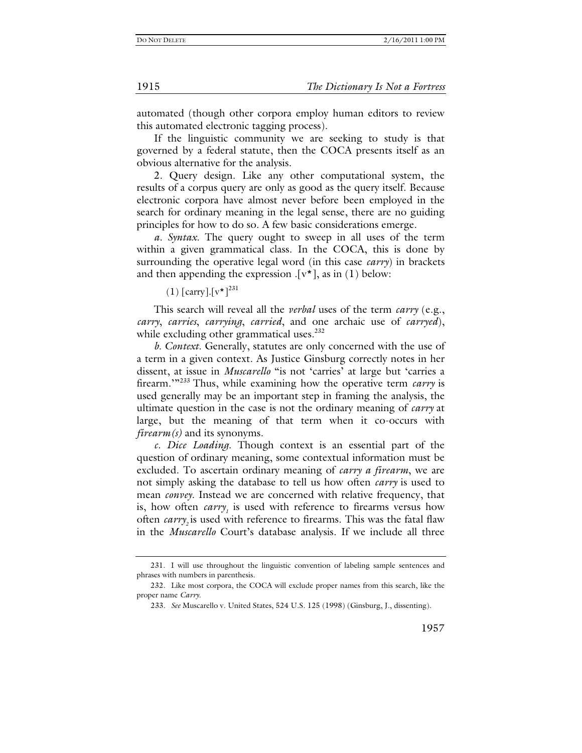automated (though other corpora employ human editors to review this automated electronic tagging process).

If the linguistic community we are seeking to study is that governed by a federal statute, then the COCA presents itself as an obvious alternative for the analysis.

2. Query design. Like any other computational system, the results of a corpus query are only as good as the query itself. Because electronic corpora have almost never before been employed in the search for ordinary meaning in the legal sense, there are no guiding principles for how to do so. A few basic considerations emerge.

*a. Syntax*. The query ought to sweep in all uses of the term within a given grammatical class. In the COCA, this is done by surrounding the operative legal word (in this case *carry*) in brackets and then appending the expression  $[v^*]$ , as in (1) below:

 $(1)$  [carry]. $[v^{\star}]^{231}$ 

This search will reveal all the *verbal* uses of the term *carry* (e.g., *carry*, *carries*, *carrying*, *carried*, and one archaic use of *carryed*), while excluding other grammatical uses.<sup>232</sup>

*b. Context*. Generally, statutes are only concerned with the use of a term in a given context. As Justice Ginsburg correctly notes in her dissent, at issue in *Muscarello* "is not 'carries' at large but 'carries a firearm.<sup>"233</sup> Thus, while examining how the operative term *carry* is used generally may be an important step in framing the analysis, the ultimate question in the case is not the ordinary meaning of *carry* at large, but the meaning of that term when it co-occurs with *firearm(s)* and its synonyms*.* 

*c. Dice Loading*. Though context is an essential part of the question of ordinary meaning, some contextual information must be excluded. To ascertain ordinary meaning of *carry a firearm*, we are not simply asking the database to tell us how often *carry* is used to mean *convey*. Instead we are concerned with relative frequency, that is, how often  $carry<sub>1</sub>$  is used with reference to firearms versus how often *carry*, is used with reference to firearms. This was the fatal flaw in the *Muscarello* Court's database analysis. If we include all three

 <sup>231.</sup> I will use throughout the linguistic convention of labeling sample sentences and phrases with numbers in parenthesis.

 <sup>232.</sup> Like most corpora, the COCA will exclude proper names from this search, like the proper name *Carry*.

<sup>233</sup>*. See* Muscarello v. United States, 524 U.S. 125 (1998) (Ginsburg, J., dissenting).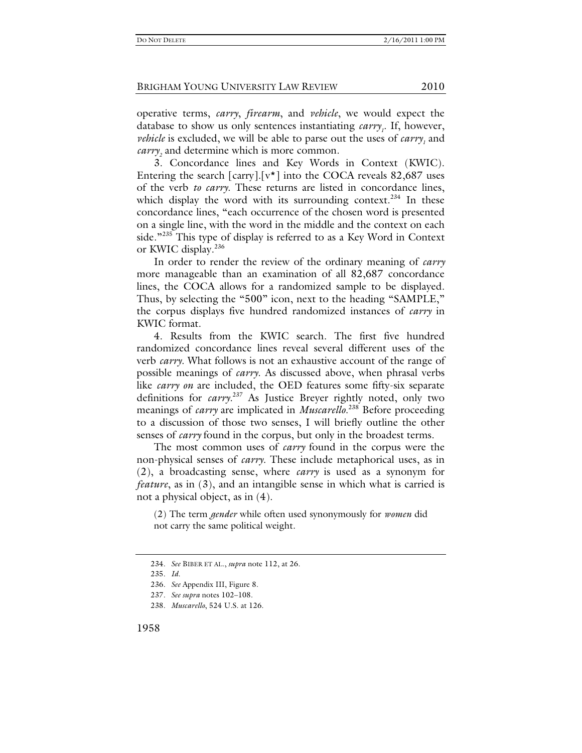operative terms, *carry*, *firearm*, and *vehicle*, we would expect the database to show us only sentences instantiating *carry<sub>1</sub>*. If, however, *vehicle* is excluded, we will be able to parse out the uses of *carry*<sub>1</sub> and *carry*<sub>2</sub> and determine which is more common.

3. Concordance lines and Key Words in Context (KWIC). Entering the search  $\lceil \text{carry} \rceil$ .  $\lceil v^* \rceil$  into the COCA reveals 82,687 uses of the verb *to carry*. These returns are listed in concordance lines, which display the word with its surrounding context.<sup>234</sup> In these concordance lines, "each occurrence of the chosen word is presented on a single line, with the word in the middle and the context on each side."<sup>235</sup> This type of display is referred to as a Key Word in Context or KWIC display.<sup>236</sup>

In order to render the review of the ordinary meaning of *carry* more manageable than an examination of all 82,687 concordance lines, the COCA allows for a randomized sample to be displayed. Thus, by selecting the "500" icon, next to the heading "SAMPLE," the corpus displays five hundred randomized instances of *carry* in KWIC format.

4. Results from the KWIC search. The first five hundred randomized concordance lines reveal several different uses of the verb *carry*. What follows is not an exhaustive account of the range of possible meanings of *carry*. As discussed above, when phrasal verbs like *carry on* are included, the OED features some fifty-six separate definitions for *carry.*<sup>237</sup> As Justice Breyer rightly noted, only two meanings of *carry* are implicated in *Muscarello*. 238 Before proceeding to a discussion of those two senses, I will briefly outline the other senses of *carry* found in the corpus, but only in the broadest terms.

The most common uses of *carry* found in the corpus were the non-physical senses of *carry*. These include metaphorical uses, as in (2), a broadcasting sense, where *carry* is used as a synonym for *feature*, as in (3), and an intangible sense in which what is carried is not a physical object, as in (4).

(2) The term *gender* while often used synonymously for *women* did not carry the same political weight.

<sup>234</sup>*. See* BIBER ET AL., *supra* note 112, at 26.

<sup>235</sup>*. Id.*

<sup>236</sup>*. See* Appendix III, Figure 8.

<sup>237</sup>*. See supra* notes 102–108.

<sup>238</sup>*. Muscarello*, 524 U.S. at 126.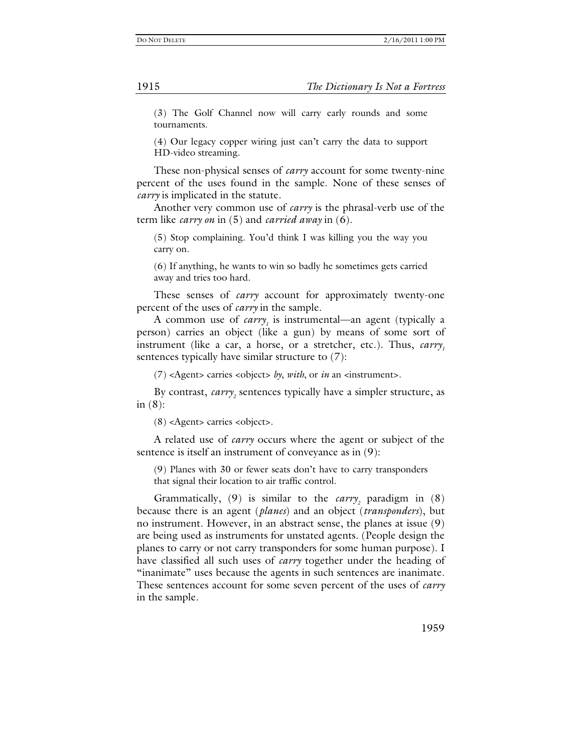(3) The Golf Channel now will carry early rounds and some tournaments.

(4) Our legacy copper wiring just can't carry the data to support HD-video streaming.

These non-physical senses of *carry* account for some twenty-nine percent of the uses found in the sample. None of these senses of *carry* is implicated in the statute.

Another very common use of *carry* is the phrasal-verb use of the term like *carry on* in (5) and *carried away* in (6).

(5) Stop complaining. You'd think I was killing you the way you carry on.

(6) If anything, he wants to win so badly he sometimes gets carried away and tries too hard.

These senses of *carry* account for approximately twenty-one percent of the uses of *carry* in the sample.

A common use of *carry<sub>1</sub>* is instrumental—an agent (typically a person) carries an object (like a gun) by means of some sort of instrument (like a car, a horse, or a stretcher, etc.). Thus, *carry*, sentences typically have similar structure to (7):

(7) <Agent> carries <object> *by*, *with*, or *in* an <instrument>.

By contrast, *carry*<sub>2</sub> sentences typically have a simpler structure, as in  $(8)$ :

(8) <Agent> carries <object>.

A related use of *carry* occurs where the agent or subject of the sentence is itself an instrument of conveyance as in (9):

(9) Planes with 30 or fewer seats don't have to carry transponders that signal their location to air traffic control.

Grammatically,  $(9)$  is similar to the *carry*<sub>2</sub> paradigm in  $(8)$ because there is an agent (*planes*) and an object (*transponders*), but no instrument. However, in an abstract sense, the planes at issue (9) are being used as instruments for unstated agents. (People design the planes to carry or not carry transponders for some human purpose). I have classified all such uses of *carry* together under the heading of "inanimate" uses because the agents in such sentences are inanimate. These sentences account for some seven percent of the uses of *carry* in the sample.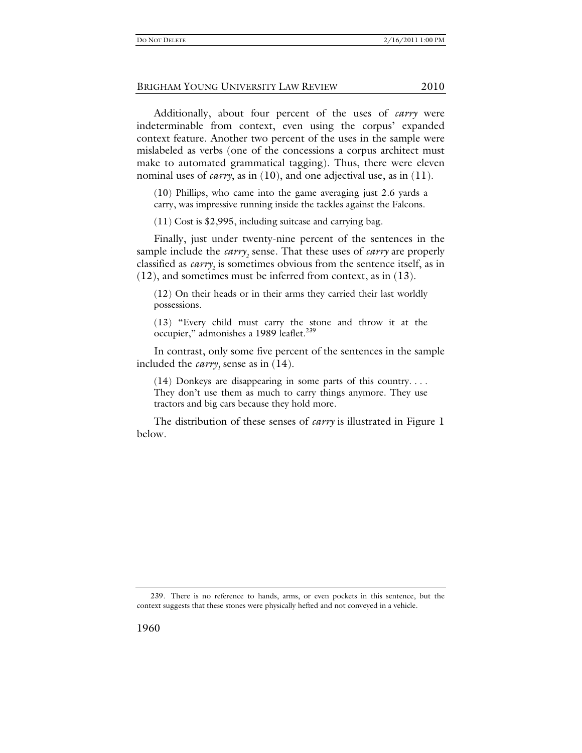Additionally, about four percent of the uses of *carry* were indeterminable from context, even using the corpus' expanded context feature. Another two percent of the uses in the sample were mislabeled as verbs (one of the concessions a corpus architect must make to automated grammatical tagging). Thus, there were eleven nominal uses of *carry*, as in (10), and one adjectival use, as in (11).

(10) Phillips, who came into the game averaging just 2.6 yards a carry, was impressive running inside the tackles against the Falcons.

(11) Cost is \$2,995, including suitcase and carrying bag.

Finally, just under twenty-nine percent of the sentences in the sample include the *carry*<sub>2</sub> sense. That these uses of *carry* are properly classified as *carry*<sub>2</sub> is sometimes obvious from the sentence itself, as in (12), and sometimes must be inferred from context, as in (13).

(12) On their heads or in their arms they carried their last worldly possessions.

(13) "Every child must carry the stone and throw it at the occupier," admonishes a 1989 leaflet.<sup>239</sup>

In contrast, only some five percent of the sentences in the sample included the *carry<sub>1</sub>* sense as in  $(14)$ .

(14) Donkeys are disappearing in some parts of this country. . . . They don't use them as much to carry things anymore. They use tractors and big cars because they hold more.

The distribution of these senses of *carry* is illustrated in Figure 1 below.

 <sup>239.</sup> There is no reference to hands, arms, or even pockets in this sentence, but the context suggests that these stones were physically hefted and not conveyed in a vehicle.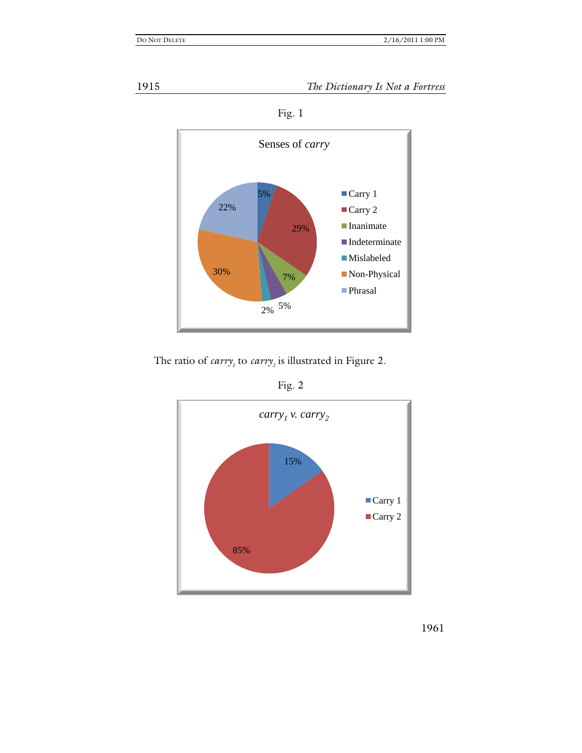

1915 *The Dictionary Is Not a Fortress*



Fig. 1

The ratio of *carry<sub>1</sub>* to *carry<sub>2</sub>* is illustrated in Figure 2.



Fig. 2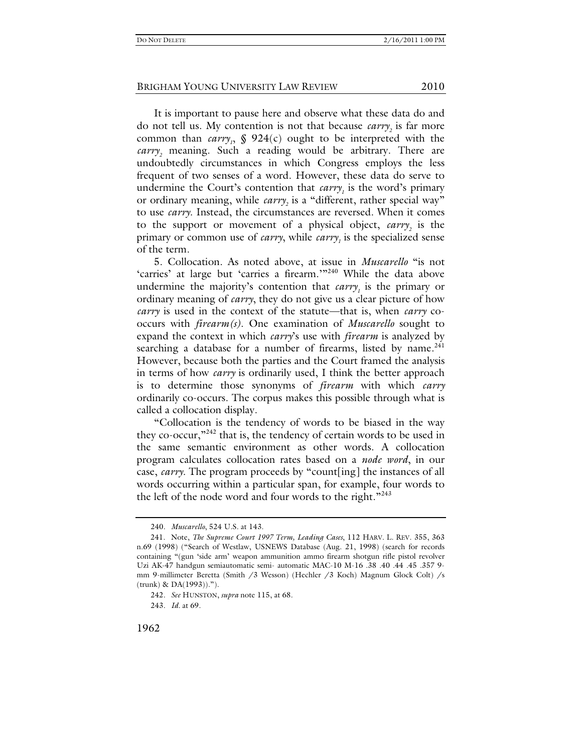It is important to pause here and observe what these data do and do not tell us. My contention is not that because *carry*, is far more common than  $carry<sub>1</sub>$ , § 924(c) ought to be interpreted with the *carry*<sub>2</sub> meaning. Such a reading would be arbitrary. There are undoubtedly circumstances in which Congress employs the less frequent of two senses of a word. However, these data do serve to undermine the Court's contention that *carry<sub>1</sub>* is the word's primary or ordinary meaning, while *carry*<sub>2</sub> is a "different, rather special way" to use *carry*. Instead, the circumstances are reversed. When it comes to the support or movement of a physical object, *carry*<sub>2</sub> is the primary or common use of *carry*, while *carry*<sub>1</sub> is the specialized sense of the term.

5. Collocation. As noted above, at issue in *Muscarello* "is not 'carries' at large but 'carries a firearm.'"<sup>240</sup> While the data above undermine the majority's contention that  $carry<sub>1</sub>$  is the primary or ordinary meaning of *carry*, they do not give us a clear picture of how *carry* is used in the context of the statute—that is, when *carry* cooccurs with *firearm(s)*. One examination of *Muscarello* sought to expand the context in which *carry*'s use with *firearm* is analyzed by searching a database for a number of firearms, listed by name.<sup>241</sup> However, because both the parties and the Court framed the analysis in terms of how *carry* is ordinarily used, I think the better approach is to determine those synonyms of *firearm* with which *carry* ordinarily co-occurs. The corpus makes this possible through what is called a collocation display.

"Collocation is the tendency of words to be biased in the way they co-occur,"242 that is, the tendency of certain words to be used in the same semantic environment as other words. A collocation program calculates collocation rates based on a *node word*, in our case, *carry*. The program proceeds by "count[ing] the instances of all words occurring within a particular span, for example, four words to the left of the node word and four words to the right."243

243*. Id.* at 69.

<sup>240</sup>*. Muscarello*, 524 U.S. at 143.

 <sup>241.</sup> Note, *The Supreme Court 1997 Term, Leading Cases*, 112 HARV. L. REV. 355, 363 n.69 (1998) ("Search of Westlaw, USNEWS Database (Aug. 21, 1998) (search for records containing "(gun 'side arm' weapon ammunition ammo firearm shotgun rifle pistol revolver Uzi AK-47 handgun semiautomatic semi- automatic MAC-10 M-16 .38 .40 .44 .45 .357 9 mm 9-millimeter Beretta (Smith /3 Wesson) (Hechler /3 Koch) Magnum Glock Colt) /s (trunk) & DA(1993)).").

<sup>242</sup>*. See* HUNSTON, *supra* note 115, at 68.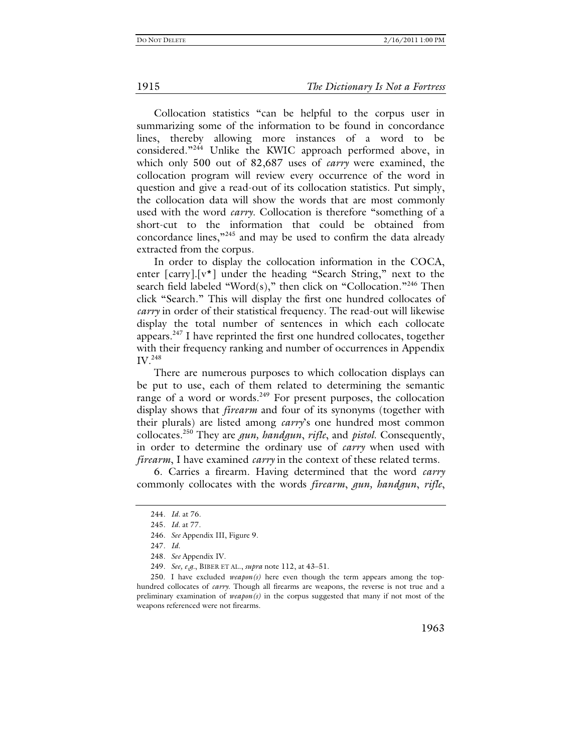1915 *The Dictionary Is Not a Fortress*

Collocation statistics "can be helpful to the corpus user in summarizing some of the information to be found in concordance lines, thereby allowing more instances of a word to be considered."<sup>244</sup> Unlike the KWIC approach performed above, in which only 500 out of 82,687 uses of *carry* were examined, the collocation program will review every occurrence of the word in question and give a read-out of its collocation statistics. Put simply, the collocation data will show the words that are most commonly used with the word *carry*. Collocation is therefore "something of a short-cut to the information that could be obtained from concordance lines,"245 and may be used to confirm the data already extracted from the corpus.

In order to display the collocation information in the COCA, enter [carry].[v\*] under the heading "Search String," next to the search field labeled "Word $(s)$ ," then click on "Collocation."<sup>246</sup> Then click "Search." This will display the first one hundred collocates of *carry* in order of their statistical frequency. The read-out will likewise display the total number of sentences in which each collocate appears. $247$  I have reprinted the first one hundred collocates, together with their frequency ranking and number of occurrences in Appendix IV.<sup>248</sup>

There are numerous purposes to which collocation displays can be put to use, each of them related to determining the semantic range of a word or words.<sup>249</sup> For present purposes, the collocation display shows that *firearm* and four of its synonyms (together with their plurals) are listed among *carry*'s one hundred most common collocates.250 They are *gun, handgun*, *rifle*, and *pistol*. Consequently, in order to determine the ordinary use of *carry* when used with *firearm*, I have examined *carry* in the context of these related terms.

 6. Carries a firearm. Having determined that the word *carry* commonly collocates with the words *firearm*, *gun, handgun*, *rifle*,

<sup>244</sup>*. Id.* at 76.

<sup>245</sup>*. Id.* at 77.

<sup>246</sup>*. See* Appendix III, Figure 9.

<sup>247</sup>*. Id.*

<sup>248</sup>*. See* Appendix IV.

<sup>249</sup>*. See, e.g.*, BIBER ET AL., *supra* note 112, at 43–51.

<sup>250.</sup> I have excluded  $v \in a$ *pon(s)* here even though the term appears among the tophundred collocates of *carry*. Though all firearms are weapons, the reverse is not true and a preliminary examination of *weapon(s)* in the corpus suggested that many if not most of the weapons referenced were not firearms.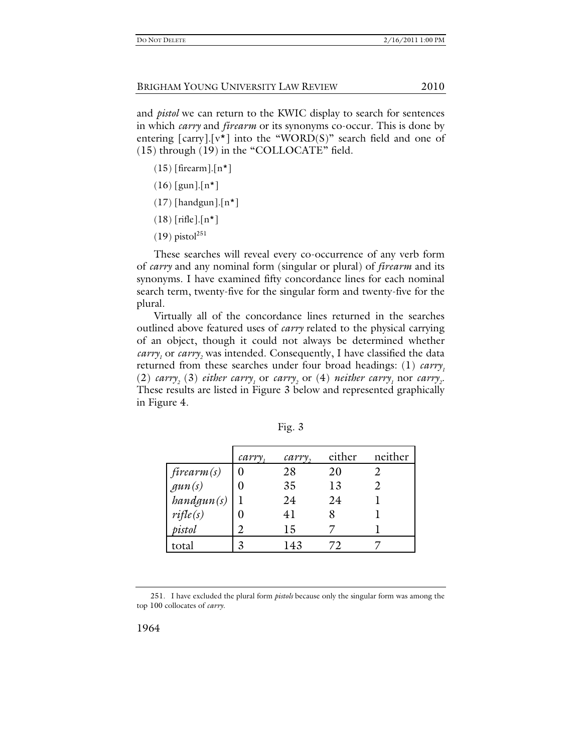and *pistol* we can return to the KWIC display to search for sentences in which *carry* and *firearm* or its synonyms co-occur. This is done by entering  $\lceil \text{carry} \rceil$  into the "WORD(S)" search field and one of (15) through (19) in the "COLLOCATE" field.

- $(15)$  [firearm].[n\*]
- $(16)$  [gun].[n\*]
- $(17)$  [handgun].[n\*]
- (18) [rifle].[n\*]
- $(19)$  pistol<sup>251</sup>

These searches will reveal every co-occurrence of any verb form of *carry* and any nominal form (singular or plural) of *firearm* and its synonyms. I have examined fifty concordance lines for each nominal search term, twenty-five for the singular form and twenty-five for the plural.

Virtually all of the concordance lines returned in the searches outlined above featured uses of *carry* related to the physical carrying of an object, though it could not always be determined whether *carry*<sub>1</sub> or *carry*<sub>2</sub> was intended. Consequently, I have classified the data returned from these searches under four broad headings: (1) *carry*,  $(2)$  *carry<sub>2</sub>* (3) *either carry<sub>1</sub>* or *carry<sub>2</sub>* or (4) *neither carry<sub>1</sub>* nor *carry<sub>2</sub>*. These results are listed in Figure 3 below and represented graphically in Figure 4.

|                                                                                            | carry | cary, | either     | neither |
|--------------------------------------------------------------------------------------------|-------|-------|------------|---------|
| $\begin{array}{l} \textit{firearm(s)}\\ \textit{gun(s)}\\ \textit{bandgun(s)} \end{array}$ |       | 28    | 20         |         |
|                                                                                            |       | 35    | 13         |         |
|                                                                                            |       | 24    | 24         |         |
| $\textit{rifle}(s)$                                                                        |       | 41    |            |         |
| pistol                                                                                     |       | 15    |            |         |
| total                                                                                      |       | 143   | $\sqrt{2}$ |         |

Fig. 3

 <sup>251.</sup> I have excluded the plural form *pistols* because only the singular form was among the top 100 collocates of *carry*.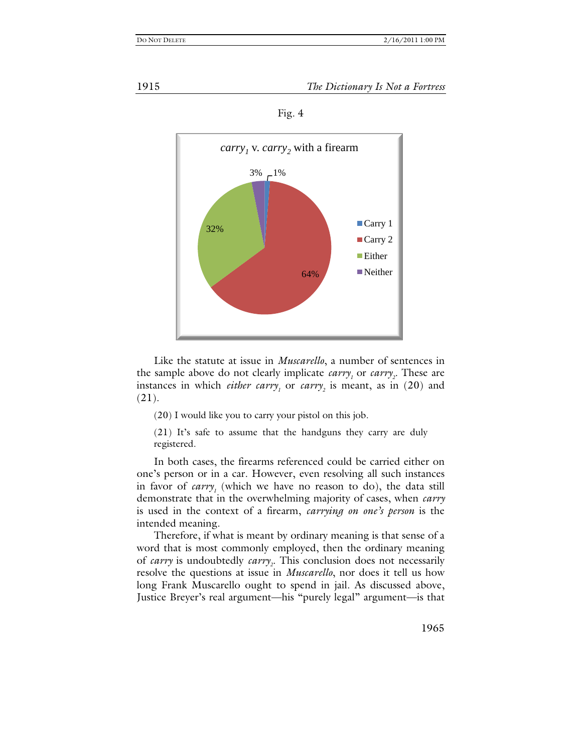1915 *The Dictionary Is Not a Fortress*





Like the statute at issue in *Muscarello*, a number of sentences in the sample above do not clearly implicate  $\textit{carry}_1$  or  $\textit{carry}_2$ . These are instances in which *either carry<sub>1</sub>* or *carry<sub>2</sub>* is meant, as in (20) and (21).

(20) I would like you to carry your pistol on this job.

(21) It's safe to assume that the handguns they carry are duly registered.

In both cases, the firearms referenced could be carried either on one's person or in a car. However, even resolving all such instances in favor of  $carry<sub>1</sub>$  (which we have no reason to do), the data still demonstrate that in the overwhelming majority of cases, when *carry* is used in the context of a firearm, *carrying on one's person* is the intended meaning.

Therefore, if what is meant by ordinary meaning is that sense of a word that is most commonly employed, then the ordinary meaning of *carry* is undoubtedly *carry*<sub>2</sub>. This conclusion does not necessarily resolve the questions at issue in *Muscarello*, nor does it tell us how long Frank Muscarello ought to spend in jail. As discussed above, Justice Breyer's real argument—his "purely legal" argument—is that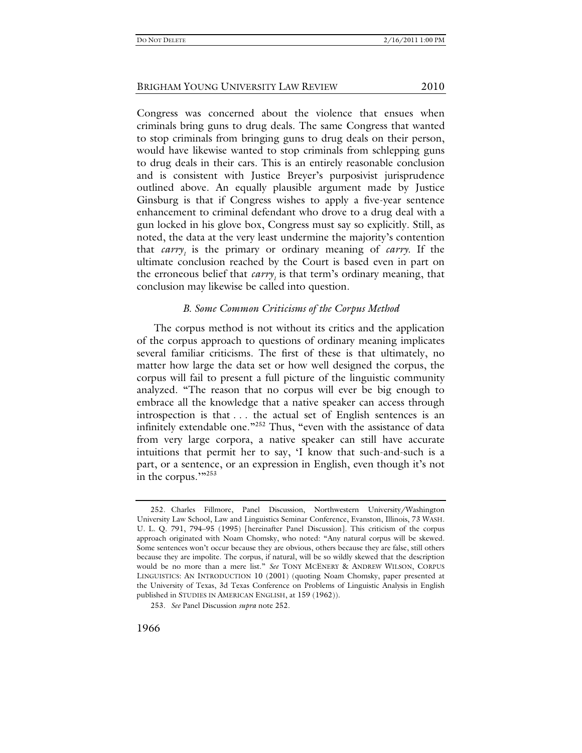Congress was concerned about the violence that ensues when criminals bring guns to drug deals. The same Congress that wanted to stop criminals from bringing guns to drug deals on their person, would have likewise wanted to stop criminals from schlepping guns to drug deals in their cars. This is an entirely reasonable conclusion and is consistent with Justice Breyer's purposivist jurisprudence outlined above. An equally plausible argument made by Justice Ginsburg is that if Congress wishes to apply a five-year sentence enhancement to criminal defendant who drove to a drug deal with a gun locked in his glove box, Congress must say so explicitly. Still, as noted, the data at the very least undermine the majority's contention that *carry*, is the primary or ordinary meaning of *carry*. If the ultimate conclusion reached by the Court is based even in part on the erroneous belief that *carry*, is that term's ordinary meaning, that conclusion may likewise be called into question.

#### *B. Some Common Criticisms of the Corpus Method*

The corpus method is not without its critics and the application of the corpus approach to questions of ordinary meaning implicates several familiar criticisms. The first of these is that ultimately, no matter how large the data set or how well designed the corpus, the corpus will fail to present a full picture of the linguistic community analyzed. "The reason that no corpus will ever be big enough to embrace all the knowledge that a native speaker can access through introspection is that . . . the actual set of English sentences is an infinitely extendable one."<sup>252</sup> Thus, "even with the assistance of data from very large corpora, a native speaker can still have accurate intuitions that permit her to say, 'I know that such-and-such is a part, or a sentence, or an expression in English, even though it's not in the corpus.""<sup>253</sup>

 <sup>252.</sup> Charles Fillmore, Panel Discussion, Northwestern University/Washington University Law School, Law and Linguistics Seminar Conference, Evanston, Illinois, 73 WASH. U. L. Q. 791, 794–95 (1995) [hereinafter Panel Discussion]. This criticism of the corpus approach originated with Noam Chomsky, who noted: "Any natural corpus will be skewed. Some sentences won't occur because they are obvious, others because they are false, still others because they are impolite. The corpus, if natural, will be so wildly skewed that the description would be no more than a mere list." *See* TONY MCENERY & ANDREW WILSON, CORPUS LINGUISTICS: AN INTRODUCTION 10 (2001) (quoting Noam Chomsky, paper presented at the University of Texas, 3d Texas Conference on Problems of Linguistic Analysis in English published in STUDIES IN AMERICAN ENGLISH, at 159 (1962)).

<sup>253</sup>*. See* Panel Discussion *supra* note 252.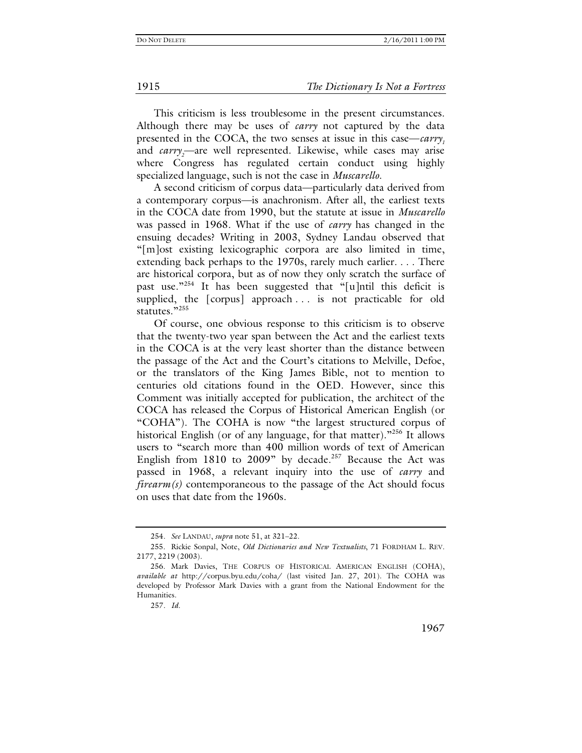This criticism is less troublesome in the present circumstances. Although there may be uses of *carry* not captured by the data presented in the COCA, the two senses at issue in this case—*carry*<sub>1</sub> and *carry*<sub>2</sub>—are well represented. Likewise, while cases may arise where Congress has regulated certain conduct using highly specialized language, such is not the case in *Muscarello*.

A second criticism of corpus data—particularly data derived from a contemporary corpus—is anachronism. After all, the earliest texts in the COCA date from 1990, but the statute at issue in *Muscarello* was passed in 1968. What if the use of *carry* has changed in the ensuing decades? Writing in 2003, Sydney Landau observed that "[m]ost existing lexicographic corpora are also limited in time, extending back perhaps to the 1970s, rarely much earlier. . . . There are historical corpora, but as of now they only scratch the surface of past use."254 It has been suggested that "[u]ntil this deficit is supplied, the [corpus] approach . . . is not practicable for old statutes."255

Of course, one obvious response to this criticism is to observe that the twenty-two year span between the Act and the earliest texts in the COCA is at the very least shorter than the distance between the passage of the Act and the Court's citations to Melville, Defoe, or the translators of the King James Bible, not to mention to centuries old citations found in the OED. However, since this Comment was initially accepted for publication, the architect of the COCA has released the Corpus of Historical American English (or "COHA"). The COHA is now "the largest structured corpus of historical English (or of any language, for that matter).<sup>"256</sup> It allows users to "search more than 400 million words of text of American English from  $1810$  to  $2009$ " by decade.<sup>257</sup> Because the Act was passed in 1968, a relevant inquiry into the use of *carry* and *firearm(s)* contemporaneous to the passage of the Act should focus on uses that date from the 1960s.

<sup>254</sup>*. See* LANDAU, *supra* note 51, at 321–22.

 <sup>255.</sup> Rickie Sonpal, Note, *Old Dictionaries and New Textualists*, 71 FORDHAM L. REV. 2177, 2219 (2003).

 <sup>256.</sup> Mark Davies, THE CORPUS OF HISTORICAL AMERICAN ENGLISH (COHA), *available at* http://corpus.byu.edu/coha/ (last visited Jan. 27, 201). The COHA was developed by Professor Mark Davies with a grant from the National Endowment for the Humanities.

<sup>257</sup>*. Id.*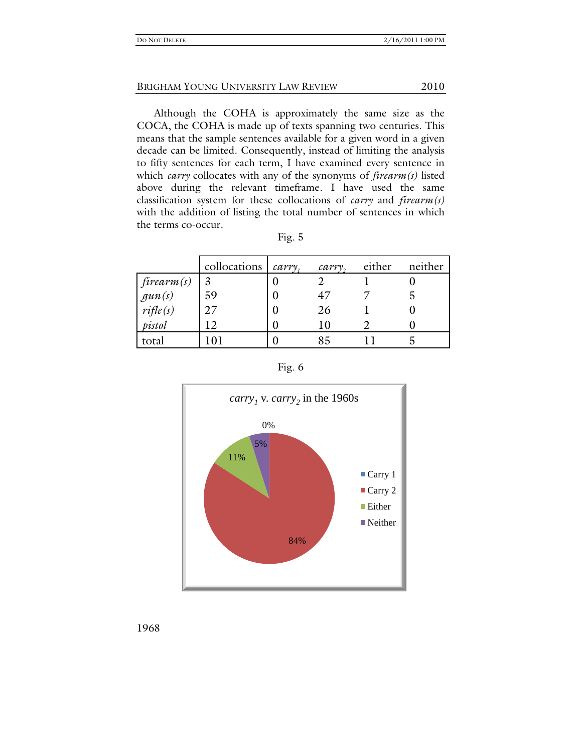Although the COHA is approximately the same size as the COCA, the COHA is made up of texts spanning two centuries. This means that the sample sentences available for a given word in a given decade can be limited. Consequently, instead of limiting the analysis to fifty sentences for each term, I have examined every sentence in which *carry* collocates with any of the synonyms of *firearm(s)* listed above during the relevant timeframe. I have used the same classification system for these collocations of *carry* and *firearm(s)* with the addition of listing the total number of sentences in which the terms co-occur.

|                                  | collocations | $carrow$ , | cary,             | either | neither |
|----------------------------------|--------------|------------|-------------------|--------|---------|
|                                  | 3            |            |                   |        |         |
| firearm(s)<br>gun(s)<br>rifle(s) | 59           |            | 47                |        |         |
|                                  | 27           |            | 26                |        |         |
| pistol                           | ∣າ           |            | $\overline{1}$ () |        |         |
| total                            |              |            | 85                |        |         |



1968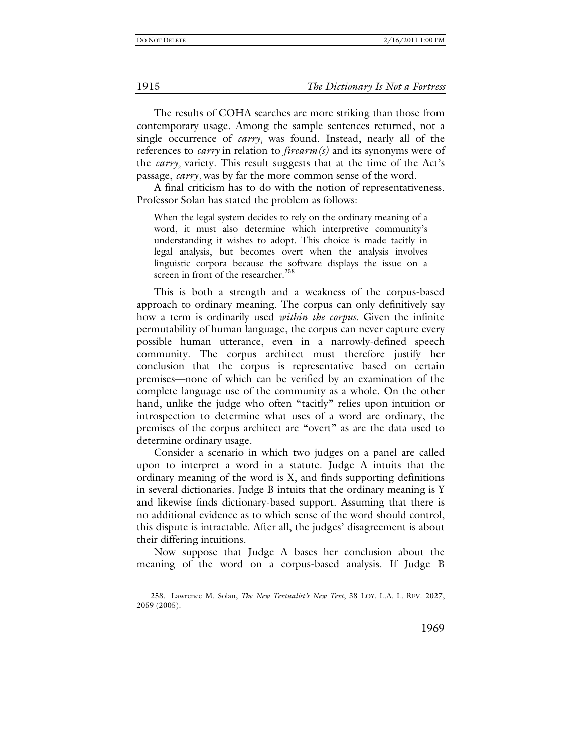#### 1915 *The Dictionary Is Not a Fortress*

The results of COHA searches are more striking than those from contemporary usage. Among the sample sentences returned, not a single occurrence of *carry<sub>1</sub>* was found. Instead, nearly all of the references to *carry* in relation to *firearm(s)* and its synonyms were of the *carry*<sub>2</sub> variety. This result suggests that at the time of the Act's passage, *carry*<sub>2</sub> was by far the more common sense of the word.

A final criticism has to do with the notion of representativeness. Professor Solan has stated the problem as follows:

When the legal system decides to rely on the ordinary meaning of a word, it must also determine which interpretive community's understanding it wishes to adopt. This choice is made tacitly in legal analysis, but becomes overt when the analysis involves linguistic corpora because the software displays the issue on a screen in front of the researcher.<sup>258</sup>

This is both a strength and a weakness of the corpus-based approach to ordinary meaning. The corpus can only definitively say how a term is ordinarily used *within the corpus*. Given the infinite permutability of human language, the corpus can never capture every possible human utterance, even in a narrowly-defined speech community. The corpus architect must therefore justify her conclusion that the corpus is representative based on certain premises—none of which can be verified by an examination of the complete language use of the community as a whole. On the other hand, unlike the judge who often "tacitly" relies upon intuition or introspection to determine what uses of a word are ordinary, the premises of the corpus architect are "overt" as are the data used to determine ordinary usage.

Consider a scenario in which two judges on a panel are called upon to interpret a word in a statute. Judge A intuits that the ordinary meaning of the word is X, and finds supporting definitions in several dictionaries. Judge B intuits that the ordinary meaning is Y and likewise finds dictionary-based support. Assuming that there is no additional evidence as to which sense of the word should control, this dispute is intractable. After all, the judges' disagreement is about their differing intuitions.

Now suppose that Judge A bases her conclusion about the meaning of the word on a corpus-based analysis. If Judge B

 <sup>258.</sup> Lawrence M. Solan, *The New Textualist's New Text*, 38 LOY. L.A. L. REV. 2027, 2059 (2005).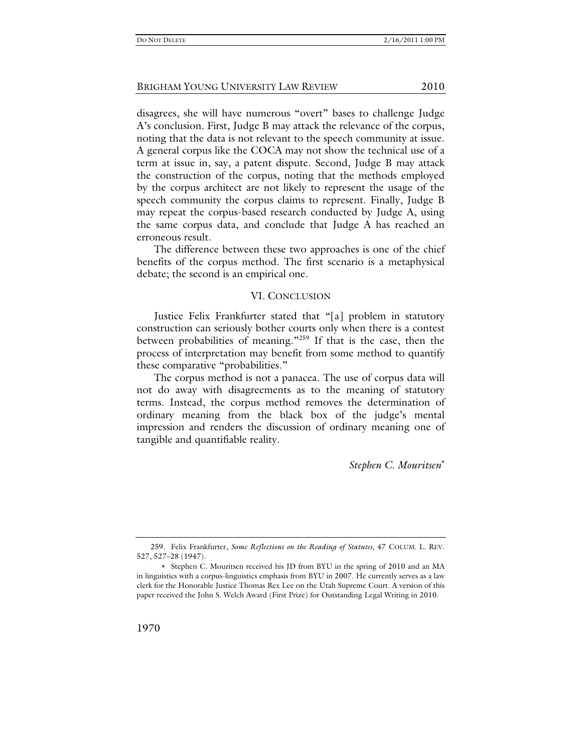disagrees, she will have numerous "overt" bases to challenge Judge A's conclusion. First, Judge B may attack the relevance of the corpus, noting that the data is not relevant to the speech community at issue. A general corpus like the COCA may not show the technical use of a term at issue in, say, a patent dispute. Second, Judge B may attack the construction of the corpus, noting that the methods employed by the corpus architect are not likely to represent the usage of the speech community the corpus claims to represent. Finally, Judge B may repeat the corpus-based research conducted by Judge A, using the same corpus data, and conclude that Judge A has reached an erroneous result.

The difference between these two approaches is one of the chief benefits of the corpus method. The first scenario is a metaphysical debate; the second is an empirical one.

#### VI. CONCLUSION

Justice Felix Frankfurter stated that "[a] problem in statutory construction can seriously bother courts only when there is a contest between probabilities of meaning."<sup>259</sup> If that is the case, then the process of interpretation may benefit from some method to quantify these comparative "probabilities."

The corpus method is not a panacea. The use of corpus data will not do away with disagreements as to the meaning of statutory terms. Instead, the corpus method removes the determination of ordinary meaning from the black box of the judge's mental impression and renders the discussion of ordinary meaning one of tangible and quantifiable reality.

*Stephen C. Mouritsen*

 <sup>259.</sup> Felix Frankfurter, *Some Reflections on the Reading of Statutes*, 47 COLUM. L. REV. 527, 527–28 (1947).

Stephen C. Mouritsen received his JD from BYU in the spring of 2010 and an MA in linguistics with a corpus-linguistics emphasis from BYU in 2007. He currently serves as a law clerk for the Honorable Justice Thomas Rex Lee on the Utah Supreme Court. A version of this paper received the John S. Welch Award (First Prize) for Outstanding Legal Writing in 2010.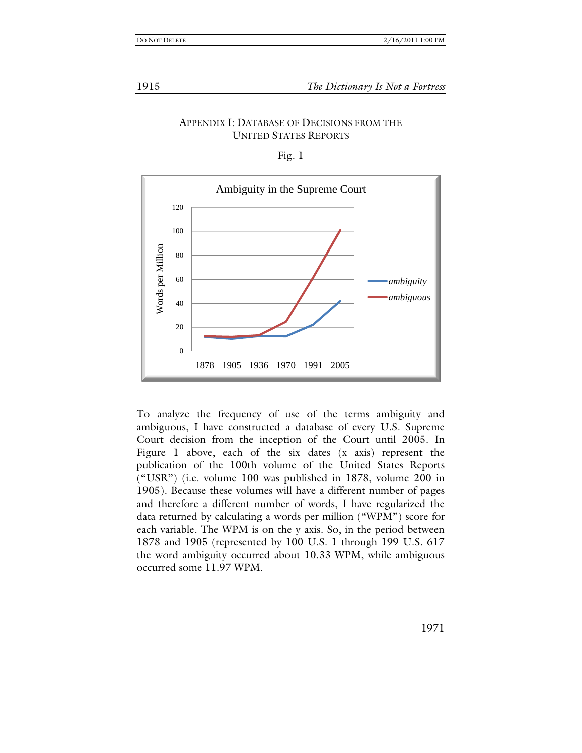### APPENDIX I: DATABASE OF DECISIONS FROM THE UNITED STATES REPORTS

Fig. 1



To analyze the frequency of use of the terms ambiguity and ambiguous, I have constructed a database of every U.S. Supreme Court decision from the inception of the Court until 2005. In Figure 1 above, each of the six dates (x axis) represent the publication of the 100th volume of the United States Reports ("USR") (i.e. volume 100 was published in 1878, volume 200 in 1905). Because these volumes will have a different number of pages and therefore a different number of words, I have regularized the data returned by calculating a words per million ("WPM") score for each variable. The WPM is on the y axis. So, in the period between 1878 and 1905 (represented by 100 U.S. 1 through 199 U.S. 617 the word ambiguity occurred about 10.33 WPM, while ambiguous occurred some 11.97 WPM.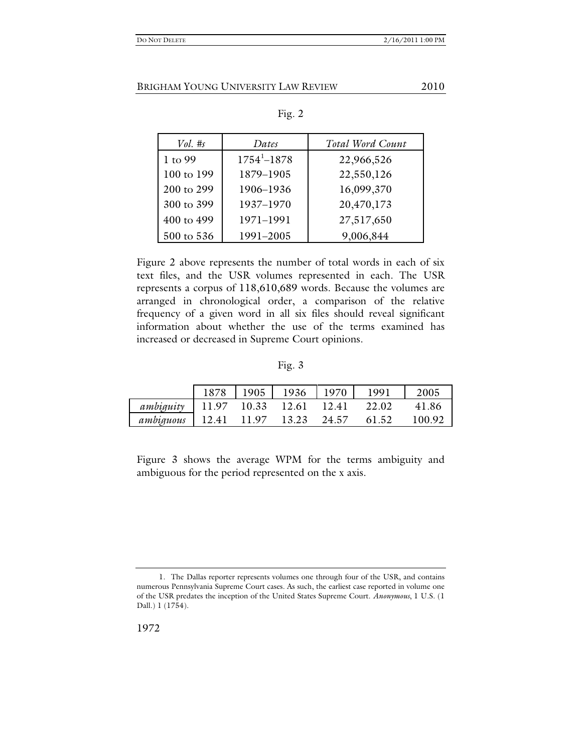| Vol. #s    | Dates                       | Total Word Count |
|------------|-----------------------------|------------------|
| 1 to 99    | $1754$ <sup>1</sup> $-1878$ | 22,966,526       |
| 100 to 199 | 1879-1905                   | 22,550,126       |
| 200 to 299 | 1906-1936                   | 16,099,370       |
| 300 to 399 | 1937-1970                   | 20,470,173       |
| 400 to 499 | 1971-1991                   | 27,517,650       |
| 500 to 536 | 1991-2005                   | 9,006,844        |

Figure 2 above represents the number of total words in each of six text files, and the USR volumes represented in each. The USR represents a corpus of 118,610,689 words. Because the volumes are arranged in chronological order, a comparison of the relative frequency of a given word in all six files should reveal significant information about whether the use of the terms examined has increased or decreased in Supreme Court opinions.

Fig. 3

|           |       | 1905  | 1936  | 1970  | 1991  | 2005   |
|-----------|-------|-------|-------|-------|-------|--------|
| ambiguity | 11.97 | 10.33 | 12.61 | 12.41 | 22.02 | 41.86  |
| ambiguous | 12.41 | 11.97 | 13.23 | 24.57 | 61.52 | 100 92 |

Figure 3 shows the average WPM for the terms ambiguity and ambiguous for the period represented on the x axis.

 <sup>1.</sup> The Dallas reporter represents volumes one through four of the USR, and contains numerous Pennsylvania Supreme Court cases. As such, the earliest case reported in volume one of the USR predates the inception of the United States Supreme Court. *Anonymous*, 1 U.S. (1 Dall.) 1 (1754).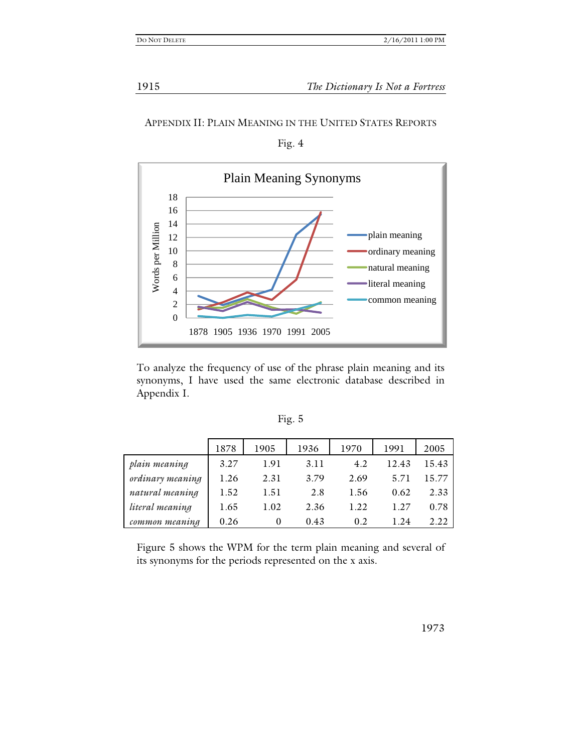1915 *The Dictionary Is Not a Fortress*

### APPENDIX II: PLAIN MEANING IN THE UNITED STATES REPORTS

Fig. 4



To analyze the frequency of use of the phrase plain meaning and its synonyms, I have used the same electronic database described in Appendix I.

|                  | 1878 | 1905 | 1936 | 1970 | 1991  | 2005  |
|------------------|------|------|------|------|-------|-------|
| plain meaning    | 3.27 | 1.91 | 3.11 | 4.2  | 12.43 | 15.43 |
| ordinary meaning | 1.26 | 2.31 | 3.79 | 2.69 | 5.71  | 15.77 |
| natural meaning  | 1.52 | 1.51 | 2.8  | 1.56 | 0.62  | 2.33  |
| literal meaning  | 1.65 | 1.02 | 2.36 | 1.22 | 1.27  | 0.78  |
| common meaning   | 0.26 |      | 0.43 | 0.2  | 1.24  | 2.22  |

Figure 5 shows the WPM for the term plain meaning and several of its synonyms for the periods represented on the x axis.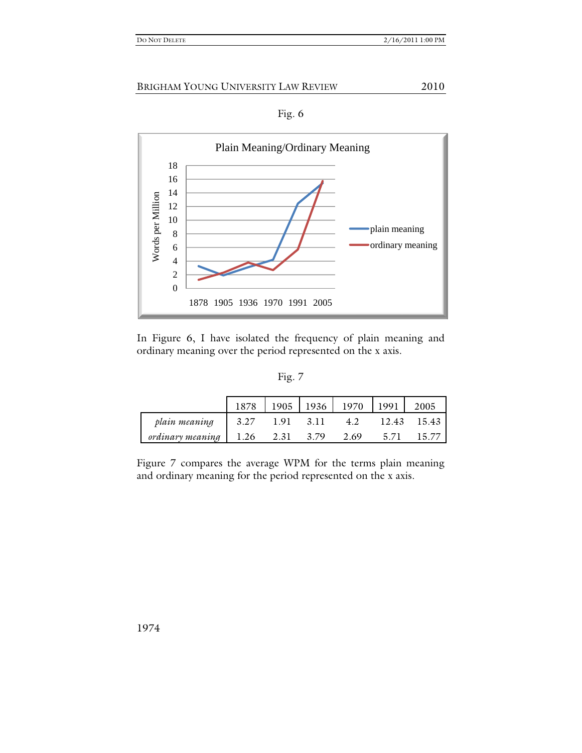



In Figure 6, I have isolated the frequency of plain meaning and ordinary meaning over the period represented on the x axis.

|                  | 1878 |      | 1905   1936   1970 |      | 1991  | 2005  |
|------------------|------|------|--------------------|------|-------|-------|
| plain meaning    | 3.27 | 1.91 | 3.11               | 4.2  | 12.43 | 15.43 |
| ordinary meaning | 1.26 | 2.31 | 3.79               | 2.69 | 5.71  | 15.77 |

Figure 7 compares the average WPM for the terms plain meaning and ordinary meaning for the period represented on the x axis.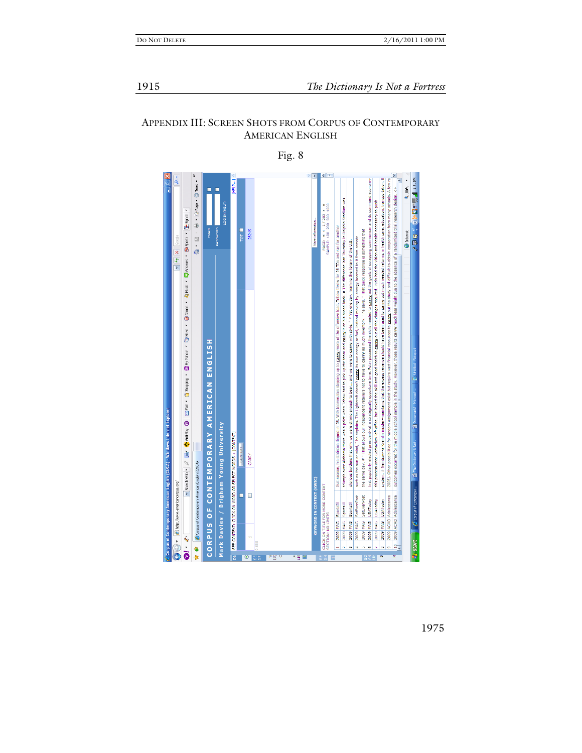# APPENDIX III: SCREEN SHOTS FROM CORPUS OF CONTEMPORARY AMERICAN ENGLISH

 $\sqrt{2}$ we is: in the  $\Box$  of  $\odot$  of  $\odot$ Page + **Q** Tools + occurred for the middle school sample in the study. However, those results carry much less weight due to the absence of a randomized trial research design. <<<br> v threw for 28 TDs and ran for another<br>\* The difference last Thursday in Dolphin Stadium was PAGE: « < 1/283 > »<br>SAMPLE: 100 200 500 1000 ecessary to push care, education, many  $\frac{1}{\epsilon}$ and its  $\frac{1}{2}$  $\frac{1}{5}$ ng that **O** Internet  $\frac{1}{2}$ and health needed reforms in health the U.S. study and difficult-to-obtain coope scrapping co  $\begin{tabular}{|c|c|c|c|} \hline \hline $\checkmark$ & $\checkmark$ \\ \hline \hline $\checkmark$ & $\checkmark$ \\ \hline \end{tabular}$ had the vision ad to it # Yet one day, roaming the libr to carry out the goals of t on his broad back. # The differe bean quick required. Putin have been used to carry out much ving by energy That he says. ces to carry out the once Gorbachev left office, but lacked the skill and good health to carry out all the changes the skills stepping up to **<u>carry</u>** more of the and carry or tuel CORPUS OF CONTEMPORARY AMERICAN ENGLISH to <u>carry</u> as much were to carry energy evenue should inancial up the team t carry its ow but require vast had to pick maintains that the excess **Pue** lioesn retailer exist Tebaw when ţ  $\ddot{\mathbf{e}}$ V Search Web - 2 E + @ And-Spy @ he explains. Mark Davies / Brigham Young University WORDS + [CONTEXT] è CONTEXT CARRY **A**  $\Phi$  **Corpus of Contemporary American English (COCA)** as the sur å porary American English (COC) Other ë VORD OR SELECT 旬 2005). KEYWORD IN CONTEXT (KWIC Š  $\bigcirc$   $\bullet$   $\bigcirc$  inter//www.anericancerpus.org/ **E** MORE CONTEXT  $\Box$  $\Box$ Adolescence čepo **JSAToday** Ŧ SportsIll CLICK ON TITLE FOR N<br>SECTION: NO LINITS ACAD 2009 ACAD **NIAG** MIAG **SM SMI SM** g g å ŒΣ  $\frac{2005}{2005}$ 2009 2009 eoo  $2009$ 2009 2009 ğ SEE CON  $\bullet$ Pustant  $\mathbb{S}^+$ a y <mark>m</mark> 15 0 35 50 0

Fig. 8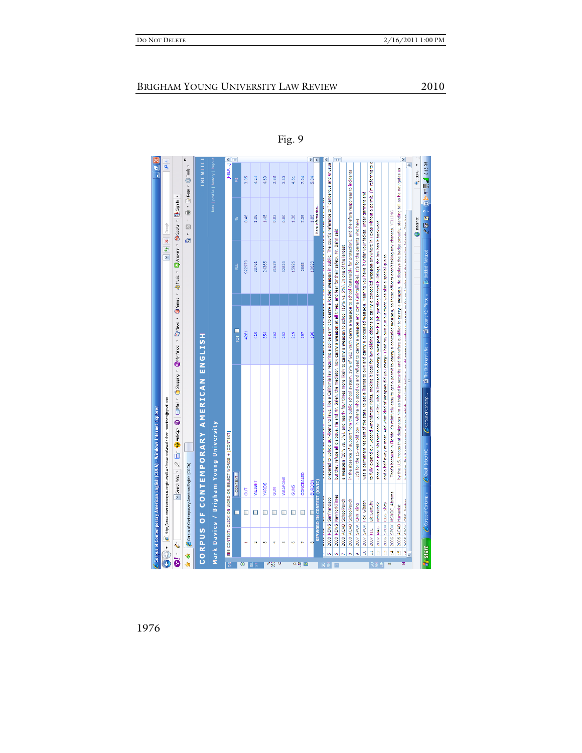| CORPUS OF CONTEMPORARY AMERICAN ENGLISH<br>E http://www.americancorpus.org/x.asp?L=e8co=coca8e=stephen.mountsen@gmail.com<br>Mark Davies / Brigham Young University<br>SEE CONTEXT: CLICK ON WORD OR SELECT WORDS + [CONTEXT]<br>ù<br>$\vee$ Search Web $\vee$ $\varnothing$<br>Corpus of Contemporary American English (COCA)<br>CONCEALED<br>CONTEXT<br>WEAPONS<br>KEYWORD IN CONTEXT (KWIC)<br><b>BURDEN</b><br>WEIGHT<br><b>YARDS</b><br><b>GUINS</b><br>SUN<br>5<br>2008 NEWS NewYorkTimes<br>2008 NEWS SanFrancisco<br>2008 ACAD SchoolPsych<br>2008 ACAD SchoolPsych<br>2007 SPOK Fox Gibson<br>Bk:GunShy<br>2007 SPOK CNN_King<br>С<br>$\Box$<br>$\Box$<br>$\Box$<br>$\Box$<br>■<br>$\Box$<br>□<br>$\Box$<br>2007 FIC<br>$\mathbf{\tilde{N}}$<br>m<br>4<br>in,<br>Ø.<br>к<br>œ<br>H<br>ä<br>å<br>$\ddot{\bullet}$<br>多水<br>m<br>Ġ.<br>o,<br>$\mathbf{r}$<br>$\infty$<br>ă<br>Ü<br>۵g<br>$\overline{\bullet}$<br>평등<br>≤ ⊛<br>$\overline{\mathbf{R}}$ | Mail + Chapping +<br><b>ED Anti-Spy</b>                                                                                                                                    | · spots of , seasong for , seasong , seasong , seasong , seasong , research , research , research , research ,<br>TOT  <br>4281<br>410<br>354 | $*$<br>$\overline{\phantom{a}}$<br>922979<br>38761<br>24365<br>Ę | The Sign In<br>0.46<br>1.06<br>1.45<br>0.83<br>0.80<br>ೢೕ<br>Google<br>ø<br>k<br>G | <b>EREMITE</b><br>lists   profile   history   logou<br>Q<br>- sou@ - abel向 - 1⊪<br>3.05<br>4.24<br>4.69<br>3.88<br>3.83<br>4.61<br>Ë |
|--------------------------------------------------------------------------------------------------------------------------------------------------------------------------------------------------------------------------------------------------------------------------------------------------------------------------------------------------------------------------------------------------------------------------------------------------------------------------------------------------------------------------------------------------------------------------------------------------------------------------------------------------------------------------------------------------------------------------------------------------------------------------------------------------------------------------------------------------------------------------------------------------------------------------------------------------------------|----------------------------------------------------------------------------------------------------------------------------------------------------------------------------|-----------------------------------------------------------------------------------------------------------------------------------------------|------------------------------------------------------------------|------------------------------------------------------------------------------------|--------------------------------------------------------------------------------------------------------------------------------------|
|                                                                                                                                                                                                                                                                                                                                                                                                                                                                                                                                                                                                                                                                                                                                                                                                                                                                                                                                                              |                                                                                                                                                                            |                                                                                                                                               |                                                                  |                                                                                    |                                                                                                                                      |
|                                                                                                                                                                                                                                                                                                                                                                                                                                                                                                                                                                                                                                                                                                                                                                                                                                                                                                                                                              |                                                                                                                                                                            |                                                                                                                                               |                                                                  |                                                                                    |                                                                                                                                      |
|                                                                                                                                                                                                                                                                                                                                                                                                                                                                                                                                                                                                                                                                                                                                                                                                                                                                                                                                                              |                                                                                                                                                                            |                                                                                                                                               |                                                                  |                                                                                    |                                                                                                                                      |
|                                                                                                                                                                                                                                                                                                                                                                                                                                                                                                                                                                                                                                                                                                                                                                                                                                                                                                                                                              |                                                                                                                                                                            |                                                                                                                                               |                                                                  |                                                                                    |                                                                                                                                      |
|                                                                                                                                                                                                                                                                                                                                                                                                                                                                                                                                                                                                                                                                                                                                                                                                                                                                                                                                                              |                                                                                                                                                                            |                                                                                                                                               |                                                                  |                                                                                    |                                                                                                                                      |
|                                                                                                                                                                                                                                                                                                                                                                                                                                                                                                                                                                                                                                                                                                                                                                                                                                                                                                                                                              |                                                                                                                                                                            |                                                                                                                                               |                                                                  |                                                                                    |                                                                                                                                      |
|                                                                                                                                                                                                                                                                                                                                                                                                                                                                                                                                                                                                                                                                                                                                                                                                                                                                                                                                                              |                                                                                                                                                                            |                                                                                                                                               |                                                                  |                                                                                    |                                                                                                                                      |
|                                                                                                                                                                                                                                                                                                                                                                                                                                                                                                                                                                                                                                                                                                                                                                                                                                                                                                                                                              |                                                                                                                                                                            |                                                                                                                                               |                                                                  |                                                                                    |                                                                                                                                      |
|                                                                                                                                                                                                                                                                                                                                                                                                                                                                                                                                                                                                                                                                                                                                                                                                                                                                                                                                                              |                                                                                                                                                                            |                                                                                                                                               |                                                                  |                                                                                    |                                                                                                                                      |
|                                                                                                                                                                                                                                                                                                                                                                                                                                                                                                                                                                                                                                                                                                                                                                                                                                                                                                                                                              |                                                                                                                                                                            |                                                                                                                                               |                                                                  |                                                                                    |                                                                                                                                      |
|                                                                                                                                                                                                                                                                                                                                                                                                                                                                                                                                                                                                                                                                                                                                                                                                                                                                                                                                                              |                                                                                                                                                                            | 262                                                                                                                                           | 31629                                                            |                                                                                    |                                                                                                                                      |
|                                                                                                                                                                                                                                                                                                                                                                                                                                                                                                                                                                                                                                                                                                                                                                                                                                                                                                                                                              |                                                                                                                                                                            | 262                                                                                                                                           | 32823                                                            |                                                                                    |                                                                                                                                      |
|                                                                                                                                                                                                                                                                                                                                                                                                                                                                                                                                                                                                                                                                                                                                                                                                                                                                                                                                                              |                                                                                                                                                                            | 219                                                                                                                                           | 15926                                                            | 1.38                                                                               |                                                                                                                                      |
|                                                                                                                                                                                                                                                                                                                                                                                                                                                                                                                                                                                                                                                                                                                                                                                                                                                                                                                                                              |                                                                                                                                                                            | 197                                                                                                                                           | 2665                                                             | 7.39                                                                               | 7.04                                                                                                                                 |
|                                                                                                                                                                                                                                                                                                                                                                                                                                                                                                                                                                                                                                                                                                                                                                                                                                                                                                                                                              |                                                                                                                                                                            | 98                                                                                                                                            | 10623                                                            | 581                                                                                | 5.04                                                                                                                                 |
|                                                                                                                                                                                                                                                                                                                                                                                                                                                                                                                                                                                                                                                                                                                                                                                                                                                                                                                                                              |                                                                                                                                                                            |                                                                                                                                               |                                                                  | More information                                                                   |                                                                                                                                      |
|                                                                                                                                                                                                                                                                                                                                                                                                                                                                                                                                                                                                                                                                                                                                                                                                                                                                                                                                                              | prepared to uphold gun-licensing laws, like a California law requiring a police permit to carry a loaded weapon in public. The court's reference to " dangerous and unusua |                                                                                                                                               |                                                                  |                                                                                    |                                                                                                                                      |
|                                                                                                                                                                                                                                                                                                                                                                                                                                                                                                                                                                                                                                                                                                                                                                                                                                                                                                                                                              | but they refuse all dialogue. He and Mr. Saleh, the mediator, now carry a weapon at all times, and fear for their safety, Mr. Bahri said                                   |                                                                                                                                               |                                                                  |                                                                                    |                                                                                                                                      |
|                                                                                                                                                                                                                                                                                                                                                                                                                                                                                                                                                                                                                                                                                                                                                                                                                                                                                                                                                              | a weapon (28% vs. 5%), and nearly four times more likely to carry a weapon to school (19% vs. 5%). In one of the largest                                                   |                                                                                                                                               |                                                                  |                                                                                    |                                                                                                                                      |
|                                                                                                                                                                                                                                                                                                                                                                                                                                                                                                                                                                                                                                                                                                                                                                                                                                                                                                                                                              | in the absence of support from the public school system, 19% of GLB youth carry a weapon to school (ostensibly for protection), and therefore responses to incidents       |                                                                                                                                               |                                                                  |                                                                                    |                                                                                                                                      |
|                                                                                                                                                                                                                                                                                                                                                                                                                                                                                                                                                                                                                                                                                                                                                                                                                                                                                                                                                              | It's for the 15-year-old boy in Ghana who stood up and refused to carry a weapon and come (unintelligible). It's for the parents who have                                  |                                                                                                                                               |                                                                  |                                                                                    |                                                                                                                                      |
|                                                                                                                                                                                                                                                                                                                                                                                                                                                                                                                                                                                                                                                                                                                                                                                                                                                                                                                                                              | was a permanent resident of the state, to get a license to own and carry a concealed weapon. Meaning you have it under your jacket, under garment and                      |                                                                                                                                               |                                                                  |                                                                                    |                                                                                                                                      |
|                                                                                                                                                                                                                                                                                                                                                                                                                                                                                                                                                                                                                                                                                                                                                                                                                                                                                                                                                              | to fully expand our Second Amendment rights, making it legal for law-abiding citizens to Carry a concealed weapon anywhere in Texas without a permit. I'm referring to     |                                                                                                                                               |                                                                  |                                                                                    |                                                                                                                                      |
| Newsweek<br>2007 MAG<br>$\frac{1}{2}$                                                                                                                                                                                                                                                                                                                                                                                                                                                                                                                                                                                                                                                                                                                                                                                                                                                                                                                        | shot a hole near his front door. To Heller, who is licensed to carry a weapon for his job guarding federal buildings, the law has it backward.                             |                                                                                                                                               |                                                                  |                                                                                    |                                                                                                                                      |
| 2006 SPOK CBS_Sixty<br>g                                                                                                                                                                                                                                                                                                                                                                                                                                                                                                                                                                                                                                                                                                                                                                                                                                                                                                                                     | and a half away at most. And what kind of weapon did you carry? I had my own gun but there was also a special gun to                                                       |                                                                                                                                               |                                                                  |                                                                                    |                                                                                                                                      |
| 2006 SPOK MSNBC_Abrams<br>$\frac{4}{3}$<br>m)                                                                                                                                                                                                                                                                                                                                                                                                                                                                                                                                                                                                                                                                                                                                                                                                                                                                                                                | . That's because in Florida it's relatively easy to get a permit to carry a concealed weapon, so these officers aren't taking any chances. YELLING                         |                                                                                                                                               |                                                                  |                                                                                    |                                                                                                                                      |
| 2006 ACAD Humanist<br>19                                                                                                                                                                                                                                                                                                                                                                                                                                                                                                                                                                                                                                                                                                                                                                                                                                                                                                                                     | by the U.S. troops that designates him as trained in security and therefore qualified to carry a weapon. He displays the badge proudly, standing tall as he navigates us   |                                                                                                                                               |                                                                  |                                                                                    |                                                                                                                                      |
| nonelenov lead nakar                                                                                                                                                                                                                                                                                                                                                                                                                                                                                                                                                                                                                                                                                                                                                                                                                                                                                                                                         | ik wadza. Bukika kama a mindia mkich analuma halinun kalidun zauda kama analan wana na faran aladia and tha Halada. Ona han                                                |                                                                                                                                               |                                                                  |                                                                                    | ۸                                                                                                                                    |
|                                                                                                                                                                                                                                                                                                                                                                                                                                                                                                                                                                                                                                                                                                                                                                                                                                                                                                                                                              |                                                                                                                                                                            |                                                                                                                                               |                                                                  | <b>C</b> Internet                                                                  | 4,100%                                                                                                                               |
| C Corpus of Contemp<br><b>Tressel</b>                                                                                                                                                                                                                                                                                                                                                                                                                                                                                                                                                                                                                                                                                                                                                                                                                                                                                                                        | C Gmail - Inbox (40) -  C Corpus of Contemp                                                                                                                                | The Dictionary is No                                                                                                                          | 2 Document2 - Micros   D. Unitiled - Notepad                     | <b>WEB FRAGE REA</b>                                                               |                                                                                                                                      |

Fig. 9

1976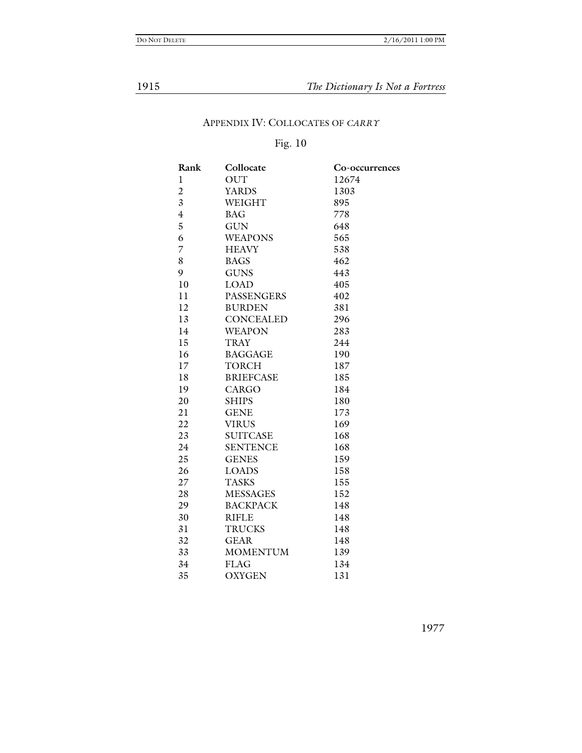# 1915 *The Dictionary Is Not a Fortress*

# APPENDIX IV: COLLOCATES OF *CARRY*

# Fig. 10

| Rank                    | Collocate         | Co-occurrences |
|-------------------------|-------------------|----------------|
| l                       | <b>OUT</b>        | 12674          |
| $\overline{2}$          | <b>YARDS</b>      | 1303           |
| $\overline{\mathbf{3}}$ | WEIGHT            | 895            |
| $\overline{4}$          | <b>BAG</b>        | 778            |
| 5                       | <b>GUN</b>        | 648            |
| 6                       | <b>WEAPONS</b>    | 565            |
| 7                       | <b>HEAVY</b>      | 538            |
| 8                       | <b>BAGS</b>       | 462            |
| 9                       | <b>GUNS</b>       | 443            |
| 10                      | LOAD              | 405            |
| 11                      | <b>PASSENGERS</b> | 402            |
| 12                      | <b>BURDEN</b>     | 381            |
| 13                      | <b>CONCEALED</b>  | 296            |
| 14                      | <b>WEAPON</b>     | 283            |
| 15                      | <b>TRAY</b>       | 244            |
| 16                      | <b>BAGGAGE</b>    | 190            |
| 17                      | <b>TORCH</b>      | 187            |
| 18                      | <b>BRIEFCASE</b>  | 185            |
| 19                      | <b>CARGO</b>      | 184            |
| 20                      | <b>SHIPS</b>      | 180            |
| 21                      | <b>GENE</b>       | 173            |
| 22                      | <b>VIRUS</b>      | 169            |
| 23                      | <b>SUITCASE</b>   | 168            |
| 24                      | <b>SENTENCE</b>   | 168            |
| 25                      | <b>GENES</b>      | 159            |
| 26                      | <b>LOADS</b>      | 158            |
| 27                      | <b>TASKS</b>      | 155            |
| 28                      | <b>MESSAGES</b>   | 152            |
| 29                      | <b>BACKPACK</b>   | 148            |
| 30                      | <b>RIFLE</b>      | 148            |
| 31                      | <b>TRUCKS</b>     | 148            |
| 32                      | <b>GEAR</b>       | 148            |
| 33                      | <b>MOMENTUM</b>   | 139            |
| 34                      | <b>FLAG</b>       | 134            |
| 35                      | <b>OXYGEN</b>     | 131            |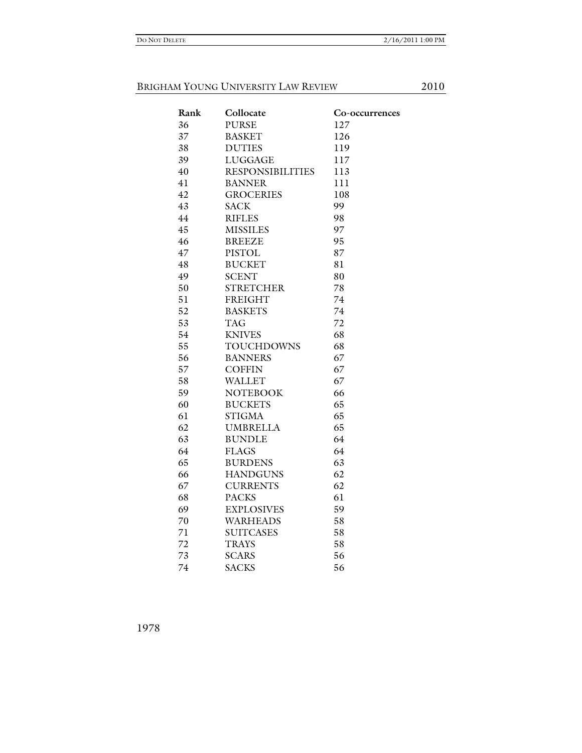| Collocate               | Co-occurrences |
|-------------------------|----------------|
| <b>PURSE</b>            | 127            |
| <b>BASKET</b>           | 126            |
| <b>DUTIES</b>           | 119            |
| <b>LUGGAGE</b>          | 117            |
| <b>RESPONSIBILITIES</b> | 113            |
| <b>BANNER</b>           | 111            |
| <b>GROCERIES</b>        | 108            |
| <b>SACK</b>             | 99             |
| <b>RIFLES</b>           | 98             |
| <b>MISSILES</b>         | 97             |
| <b>BREEZE</b>           | 95             |
| PISTOL                  | 87             |
| <b>BUCKET</b>           | 81             |
| <b>SCENT</b>            | 80             |
| <b>STRETCHER</b>        | 78             |
| <b>FREIGHT</b>          | 74             |
| <b>BASKETS</b>          | 74             |
| <b>TAG</b>              | 72             |
| <b>KNIVES</b>           | 68             |
| <b>TOUCHDOWNS</b>       | 68             |
| <b>BANNERS</b>          | 67             |
| <b>COFFIN</b>           | 67             |
| <b>WALLET</b>           | 67             |
| <b>NOTEBOOK</b>         | 66             |
| <b>BUCKETS</b>          | 65             |
| <b>STIGMA</b>           | 65             |
| <b>UMBRELLA</b>         | 65             |
| <b>BUNDLE</b>           | 64             |
| <b>FLAGS</b>            | 64             |
| <b>BURDENS</b>          | 63             |
| <b>HANDGUNS</b>         | 62             |
| <b>CURRENTS</b>         | 62             |
| <b>PACKS</b>            | 61             |
| <b>EXPLOSIVES</b>       | 59             |
| <b>WARHEADS</b>         | 58             |
| <b>SUITCASES</b>        | 58             |
| <b>TRAYS</b>            | 58             |
| <b>SCARS</b>            | 56             |
| <b>SACKS</b>            | 56             |
|                         |                |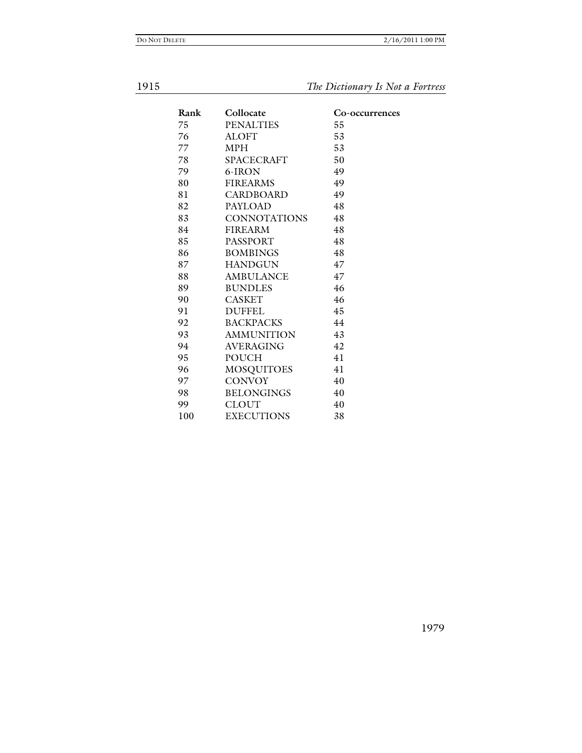**The Dictionary Is Not a Fortress** 

| Rank | Collocate           | Co-occurrences |
|------|---------------------|----------------|
| 75   | <b>PENALTIES</b>    | 55             |
| 76   | <b>ALOFT</b>        | 53             |
| 77   | <b>MPH</b>          | 53             |
| 78   | <b>SPACECRAFT</b>   | 50             |
| 79   | 6-IRON              | 49             |
| 80   | <b>FIREARMS</b>     | 49             |
| 81   | <b>CARDBOARD</b>    | 49             |
| 82   | PAYLOAD             | 48             |
| 83   | <b>CONNOTATIONS</b> | 48             |
| 84   | <b>FIREARM</b>      | 48             |
| 85   | <b>PASSPORT</b>     | 48             |
| 86   | <b>BOMBINGS</b>     | 48             |
| 87   | <b>HANDGUN</b>      | 47             |
| 88   | <b>AMBULANCE</b>    | 47             |
| 89   | <b>BUNDLES</b>      | 46             |
| 90   | <b>CASKET</b>       | 46             |
| 91   | <b>DUFFEL</b>       | 45             |
| 92   | <b>BACKPACKS</b>    | 44             |
| 93   | <b>AMMUNITION</b>   | 43             |
| 94   | <b>AVERAGING</b>    | 42             |
| 95   | <b>POUCH</b>        | 41             |
| 96   | <b>MOSQUITOES</b>   | 41             |
| 97   | <b>CONVOY</b>       | 40             |
| 98   | <b>BELONGINGS</b>   | 40             |
| 99   | <b>CLOUT</b>        | 40             |
| 100  | <b>EXECUTIONS</b>   | 38             |